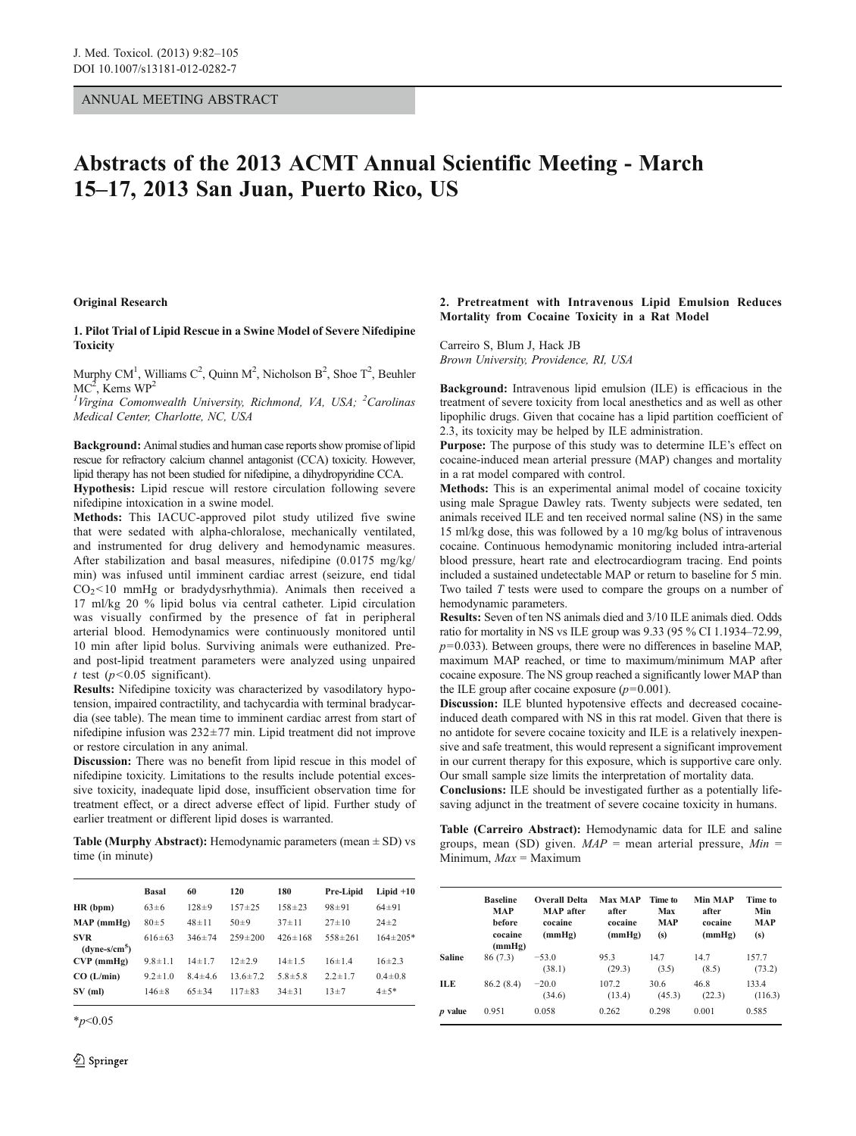# ANNUAL MEETING ABSTRACT

# Abstracts of the 2013 ACMT Annual Scientific Meeting - March 15–17, 2013 San Juan, Puerto Rico, US

#### Original Research

## 1. Pilot Trial of Lipid Rescue in a Swine Model of Severe Nifedipine Toxicity

Murphy CM<sup>1</sup>, Williams C<sup>2</sup>, Quinn M<sup>2</sup>, Nicholson B<sup>2</sup>, Shoe T<sup>2</sup>, Beuhler  $MC<sup>2</sup>$ , Kerns WP<sup>2</sup>

<sup>1</sup>Virgina Comonwealth University, Richmond, VA, USA; <sup>2</sup>Carolinas Medical Center, Charlotte, NC, USA

Background: Animal studies and human case reports show promise of lipid rescue for refractory calcium channel antagonist (CCA) toxicity. However, lipid therapy has not been studied for nifedipine, a dihydropyridine CCA.

Hypothesis: Lipid rescue will restore circulation following severe nifedipine intoxication in a swine model.

Methods: This IACUC-approved pilot study utilized five swine that were sedated with alpha-chloralose, mechanically ventilated, and instrumented for drug delivery and hemodynamic measures. After stabilization and basal measures, nifedipine (0.0175 mg/kg/ min) was infused until imminent cardiac arrest (seizure, end tidal  $CO<sub>2</sub>< 10$  mmHg or bradydysrhythmia). Animals then received a 17 ml/kg 20 % lipid bolus via central catheter. Lipid circulation was visually confirmed by the presence of fat in peripheral arterial blood. Hemodynamics were continuously monitored until 10 min after lipid bolus. Surviving animals were euthanized. Preand post-lipid treatment parameters were analyzed using unpaired t test ( $p$ <0.05 significant).

Results: Nifedipine toxicity was characterized by vasodilatory hypotension, impaired contractility, and tachycardia with terminal bradycardia (see table). The mean time to imminent cardiac arrest from start of nifedipine infusion was 232±77 min. Lipid treatment did not improve or restore circulation in any animal.

Discussion: There was no benefit from lipid rescue in this model of nifedipine toxicity. Limitations to the results include potential excessive toxicity, inadequate lipid dose, insufficient observation time for treatment effect, or a direct adverse effect of lipid. Further study of earlier treatment or different lipid doses is warranted.

**Table (Murphy Abstract):** Hemodynamic parameters (mean  $\pm$  SD) vs time (in minute)

|                              | <b>Basal</b>  | 60            | 120            | 180           | Pre-Lipid     | $Lipid +10$    |
|------------------------------|---------------|---------------|----------------|---------------|---------------|----------------|
| HR(hpm)                      | $63 \pm 6$    | $128 + 9$     | $157 + 25$     | $158 + 23$    | $98 + 91$     | $64 + 91$      |
| $MAP$ (mmHg)                 | $80 + 5$      | $48 + 11$     | $50+9$         | $37 + 11$     | $27 \pm 10$   | $24 + 2$       |
| <b>SVR</b><br>$(dyne-s/cm5)$ | $616 \pm 63$  | $346 + 74$    | $259 + 200$    | $426 \pm 168$ | $558 + 261$   | $164 \pm 205*$ |
| $CVP$ (mmHg)                 | $9.8 \pm 1.1$ | $14 + 1.7$    | $12 + 2.9$     | $14 \pm 1.5$  | $16 \pm 1.4$  | $16 + 2.3$     |
| CO (L/min)                   | $9.2 \pm 1.0$ | $8.4 \pm 4.6$ | $13.6 \pm 7.2$ | $5.8 + 5.8$   | $2.2 \pm 1.7$ | $0.4 \pm 0.8$  |
| $SV$ (ml)                    | $146 + 8$     | $65 + 34$     | $117 + 83$     | $34 + 31$     | $13 + 7$      | $4 + 5*$       |

 $*_{p<0.05}$ 

## 2. Pretreatment with Intravenous Lipid Emulsion Reduces Mortality from Cocaine Toxicity in a Rat Model

Carreiro S, Blum J, Hack JB Brown University, Providence, RI, USA

Background: Intravenous lipid emulsion (ILE) is efficacious in the treatment of severe toxicity from local anesthetics and as well as other lipophilic drugs. Given that cocaine has a lipid partition coefficient of 2.3, its toxicity may be helped by ILE administration.

Purpose: The purpose of this study was to determine ILE's effect on cocaine-induced mean arterial pressure (MAP) changes and mortality in a rat model compared with control.

Methods: This is an experimental animal model of cocaine toxicity using male Sprague Dawley rats. Twenty subjects were sedated, ten animals received ILE and ten received normal saline (NS) in the same 15 ml/kg dose, this was followed by a 10 mg/kg bolus of intravenous cocaine. Continuous hemodynamic monitoring included intra-arterial blood pressure, heart rate and electrocardiogram tracing. End points included a sustained undetectable MAP or return to baseline for 5 min. Two tailed T tests were used to compare the groups on a number of hemodynamic parameters.

Results: Seven of ten NS animals died and 3/10 ILE animals died. Odds ratio for mortality in NS vs ILE group was 9.33 (95 % CI 1.1934–72.99,  $p=0.033$ ). Between groups, there were no differences in baseline MAP, maximum MAP reached, or time to maximum/minimum MAP after cocaine exposure. The NS group reached a significantly lower MAP than the ILE group after cocaine exposure  $(p=0.001)$ .

Discussion: ILE blunted hypotensive effects and decreased cocaineinduced death compared with NS in this rat model. Given that there is no antidote for severe cocaine toxicity and ILE is a relatively inexpensive and safe treatment, this would represent a significant improvement in our current therapy for this exposure, which is supportive care only. Our small sample size limits the interpretation of mortality data.

Conclusions: ILE should be investigated further as a potentially lifesaving adjunct in the treatment of severe cocaine toxicity in humans.

Table (Carreiro Abstract): Hemodynamic data for ILE and saline groups, mean (SD) given.  $MAP =$  mean arterial pressure, Min = Minimum,  $Max =$  Maximum

|               | <b>Baseline</b><br><b>MAP</b><br><b>before</b><br>cocaine<br>(mmHg) | <b>Overall Delta</b><br><b>MAP</b> after<br>cocaine<br>(mmHg) | <b>Max MAP</b><br>after<br>cocaine<br>(mmHg) | Time to<br>Max<br><b>MAP</b><br>(s) | Min MAP<br>after<br>cocaine<br>(mmHg) | Time to<br>Min<br><b>MAP</b><br>(s) |
|---------------|---------------------------------------------------------------------|---------------------------------------------------------------|----------------------------------------------|-------------------------------------|---------------------------------------|-------------------------------------|
| <b>Saline</b> | 86 (7.3)                                                            | $-53.0$<br>(38.1)                                             | 95.3<br>(29.3)                               | 14.7<br>(3.5)                       | 14.7<br>(8.5)                         | 157.7<br>(73.2)                     |
| ILE           | 86.2(8.4)                                                           | $-20.0$<br>(34.6)                                             | 107.2<br>(13.4)                              | 30.6<br>(45.3)                      | 46.8<br>(22.3)                        | 133.4<br>(116.3)                    |
| $p$ value     | 0.951                                                               | 0.058                                                         | 0.262                                        | 0.298                               | 0.001                                 | 0.585                               |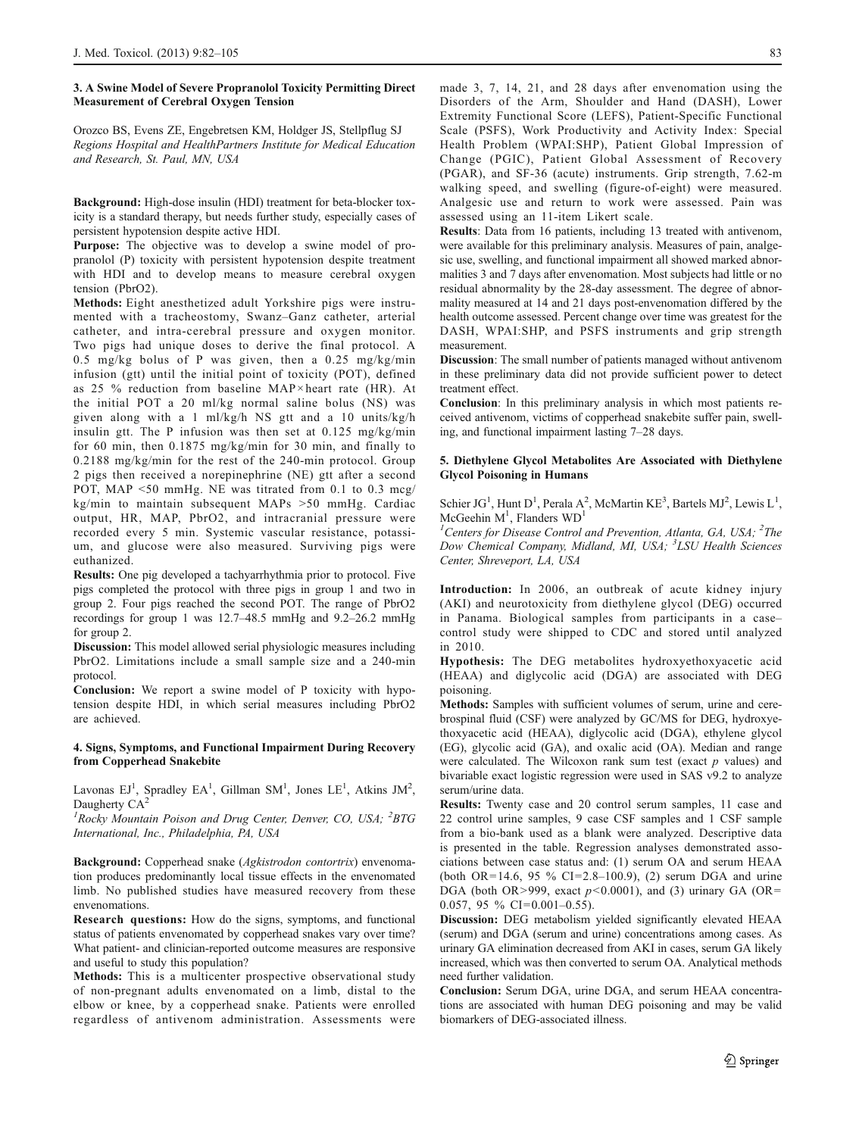#### 3. A Swine Model of Severe Propranolol Toxicity Permitting Direct Measurement of Cerebral Oxygen Tension

Orozco BS, Evens ZE, Engebretsen KM, Holdger JS, Stellpflug SJ Regions Hospital and HealthPartners Institute for Medical Education and Research, St. Paul, MN, USA

Background: High-dose insulin (HDI) treatment for beta-blocker toxicity is a standard therapy, but needs further study, especially cases of persistent hypotension despite active HDI.

Purpose: The objective was to develop a swine model of propranolol (P) toxicity with persistent hypotension despite treatment with HDI and to develop means to measure cerebral oxygen tension (PbrO2).

Methods: Eight anesthetized adult Yorkshire pigs were instrumented with a tracheostomy, Swanz–Ganz catheter, arterial catheter, and intra-cerebral pressure and oxygen monitor. Two pigs had unique doses to derive the final protocol. A 0.5 mg/kg bolus of P was given, then a 0.25 mg/kg/min infusion (gtt) until the initial point of toxicity (POT), defined as 25 % reduction from baseline MAP×heart rate (HR). At the initial POT a 20 ml/kg normal saline bolus (NS) was given along with a 1 ml/kg/h NS gtt and a 10 units/kg/h insulin gtt. The P infusion was then set at 0.125 mg/kg/min for 60 min, then 0.1875 mg/kg/min for 30 min, and finally to 0.2188 mg/kg/min for the rest of the 240-min protocol. Group 2 pigs then received a norepinephrine (NE) gtt after a second POT, MAP <50 mmHg. NE was titrated from 0.1 to 0.3 mcg/ kg/min to maintain subsequent MAPs >50 mmHg. Cardiac output, HR, MAP, PbrO2, and intracranial pressure were recorded every 5 min. Systemic vascular resistance, potassium, and glucose were also measured. Surviving pigs were euthanized.

Results: One pig developed a tachyarrhythmia prior to protocol. Five pigs completed the protocol with three pigs in group 1 and two in group 2. Four pigs reached the second POT. The range of PbrO2 recordings for group 1 was 12.7–48.5 mmHg and 9.2–26.2 mmHg for group 2.

Discussion: This model allowed serial physiologic measures including PbrO2. Limitations include a small sample size and a 240-min protocol.

Conclusion: We report a swine model of P toxicity with hypotension despite HDI, in which serial measures including PbrO2 are achieved.

#### 4. Signs, Symptoms, and Functional Impairment During Recovery from Copperhead Snakebite

Lavonas EJ<sup>1</sup>, Spradley EA<sup>1</sup>, Gillman SM<sup>1</sup>, Jones LE<sup>1</sup>, Atkins JM<sup>2</sup>, Daugherty CA<sup>2</sup>

<sup>1</sup>Rocky Mountain Poison and Drug Center, Denver, CO, USA; <sup>2</sup>BTG International, Inc., Philadelphia, PA, USA

Background: Copperhead snake (Agkistrodon contortrix) envenomation produces predominantly local tissue effects in the envenomated limb. No published studies have measured recovery from these envenomations.

Research questions: How do the signs, symptoms, and functional status of patients envenomated by copperhead snakes vary over time? What patient- and clinician-reported outcome measures are responsive and useful to study this population?

Methods: This is a multicenter prospective observational study of non-pregnant adults envenomated on a limb, distal to the elbow or knee, by a copperhead snake. Patients were enrolled regardless of antivenom administration. Assessments were made 3, 7, 14, 21, and 28 days after envenomation using the Disorders of the Arm, Shoulder and Hand (DASH), Lower Extremity Functional Score (LEFS), Patient-Specific Functional Scale (PSFS), Work Productivity and Activity Index: Special Health Problem (WPAI:SHP), Patient Global Impression of Change (PGIC), Patient Global Assessment of Recovery (PGAR), and SF-36 (acute) instruments. Grip strength, 7.62-m walking speed, and swelling (figure-of-eight) were measured. Analgesic use and return to work were assessed. Pain was assessed using an 11-item Likert scale.

Results: Data from 16 patients, including 13 treated with antivenom, were available for this preliminary analysis. Measures of pain, analgesic use, swelling, and functional impairment all showed marked abnormalities 3 and 7 days after envenomation. Most subjects had little or no residual abnormality by the 28-day assessment. The degree of abnormality measured at 14 and 21 days post-envenomation differed by the health outcome assessed. Percent change over time was greatest for the DASH, WPAI:SHP, and PSFS instruments and grip strength measurement.

Discussion: The small number of patients managed without antivenom in these preliminary data did not provide sufficient power to detect treatment effect.

Conclusion: In this preliminary analysis in which most patients received antivenom, victims of copperhead snakebite suffer pain, swelling, and functional impairment lasting 7–28 days.

## 5. Diethylene Glycol Metabolites Are Associated with Diethylene Glycol Poisoning in Humans

Schier JG<sup>1</sup>, Hunt D<sup>1</sup>, Perala A<sup>2</sup>, McMartin KE<sup>3</sup>, Bartels MJ<sup>2</sup>, Lewis L<sup>1</sup>,  $McGeehin M<sup>1</sup>$ , Flanders  $WD<sup>1</sup>$ 

<sup>1</sup> Centers for Disease Control and Prevention, Atlanta, GA, USA;  ${}^{2}$ The Dow Chemical Company, Midland, MI, USA; <sup>3</sup>LSU Health Sciences Center, Shreveport, LA, USA

Introduction: In 2006, an outbreak of acute kidney injury (AKI) and neurotoxicity from diethylene glycol (DEG) occurred in Panama. Biological samples from participants in a case– control study were shipped to CDC and stored until analyzed in 2010.

Hypothesis: The DEG metabolites hydroxyethoxyacetic acid (HEAA) and diglycolic acid (DGA) are associated with DEG poisoning.

Methods: Samples with sufficient volumes of serum, urine and cerebrospinal fluid (CSF) were analyzed by GC/MS for DEG, hydroxyethoxyacetic acid (HEAA), diglycolic acid (DGA), ethylene glycol (EG), glycolic acid (GA), and oxalic acid (OA). Median and range were calculated. The Wilcoxon rank sum test (exact  $p$  values) and bivariable exact logistic regression were used in SAS v9.2 to analyze serum/urine data.

Results: Twenty case and 20 control serum samples, 11 case and 22 control urine samples, 9 case CSF samples and 1 CSF sample from a bio-bank used as a blank were analyzed. Descriptive data is presented in the table. Regression analyses demonstrated associations between case status and: (1) serum OA and serum HEAA (both OR=14.6, 95 % CI=2.8–100.9), (2) serum DGA and urine DGA (both OR>999, exact  $p<0.0001$ ), and (3) urinary GA (OR= 0.057, 95 % CI=0.001-0.55).

Discussion: DEG metabolism yielded significantly elevated HEAA (serum) and DGA (serum and urine) concentrations among cases. As urinary GA elimination decreased from AKI in cases, serum GA likely increased, which was then converted to serum OA. Analytical methods need further validation.

Conclusion: Serum DGA, urine DGA, and serum HEAA concentrations are associated with human DEG poisoning and may be valid biomarkers of DEG-associated illness.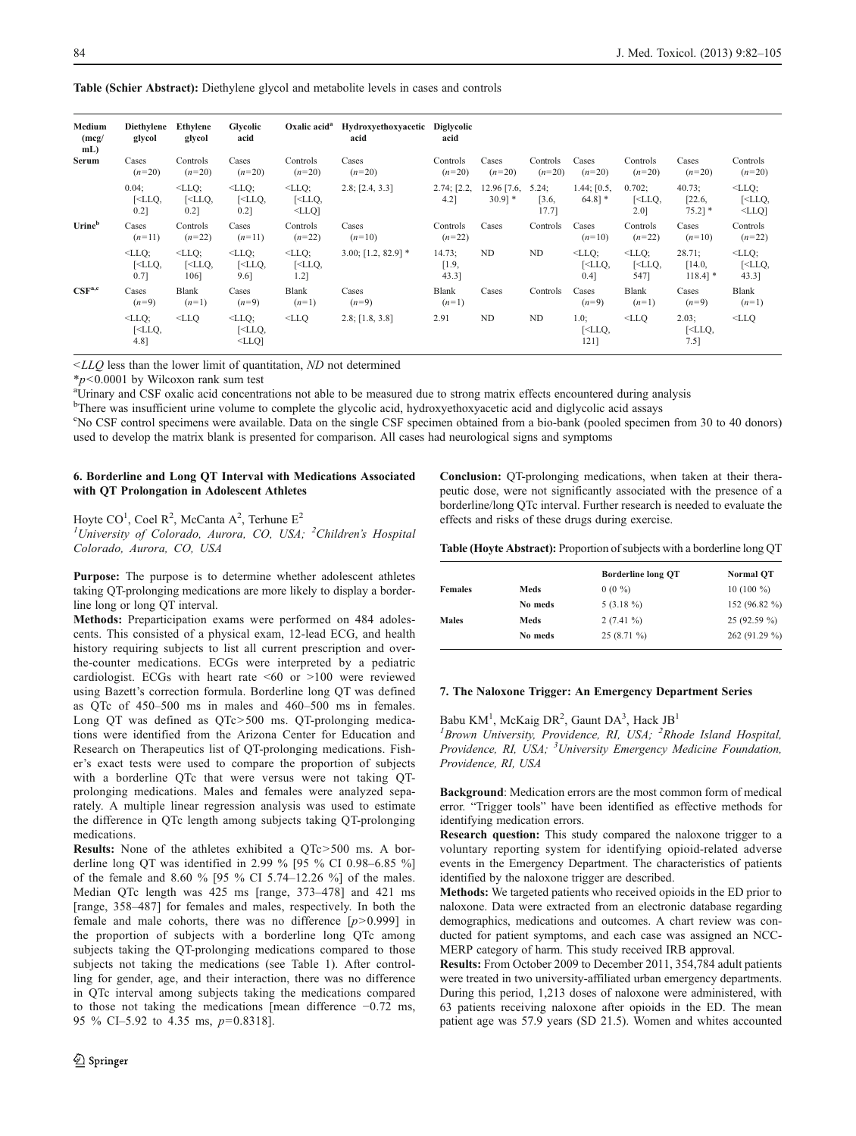Table (Schier Abstract): Diethylene glycol and metabolite levels in cases and controls

| Medium<br>(mcg)<br>$mL$ ) | Diethylene<br>glycol                                      | Ethylene<br>glycol                           | Glycolic<br>acid                                              | Oxalic acid <sup>a</sup>                                      | Hydroxyethoxyacetic<br>acid | <b>Diglycolic</b><br>acid |                                    |                         |                                                           |                                                         |                                                        |                                                               |
|---------------------------|-----------------------------------------------------------|----------------------------------------------|---------------------------------------------------------------|---------------------------------------------------------------|-----------------------------|---------------------------|------------------------------------|-------------------------|-----------------------------------------------------------|---------------------------------------------------------|--------------------------------------------------------|---------------------------------------------------------------|
| Serum                     | Cases<br>$(n=20)$                                         | Controls<br>$(n=20)$                         | Cases<br>$(n=20)$                                             | Controls<br>$(n=20)$                                          | Cases<br>$(n=20)$           | Controls<br>$(n=20)$      | Cases<br>$(n=20)$                  | Controls<br>$(n=20)$    | Cases<br>$(n=20)$                                         | Controls<br>$(n=20)$                                    | Cases<br>$(n=20)$                                      | Controls<br>$(n=20)$                                          |
|                           | $0.04$ ;<br>$\lceil$ <llq,<br><math>0.2</math>]</llq,<br> | $<$ LLQ;<br>$\lceil$ <llq,<br>0.21</llq,<br> | $<$ LLQ;<br>$\lceil$ <llq,<br>0.21</llq,<br>                  | $<$ LLQ;<br>$\lceil$ <llq,<br><math>\leq</math>LLQ]</llq,<br> | 2.8; [2.4, 3.3]             | $2.74;$ [2.2,<br>$4.2$ ]  | 12.96 [7.6,<br>$30.9$ <sup>*</sup> | 5.24:<br>[3.6,<br>17.7] | $1.44$ ; $[0.5,$<br>$64.8$ ] *                            | 0.702;<br>$\lceil$ <llq,<br><math>2.0</math>]</llq,<br> | 40.73;<br>[22.6,<br>$75.2$ ] *                         | $<$ LLQ;<br>$\lceil$ <llq,<br><math>\leq</math>LLQ]</llq,<br> |
| Urineb                    | Cases<br>$(n=11)$                                         | Controls<br>$(n=22)$                         | Cases<br>$(n=11)$                                             | Controls<br>$(n=22)$                                          | Cases<br>$(n=10)$           | Controls<br>$(n=22)$      | Cases                              | Controls                | Cases<br>$(n=10)$                                         | Controls<br>$(n=22)$                                    | Cases<br>$(n=10)$                                      | Controls<br>$(n=22)$                                          |
|                           | $<$ LLQ;<br>$\lceil$ <llq,<br>0.71</llq,<br>              | $<$ LLQ;<br>$\lceil$ <llq,<br>106]</llq,<br> | $<$ LLQ;<br>$\lceil$ <llq,<br><math>9.6</math>]</llq,<br>     | $<$ LLQ;<br>$\lceil$ <llq,<br><math>1.2</math>]</llq,<br>     | $3.00; [1.2, 82.9]$ *       | 14.73;<br>[1.9,<br>43.3]  | ND                                 | ND                      | $<$ LLQ;<br>$\lceil$ <llq,<br><math>0.4</math>]</llq,<br> | $<$ LLQ;<br>$\lceil$ <llq,<br>547]</llq,<br>            | 28.71;<br>[14.0,<br>$118.4$ ] *                        | $<$ LLQ;<br>$\lceil$ <llq,<br><math>43.3</math>]</llq,<br>    |
| CSF <sup>a,c</sup>        | Cases<br>$(n=9)$                                          | <b>Blank</b><br>$(n=1)$                      | Cases<br>$(n=9)$                                              | <b>Blank</b><br>$(n=1)$                                       | Cases<br>$(n=9)$            | Blank<br>$(n=1)$          | Cases                              | Controls                | Cases<br>$(n=9)$                                          | <b>Blank</b><br>$(n=1)$                                 | Cases<br>$(n=9)$                                       | Blank<br>$(n=1)$                                              |
|                           | $<$ LLQ;<br>[ <llq,<br>4.8]</llq,<br>                     | $<$ LLQ                                      | $<$ LLQ;<br>$\lceil$ <llq,<br><math>\leq</math>LLQ]</llq,<br> | $<$ LLQ                                                       | $2.8$ ; [1.8, 3.8]          | 2.91                      | ND                                 | ND                      | 1.0;<br>$\lceil$ <llq,<br>121]</llq,<br>                  | $<$ LLO                                                 | 2.03:<br>$\lceil$ <llq,<br><math>7.5</math>]</llq,<br> | $<$ LLQ                                                       |

 $\leq LLO$  less than the lower limit of quantitation, ND not determined

 $*_{p}<0.0001$  by Wilcoxon rank sum test

<sup>a</sup>Urinary and CSF oxalic acid concentrations not able to be measured due to strong matrix effects encountered during analysis

<sup>b</sup>There was insufficient urine volume to complete the glycolic acid, hydroxyethoxyacetic acid and diglycolic acid assays

c No CSF control specimens were available. Data on the single CSF specimen obtained from a bio-bank (pooled specimen from 30 to 40 donors) used to develop the matrix blank is presented for comparison. All cases had neurological signs and symptoms

#### 6. Borderline and Long QT Interval with Medications Associated with QT Prolongation in Adolescent Athletes

Hoyte CO<sup>1</sup>, Coel R<sup>2</sup>, McCanta A<sup>2</sup>, Terhune E<sup>2</sup> <sup>1</sup>University of Colorado, Aurora, CO, USA; <sup>2</sup>Children's Hospital Colorado, Aurora, CO, USA

Purpose: The purpose is to determine whether adolescent athletes taking QT-prolonging medications are more likely to display a borderline long or long QT interval.

Methods: Preparticipation exams were performed on 484 adolescents. This consisted of a physical exam, 12-lead ECG, and health history requiring subjects to list all current prescription and overthe-counter medications. ECGs were interpreted by a pediatric cardiologist. ECGs with heart rate  $\leq 60$  or  $\geq 100$  were reviewed using Bazett's correction formula. Borderline long QT was defined as QTc of 450–500 ms in males and 460–500 ms in females. Long QT was defined as QTc>500 ms. QT-prolonging medications were identified from the Arizona Center for Education and Research on Therapeutics list of QT-prolonging medications. Fisher's exact tests were used to compare the proportion of subjects with a borderline QTc that were versus were not taking QTprolonging medications. Males and females were analyzed separately. A multiple linear regression analysis was used to estimate the difference in QTc length among subjects taking QT-prolonging medications.

Results: None of the athletes exhibited a QTc>500 ms. A borderline long QT was identified in 2.99 % [95 % CI 0.98–6.85 %] of the female and 8.60 % [95 % CI 5.74–12.26 %] of the males. Median QTc length was 425 ms [range, 373–478] and 421 ms [range, 358–487] for females and males, respectively. In both the female and male cohorts, there was no difference  $[p>0.999]$  in the proportion of subjects with a borderline long QTc among subjects taking the QT-prolonging medications compared to those subjects not taking the medications (see Table 1). After controlling for gender, age, and their interaction, there was no difference in QTc interval among subjects taking the medications compared to those not taking the medications [mean difference −0.72 ms, 95 % CI-5.92 to 4.35 ms,  $p=0.8318$ ].

Conclusion: QT-prolonging medications, when taken at their therapeutic dose, were not significantly associated with the presence of a borderline/long QTc interval. Further research is needed to evaluate the effects and risks of these drugs during exercise.

Table (Hoyte Abstract): Proportion of subjects with a borderline long QT

|                |         | Borderline long QT | <b>Normal OT</b> |
|----------------|---------|--------------------|------------------|
| <b>Females</b> | Meds    | $0(0\%)$           | 10 (100 $\%$ )   |
|                | No meds | $5(3.18\%)$        | 152 (96.82 %)    |
| <b>Males</b>   | Meds    | $2(7.41\%)$        | 25 (92.59 %)     |
|                | No meds | $25(8.71\%)$       | 262 (91.29 %)    |

#### 7. The Naloxone Trigger: An Emergency Department Series

Babu KM<sup>1</sup>, McKaig DR<sup>2</sup>, Gaunt DA<sup>3</sup>, Hack JB<sup>1</sup>

<sup>1</sup> Brown University, Providence, RI, USA; <sup>2</sup> Rhode Island Hospital, Providence, RI, USA; <sup>3</sup>University Emergency Medicine Foundation, Providence, RI, USA

Background: Medication errors are the most common form of medical error. "Trigger tools" have been identified as effective methods for identifying medication errors.

Research question: This study compared the naloxone trigger to a voluntary reporting system for identifying opioid-related adverse events in the Emergency Department. The characteristics of patients identified by the naloxone trigger are described.

Methods: We targeted patients who received opioids in the ED prior to naloxone. Data were extracted from an electronic database regarding demographics, medications and outcomes. A chart review was conducted for patient symptoms, and each case was assigned an NCC-MERP category of harm. This study received IRB approval.

Results: From October 2009 to December 2011, 354,784 adult patients were treated in two university-affiliated urban emergency departments. During this period, 1,213 doses of naloxone were administered, with 63 patients receiving naloxone after opioids in the ED. The mean patient age was 57.9 years (SD 21.5). Women and whites accounted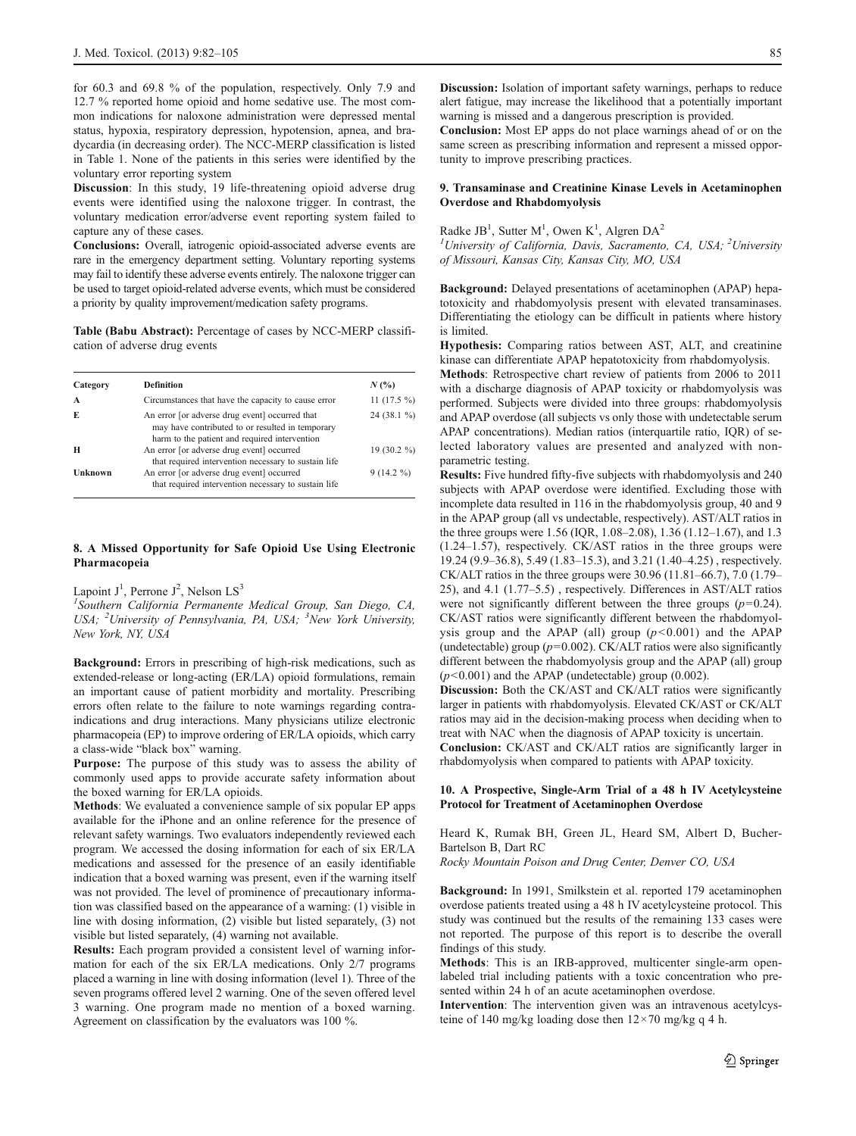for 60.3 and 69.8 % of the population, respectively. Only 7.9 and 12.7 % reported home opioid and home sedative use. The most common indications for naloxone administration were depressed mental status, hypoxia, respiratory depression, hypotension, apnea, and bradycardia (in decreasing order). The NCC-MERP classification is listed in Table 1. None of the patients in this series were identified by the voluntary error reporting system

Discussion: In this study, 19 life-threatening opioid adverse drug events were identified using the naloxone trigger. In contrast, the voluntary medication error/adverse event reporting system failed to capture any of these cases.

Conclusions: Overall, iatrogenic opioid-associated adverse events are rare in the emergency department setting. Voluntary reporting systems may fail to identify these adverse events entirely. The naloxone trigger can be used to target opioid-related adverse events, which must be considered a priority by quality improvement/medication safety programs.

Table (Babu Abstract): Percentage of cases by NCC-MERP classification of adverse drug events

| Category     | <b>Definition</b>                                                                                                                                   | $N(\%)$       |
|--------------|-----------------------------------------------------------------------------------------------------------------------------------------------------|---------------|
| $\mathbf{A}$ | Circumstances that have the capacity to cause error                                                                                                 | 11 $(17.5\%)$ |
| E            | An error [or adverse drug event] occurred that<br>may have contributed to or resulted in temporary<br>harm to the patient and required intervention | $24(38.1\%)$  |
| н            | An error for adverse drug event] occurred<br>that required intervention necessary to sustain life                                                   | $19(30.2\%)$  |
| Unknown      | An error [or adverse drug event] occurred<br>that required intervention necessary to sustain life                                                   | $9(14.2\%)$   |

#### 8. A Missed Opportunity for Safe Opioid Use Using Electronic Pharmacopeia

# Lapoint  $J^1$ , Perrone  $J^2$ , Nelson  $LS^3$

<sup>1</sup>Southern California Permanente Medical Group, San Diego, CA, USA; <sup>2</sup>University of Pennsylvania, PA, USA; <sup>3</sup>New York University, New York, NY, USA

Background: Errors in prescribing of high-risk medications, such as extended-release or long-acting (ER/LA) opioid formulations, remain an important cause of patient morbidity and mortality. Prescribing errors often relate to the failure to note warnings regarding contraindications and drug interactions. Many physicians utilize electronic pharmacopeia (EP) to improve ordering of ER/LA opioids, which carry a class-wide "black box" warning.

Purpose: The purpose of this study was to assess the ability of commonly used apps to provide accurate safety information about the boxed warning for ER/LA opioids.

Methods: We evaluated a convenience sample of six popular EP apps available for the iPhone and an online reference for the presence of relevant safety warnings. Two evaluators independently reviewed each program. We accessed the dosing information for each of six ER/LA medications and assessed for the presence of an easily identifiable indication that a boxed warning was present, even if the warning itself was not provided. The level of prominence of precautionary information was classified based on the appearance of a warning: (1) visible in line with dosing information, (2) visible but listed separately, (3) not visible but listed separately, (4) warning not available.

Results: Each program provided a consistent level of warning information for each of the six ER/LA medications. Only 2/7 programs placed a warning in line with dosing information (level 1). Three of the seven programs offered level 2 warning. One of the seven offered level 3 warning. One program made no mention of a boxed warning. Agreement on classification by the evaluators was 100 %.

Discussion: Isolation of important safety warnings, perhaps to reduce alert fatigue, may increase the likelihood that a potentially important warning is missed and a dangerous prescription is provided.

Conclusion: Most EP apps do not place warnings ahead of or on the same screen as prescribing information and represent a missed opportunity to improve prescribing practices.

## 9. Transaminase and Creatinine Kinase Levels in Acetaminophen Overdose and Rhabdomyolysis

Radke JB<sup>1</sup>, Sutter M<sup>1</sup>, Owen K<sup>1</sup>, Algren DA<sup>2</sup>

<sup>1</sup>University of California, Davis, Sacramento, CA, USA; <sup>2</sup>University of Missouri, Kansas City, Kansas City, MO, USA

Background: Delayed presentations of acetaminophen (APAP) hepatotoxicity and rhabdomyolysis present with elevated transaminases. Differentiating the etiology can be difficult in patients where history is limited.

Hypothesis: Comparing ratios between AST, ALT, and creatinine kinase can differentiate APAP hepatotoxicity from rhabdomyolysis.

Methods: Retrospective chart review of patients from 2006 to 2011 with a discharge diagnosis of APAP toxicity or rhabdomyolysis was performed. Subjects were divided into three groups: rhabdomyolysis and APAP overdose (all subjects vs only those with undetectable serum APAP concentrations). Median ratios (interquartile ratio, IQR) of selected laboratory values are presented and analyzed with nonparametric testing.

Results: Five hundred fifty-five subjects with rhabdomyolysis and 240 subjects with APAP overdose were identified. Excluding those with incomplete data resulted in 116 in the rhabdomyolysis group, 40 and 9 in the APAP group (all vs undectable, respectively). AST/ALT ratios in the three groups were 1.56 (IQR, 1.08–2.08), 1.36 (1.12–1.67), and 1.3 (1.24–1.57), respectively. CK/AST ratios in the three groups were 19.24 (9.9–36.8), 5.49 (1.83–15.3), and 3.21 (1.40–4.25) , respectively. CK/ALT ratios in the three groups were 30.96 (11.81–66.7), 7.0 (1.79– 25), and 4.1 (1.77–5.5) , respectively. Differences in AST/ALT ratios were not significantly different between the three groups  $(p=0.24)$ . CK/AST ratios were significantly different between the rhabdomyolysis group and the APAP (all) group  $(p<0.001)$  and the APAP (undetectable) group ( $p=0.002$ ). CK/ALT ratios were also significantly different between the rhabdomyolysis group and the APAP (all) group  $(p<0.001)$  and the APAP (undetectable) group (0.002).

Discussion: Both the CK/AST and CK/ALT ratios were significantly larger in patients with rhabdomyolysis. Elevated CK/AST or CK/ALT ratios may aid in the decision-making process when deciding when to treat with NAC when the diagnosis of APAP toxicity is uncertain.

Conclusion: CK/AST and CK/ALT ratios are significantly larger in rhabdomyolysis when compared to patients with APAP toxicity.

#### 10. A Prospective, Single-Arm Trial of a 48 h IV Acetylcysteine Protocol for Treatment of Acetaminophen Overdose

Heard K, Rumak BH, Green JL, Heard SM, Albert D, Bucher-Bartelson B, Dart RC

Rocky Mountain Poison and Drug Center, Denver CO, USA

Background: In 1991, Smilkstein et al. reported 179 acetaminophen overdose patients treated using a 48 h IV acetylcysteine protocol. This study was continued but the results of the remaining 133 cases were not reported. The purpose of this report is to describe the overall findings of this study.

Methods: This is an IRB-approved, multicenter single-arm openlabeled trial including patients with a toxic concentration who presented within 24 h of an acute acetaminophen overdose.

Intervention: The intervention given was an intravenous acetylcysteine of 140 mg/kg loading dose then 12×70 mg/kg q 4 h.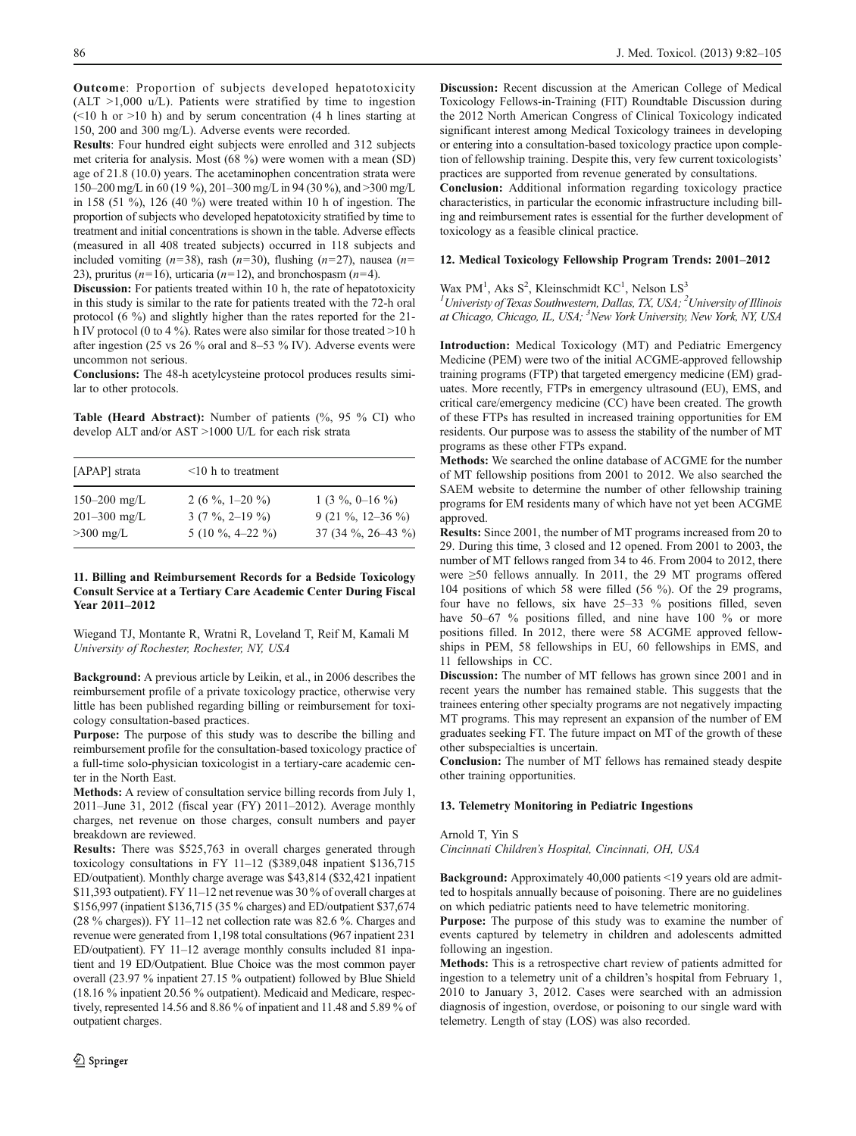Outcome: Proportion of subjects developed hepatotoxicity  $(ALT >1,000$  u/L). Patients were stratified by time to ingestion  $(\leq 10$  h or  $> 10$  h) and by serum concentration (4 h lines starting at 150, 200 and 300 mg/L). Adverse events were recorded.

Results: Four hundred eight subjects were enrolled and 312 subjects met criteria for analysis. Most (68 %) were women with a mean (SD) age of 21.8 (10.0) years. The acetaminophen concentration strata were 150–200 mg/L in 60 (19 %), 201–300 mg/L in 94 (30 %), and >300 mg/L in 158 (51 %), 126 (40 %) were treated within 10 h of ingestion. The proportion of subjects who developed hepatotoxicity stratified by time to treatment and initial concentrations is shown in the table. Adverse effects (measured in all 408 treated subjects) occurred in 118 subjects and included vomiting ( $n=38$ ), rash ( $n=30$ ), flushing ( $n=27$ ), nausea ( $n=$ 23), pruritus ( $n=16$ ), urticaria ( $n=12$ ), and bronchospasm ( $n=4$ ).

Discussion: For patients treated within 10 h, the rate of hepatotoxicity in this study is similar to the rate for patients treated with the 72-h oral protocol (6 %) and slightly higher than the rates reported for the 21 h IV protocol (0 to 4 %). Rates were also similar for those treated >10 h after ingestion (25 vs 26 % oral and 8–53 % IV). Adverse events were uncommon not serious.

Conclusions: The 48-h acetylcysteine protocol produces results similar to other protocols.

Table (Heard Abstract): Number of patients (%, 95 % CI) who develop ALT and/or AST >1000 U/L for each risk strata

| [APAP] strata    | $\leq 10$ h to treatment |                            |
|------------------|--------------------------|----------------------------|
| $150 - 200$ mg/L | 2 (6 \%, 1-20 \%)        | 1 (3 %, 0–16 %)            |
| $201 - 300$ mg/L | $3(7\%, 2-19\%)$         | 9 (21 %, 12-36 %)          |
| $>300$ mg/L      | 5 (10 %, 4-22 %)         | 37 (34 $\%$ , 26–43 $\%$ ) |

#### 11. Billing and Reimbursement Records for a Bedside Toxicology Consult Service at a Tertiary Care Academic Center During Fiscal Year 2011–2012

Wiegand TJ, Montante R, Wratni R, Loveland T, Reif M, Kamali M University of Rochester, Rochester, NY, USA

Background: A previous article by Leikin, et al., in 2006 describes the reimbursement profile of a private toxicology practice, otherwise very little has been published regarding billing or reimbursement for toxicology consultation-based practices.

Purpose: The purpose of this study was to describe the billing and reimbursement profile for the consultation-based toxicology practice of a full-time solo-physician toxicologist in a tertiary-care academic center in the North East.

Methods: A review of consultation service billing records from July 1, 2011–June 31, 2012 (fiscal year (FY) 2011–2012). Average monthly charges, net revenue on those charges, consult numbers and payer breakdown are reviewed.

Results: There was \$525,763 in overall charges generated through toxicology consultations in FY 11–12 (\$389,048 inpatient \$136,715 ED/outpatient). Monthly charge average was \$43,814 (\$32,421 inpatient \$11,393 outpatient). FY 11–12 net revenue was 30 % of overall charges at \$156,997 (inpatient \$136,715 (35 % charges) and ED/outpatient \$37,674 (28 % charges)). FY 11–12 net collection rate was 82.6 %. Charges and revenue were generated from 1,198 total consultations (967 inpatient 231 ED/outpatient). FY 11–12 average monthly consults included 81 inpatient and 19 ED/Outpatient. Blue Choice was the most common payer overall (23.97 % inpatient 27.15 % outpatient) followed by Blue Shield (18.16 % inpatient 20.56 % outpatient). Medicaid and Medicare, respectively, represented 14.56 and 8.86 % of inpatient and 11.48 and 5.89 % of outpatient charges.

Discussion: Recent discussion at the American College of Medical Toxicology Fellows-in-Training (FIT) Roundtable Discussion during the 2012 North American Congress of Clinical Toxicology indicated significant interest among Medical Toxicology trainees in developing or entering into a consultation-based toxicology practice upon completion of fellowship training. Despite this, very few current toxicologists' practices are supported from revenue generated by consultations. Conclusion: Additional information regarding toxicology practice characteristics, in particular the economic infrastructure including billing and reimbursement rates is essential for the further development of toxicology as a feasible clinical practice.

#### 12. Medical Toxicology Fellowship Program Trends: 2001–2012

Wax PM<sup>1</sup>, Aks  $S^2$ , Kleinschmidt KC<sup>1</sup>, Nelson LS<sup>3</sup>

<sup>1</sup> Univeristy of Texas Southwestern, Dallas, TX, USA; <sup>2</sup> University of Illinois at Chicago, Chicago, IL, USA; <sup>3</sup>New York University, New York, NY, USA

Introduction: Medical Toxicology (MT) and Pediatric Emergency Medicine (PEM) were two of the initial ACGME-approved fellowship training programs (FTP) that targeted emergency medicine (EM) graduates. More recently, FTPs in emergency ultrasound (EU), EMS, and critical care/emergency medicine (CC) have been created. The growth of these FTPs has resulted in increased training opportunities for EM residents. Our purpose was to assess the stability of the number of MT programs as these other FTPs expand.

Methods: We searched the online database of ACGME for the number of MT fellowship positions from 2001 to 2012. We also searched the SAEM website to determine the number of other fellowship training programs for EM residents many of which have not yet been ACGME approved.

Results: Since 2001, the number of MT programs increased from 20 to 29. During this time, 3 closed and 12 opened. From 2001 to 2003, the number of MT fellows ranged from 34 to 46. From 2004 to 2012, there were ≥50 fellows annually. In 2011, the 29 MT programs offered 104 positions of which 58 were filled (56 %). Of the 29 programs, four have no fellows, six have 25–33 % positions filled, seven have 50–67 % positions filled, and nine have 100 % or more positions filled. In 2012, there were 58 ACGME approved fellowships in PEM, 58 fellowships in EU, 60 fellowships in EMS, and 11 fellowships in CC.

Discussion: The number of MT fellows has grown since 2001 and in recent years the number has remained stable. This suggests that the trainees entering other specialty programs are not negatively impacting MT programs. This may represent an expansion of the number of EM graduates seeking FT. The future impact on MT of the growth of these other subspecialties is uncertain.

Conclusion: The number of MT fellows has remained steady despite other training opportunities.

#### 13. Telemetry Monitoring in Pediatric Ingestions

Arnold T, Yin S

Cincinnati Children's Hospital, Cincinnati, OH, USA

Background: Approximately 40,000 patients <19 years old are admitted to hospitals annually because of poisoning. There are no guidelines on which pediatric patients need to have telemetric monitoring.

Purpose: The purpose of this study was to examine the number of events captured by telemetry in children and adolescents admitted following an ingestion.

Methods: This is a retrospective chart review of patients admitted for ingestion to a telemetry unit of a children's hospital from February 1, 2010 to January 3, 2012. Cases were searched with an admission diagnosis of ingestion, overdose, or poisoning to our single ward with telemetry. Length of stay (LOS) was also recorded.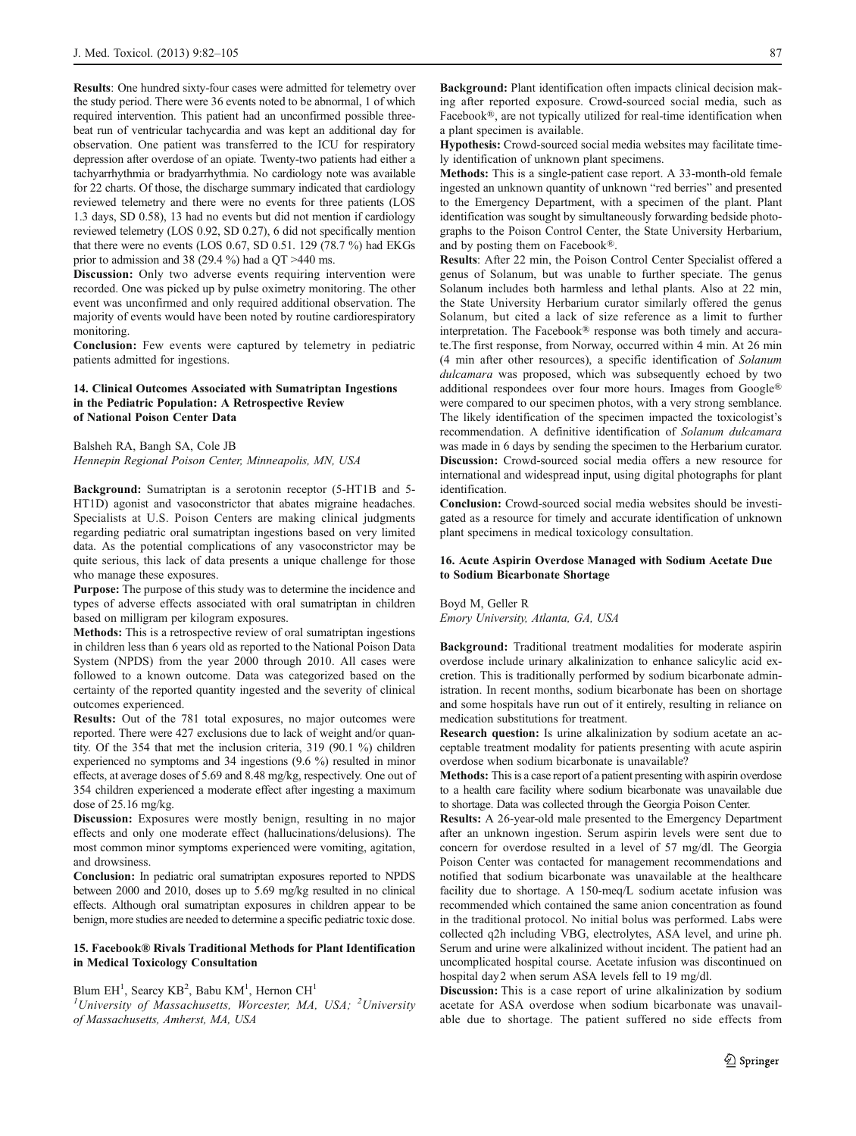Results: One hundred sixty-four cases were admitted for telemetry over the study period. There were 36 events noted to be abnormal, 1 of which required intervention. This patient had an unconfirmed possible threebeat run of ventricular tachycardia and was kept an additional day for observation. One patient was transferred to the ICU for respiratory depression after overdose of an opiate. Twenty-two patients had either a tachyarrhythmia or bradyarrhythmia. No cardiology note was available for 22 charts. Of those, the discharge summary indicated that cardiology reviewed telemetry and there were no events for three patients (LOS 1.3 days, SD 0.58), 13 had no events but did not mention if cardiology reviewed telemetry (LOS 0.92, SD 0.27), 6 did not specifically mention that there were no events (LOS 0.67, SD 0.51. 129 (78.7 %) had EKGs prior to admission and 38 (29.4 %) had a QT >440 ms.

Discussion: Only two adverse events requiring intervention were recorded. One was picked up by pulse oximetry monitoring. The other event was unconfirmed and only required additional observation. The majority of events would have been noted by routine cardiorespiratory monitoring.

Conclusion: Few events were captured by telemetry in pediatric patients admitted for ingestions.

## 14. Clinical Outcomes Associated with Sumatriptan Ingestions in the Pediatric Population: A Retrospective Review of National Poison Center Data

Balsheh RA, Bangh SA, Cole JB Hennepin Regional Poison Center, Minneapolis, MN, USA

Background: Sumatriptan is a serotonin receptor (5-HT1B and 5- HT1D) agonist and vasoconstrictor that abates migraine headaches. Specialists at U.S. Poison Centers are making clinical judgments regarding pediatric oral sumatriptan ingestions based on very limited data. As the potential complications of any vasoconstrictor may be quite serious, this lack of data presents a unique challenge for those who manage these exposures.

Purpose: The purpose of this study was to determine the incidence and types of adverse effects associated with oral sumatriptan in children based on milligram per kilogram exposures.

Methods: This is a retrospective review of oral sumatriptan ingestions in children less than 6 years old as reported to the National Poison Data System (NPDS) from the year 2000 through 2010. All cases were followed to a known outcome. Data was categorized based on the certainty of the reported quantity ingested and the severity of clinical outcomes experienced.

Results: Out of the 781 total exposures, no major outcomes were reported. There were 427 exclusions due to lack of weight and/or quantity. Of the 354 that met the inclusion criteria, 319 (90.1 %) children experienced no symptoms and 34 ingestions (9.6 %) resulted in minor effects, at average doses of 5.69 and 8.48 mg/kg, respectively. One out of 354 children experienced a moderate effect after ingesting a maximum dose of 25.16 mg/kg.

Discussion: Exposures were mostly benign, resulting in no major effects and only one moderate effect (hallucinations/delusions). The most common minor symptoms experienced were vomiting, agitation, and drowsiness.

Conclusion: In pediatric oral sumatriptan exposures reported to NPDS between 2000 and 2010, doses up to 5.69 mg/kg resulted in no clinical effects. Although oral sumatriptan exposures in children appear to be benign, more studies are needed to determine a specific pediatric toxic dose.

#### 15. Facebook® Rivals Traditional Methods for Plant Identification in Medical Toxicology Consultation

Blum  $EH<sup>1</sup>$ , Searcy  $KB<sup>2</sup>$ , Babu  $KM<sup>1</sup>$ , Hernon  $CH<sup>1</sup>$ 

<sup>1</sup>University of Massachusetts, Worcester, MA, USA; <sup>2</sup>University of Massachusetts, Amherst, MA, USA

Background: Plant identification often impacts clinical decision making after reported exposure. Crowd-sourced social media, such as Facebook®, are not typically utilized for real-time identification when a plant specimen is available.

Hypothesis: Crowd-sourced social media websites may facilitate timely identification of unknown plant specimens.

Methods: This is a single-patient case report. A 33-month-old female ingested an unknown quantity of unknown "red berries" and presented to the Emergency Department, with a specimen of the plant. Plant identification was sought by simultaneously forwarding bedside photographs to the Poison Control Center, the State University Herbarium, and by posting them on Facebook®.

Results: After 22 min, the Poison Control Center Specialist offered a genus of Solanum, but was unable to further speciate. The genus Solanum includes both harmless and lethal plants. Also at 22 min, the State University Herbarium curator similarly offered the genus Solanum, but cited a lack of size reference as a limit to further interpretation. The Facebook® response was both timely and accurate.The first response, from Norway, occurred within 4 min. At 26 min (4 min after other resources), a specific identification of Solanum dulcamara was proposed, which was subsequently echoed by two additional respondees over four more hours. Images from Google® were compared to our specimen photos, with a very strong semblance. The likely identification of the specimen impacted the toxicologist's recommendation. A definitive identification of Solanum dulcamara was made in 6 days by sending the specimen to the Herbarium curator. Discussion: Crowd-sourced social media offers a new resource for international and widespread input, using digital photographs for plant identification.

Conclusion: Crowd-sourced social media websites should be investigated as a resource for timely and accurate identification of unknown plant specimens in medical toxicology consultation.

#### 16. Acute Aspirin Overdose Managed with Sodium Acetate Due to Sodium Bicarbonate Shortage

Boyd M, Geller R Emory University, Atlanta, GA, USA

Background: Traditional treatment modalities for moderate aspirin overdose include urinary alkalinization to enhance salicylic acid excretion. This is traditionally performed by sodium bicarbonate administration. In recent months, sodium bicarbonate has been on shortage and some hospitals have run out of it entirely, resulting in reliance on medication substitutions for treatment.

Research question: Is urine alkalinization by sodium acetate an acceptable treatment modality for patients presenting with acute aspirin overdose when sodium bicarbonate is unavailable?

Methods: This is a case report of a patient presenting with aspirin overdose to a health care facility where sodium bicarbonate was unavailable due to shortage. Data was collected through the Georgia Poison Center.

Results: A 26-year-old male presented to the Emergency Department after an unknown ingestion. Serum aspirin levels were sent due to concern for overdose resulted in a level of 57 mg/dl. The Georgia Poison Center was contacted for management recommendations and notified that sodium bicarbonate was unavailable at the healthcare facility due to shortage. A 150-meq/L sodium acetate infusion was recommended which contained the same anion concentration as found in the traditional protocol. No initial bolus was performed. Labs were collected q2h including VBG, electrolytes, ASA level, and urine ph. Serum and urine were alkalinized without incident. The patient had an uncomplicated hospital course. Acetate infusion was discontinued on hospital day2 when serum ASA levels fell to 19 mg/dl.

Discussion: This is a case report of urine alkalinization by sodium acetate for ASA overdose when sodium bicarbonate was unavailable due to shortage. The patient suffered no side effects from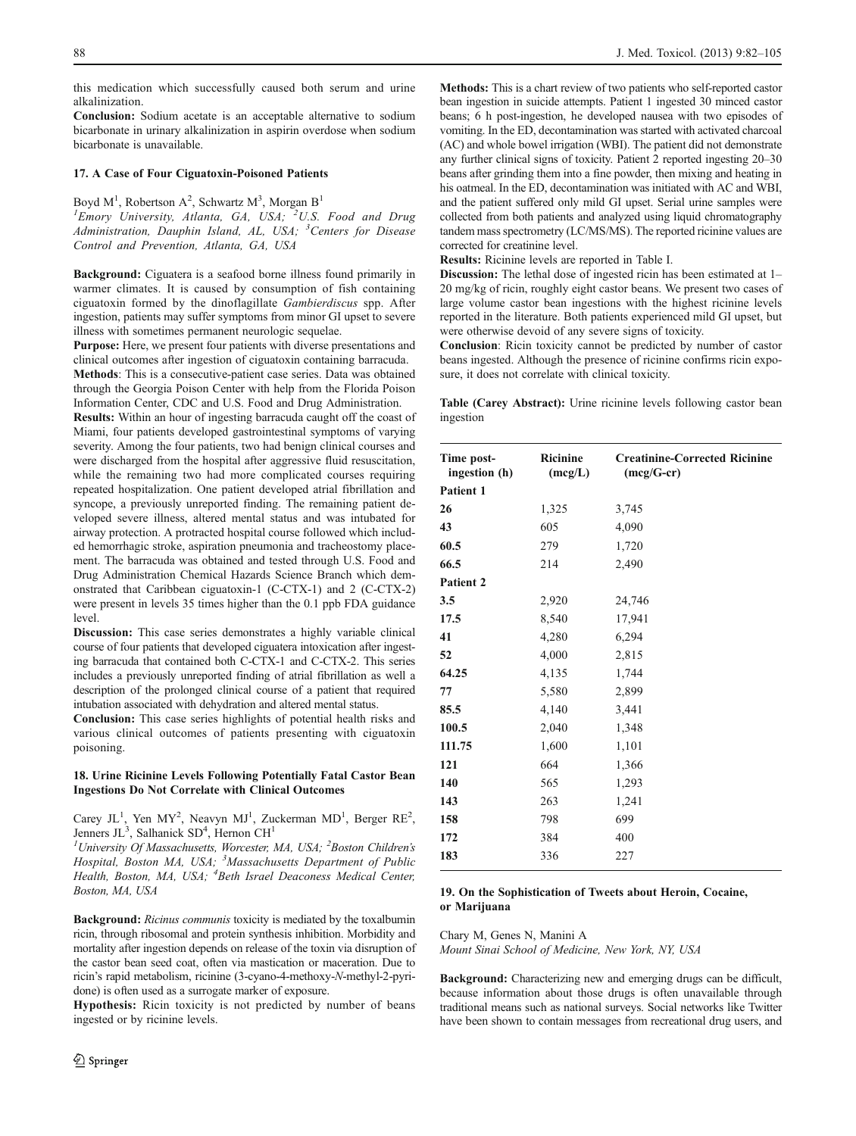this medication which successfully caused both serum and urine alkalinization.

Conclusion: Sodium acetate is an acceptable alternative to sodium bicarbonate in urinary alkalinization in aspirin overdose when sodium bicarbonate is unavailable.

#### 17. A Case of Four Ciguatoxin-Poisoned Patients

Boyd M<sup>1</sup>, Robertson A<sup>2</sup>, Schwartz M<sup>3</sup>, Morgan B<sup>1</sup>

 ${}^{1}$ Emory University, Atlanta, GA, USA;  ${}^{2}$ U.S. Food and Drug Administration, Dauphin Island, AL, USA; <sup>3</sup>Centers for Disease Control and Prevention, Atlanta, GA, USA

Background: Ciguatera is a seafood borne illness found primarily in warmer climates. It is caused by consumption of fish containing ciguatoxin formed by the dinoflagillate Gambierdiscus spp. After ingestion, patients may suffer symptoms from minor GI upset to severe illness with sometimes permanent neurologic sequelae.

Purpose: Here, we present four patients with diverse presentations and clinical outcomes after ingestion of ciguatoxin containing barracuda.

Methods: This is a consecutive-patient case series. Data was obtained through the Georgia Poison Center with help from the Florida Poison Information Center, CDC and U.S. Food and Drug Administration.

Results: Within an hour of ingesting barracuda caught off the coast of Miami, four patients developed gastrointestinal symptoms of varying severity. Among the four patients, two had benign clinical courses and were discharged from the hospital after aggressive fluid resuscitation, while the remaining two had more complicated courses requiring repeated hospitalization. One patient developed atrial fibrillation and syncope, a previously unreported finding. The remaining patient developed severe illness, altered mental status and was intubated for airway protection. A protracted hospital course followed which included hemorrhagic stroke, aspiration pneumonia and tracheostomy placement. The barracuda was obtained and tested through U.S. Food and Drug Administration Chemical Hazards Science Branch which demonstrated that Caribbean ciguatoxin-1 (C-CTX-1) and 2 (C-CTX-2) were present in levels 35 times higher than the 0.1 ppb FDA guidance level.

Discussion: This case series demonstrates a highly variable clinical course of four patients that developed ciguatera intoxication after ingesting barracuda that contained both C-CTX-1 and C-CTX-2. This series includes a previously unreported finding of atrial fibrillation as well a description of the prolonged clinical course of a patient that required intubation associated with dehydration and altered mental status.

Conclusion: This case series highlights of potential health risks and various clinical outcomes of patients presenting with ciguatoxin poisoning.

## 18. Urine Ricinine Levels Following Potentially Fatal Castor Bean Ingestions Do Not Correlate with Clinical Outcomes

Carey JL<sup>1</sup>, Yen MY<sup>2</sup>, Neavyn MJ<sup>1</sup>, Zuckerman MD<sup>1</sup>, Berger RE<sup>2</sup>, Jenners JL<sup>3</sup>, Salhanick SD<sup>4</sup>, Hernon CH<sup>1</sup>

<sup>1</sup>University Of Massachusetts, Worcester, MA, USA;  ${}^{2}$ Boston Children's Hospital, Boston MA, USA; <sup>3</sup>Massachusetts Department of Public Health, Boston, MA, USA; <sup>4</sup> Beth Israel Deaconess Medical Center, Boston, MA, USA

Background: Ricinus communis toxicity is mediated by the toxalbumin ricin, through ribosomal and protein synthesis inhibition. Morbidity and mortality after ingestion depends on release of the toxin via disruption of the castor bean seed coat, often via mastication or maceration. Due to ricin's rapid metabolism, ricinine (3-cyano-4-methoxy-N-methyl-2-pyridone) is often used as a surrogate marker of exposure.

Hypothesis: Ricin toxicity is not predicted by number of beans ingested or by ricinine levels.

Methods: This is a chart review of two patients who self-reported castor bean ingestion in suicide attempts. Patient 1 ingested 30 minced castor beans; 6 h post-ingestion, he developed nausea with two episodes of vomiting. In the ED, decontamination was started with activated charcoal (AC) and whole bowel irrigation (WBI). The patient did not demonstrate any further clinical signs of toxicity. Patient 2 reported ingesting 20–30 beans after grinding them into a fine powder, then mixing and heating in his oatmeal. In the ED, decontamination was initiated with AC and WBI, and the patient suffered only mild GI upset. Serial urine samples were collected from both patients and analyzed using liquid chromatography tandem mass spectrometry (LC/MS/MS). The reported ricinine values are corrected for creatinine level.

Results: Ricinine levels are reported in Table I.

Discussion: The lethal dose of ingested ricin has been estimated at 1– 20 mg/kg of ricin, roughly eight castor beans. We present two cases of large volume castor bean ingestions with the highest ricinine levels reported in the literature. Both patients experienced mild GI upset, but were otherwise devoid of any severe signs of toxicity.

Conclusion: Ricin toxicity cannot be predicted by number of castor beans ingested. Although the presence of ricinine confirms ricin exposure, it does not correlate with clinical toxicity.

Table (Carey Abstract): Urine ricinine levels following castor bean ingestion

| Time post-<br>ingestion (h) | <b>Ricinine</b><br>(mcg/L) | <b>Creatinine-Corrected Ricinine</b><br>$(meg/G-cr)$ |
|-----------------------------|----------------------------|------------------------------------------------------|
| Patient 1                   |                            |                                                      |
| 26                          | 1,325                      | 3,745                                                |
| 43                          | 605                        | 4,090                                                |
| 60.5                        | 279                        | 1,720                                                |
| 66.5                        | 214                        | 2,490                                                |
| Patient 2                   |                            |                                                      |
| 3.5                         | 2,920                      | 24,746                                               |
| 17.5                        | 8,540                      | 17,941                                               |
| 41                          | 4,280                      | 6,294                                                |
| 52                          | 4,000                      | 2,815                                                |
| 64.25                       | 4,135                      | 1,744                                                |
| 77                          | 5,580                      | 2,899                                                |
| 85.5                        | 4,140                      | 3,441                                                |
| 100.5                       | 2,040                      | 1,348                                                |
| 111.75                      | 1,600                      | 1,101                                                |
| 121                         | 664                        | 1,366                                                |
| 140                         | 565                        | 1,293                                                |
| 143                         | 263                        | 1,241                                                |
| 158                         | 798                        | 699                                                  |
| 172                         | 384                        | 400                                                  |
| 183                         | 336                        | 227                                                  |

# 19. On the Sophistication of Tweets about Heroin, Cocaine, or Marijuana

Chary M, Genes N, Manini A

Mount Sinai School of Medicine, New York, NY, USA

Background: Characterizing new and emerging drugs can be difficult, because information about those drugs is often unavailable through traditional means such as national surveys. Social networks like Twitter have been shown to contain messages from recreational drug users, and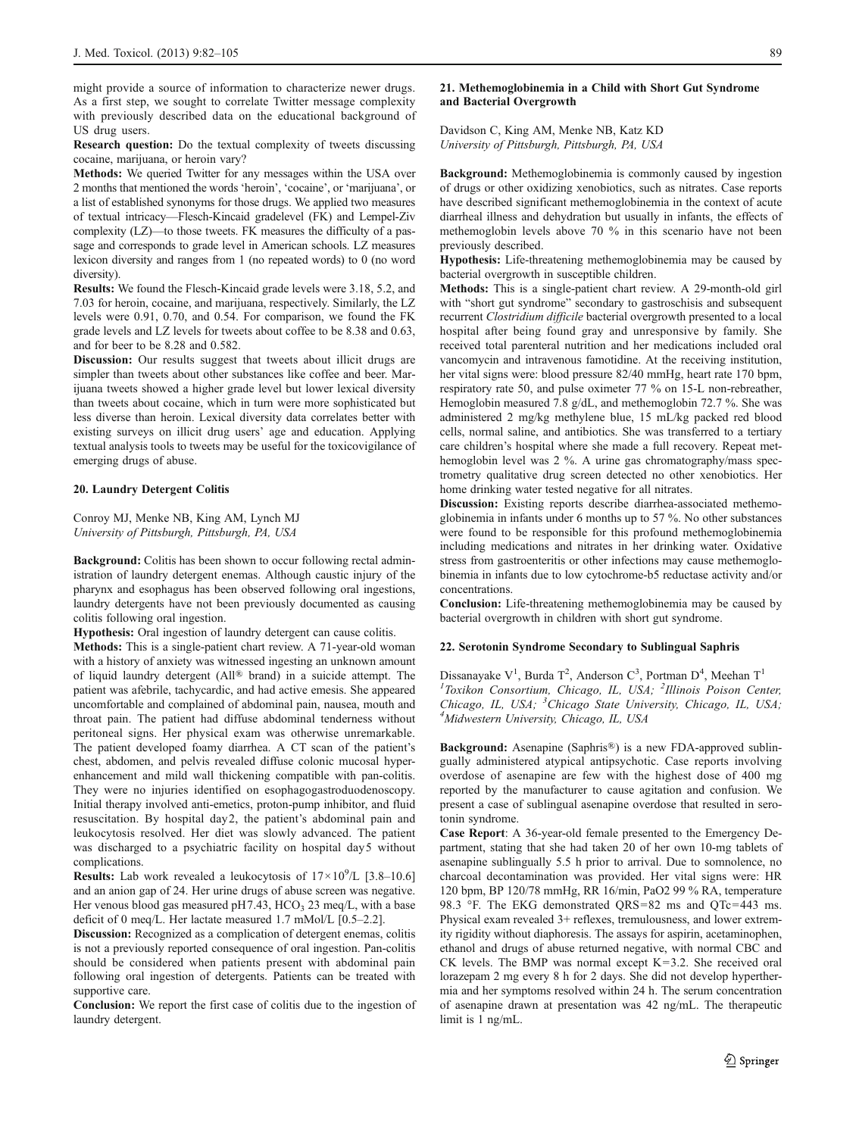might provide a source of information to characterize newer drugs. As a first step, we sought to correlate Twitter message complexity with previously described data on the educational background of US drug users.

Research question: Do the textual complexity of tweets discussing cocaine, marijuana, or heroin vary?

Methods: We queried Twitter for any messages within the USA over 2 months that mentioned the words 'heroin', 'cocaine', or 'marijuana', or a list of established synonyms for those drugs. We applied two measures of textual intricacy—Flesch-Kincaid gradelevel (FK) and Lempel-Ziv complexity (LZ)—to those tweets. FK measures the difficulty of a passage and corresponds to grade level in American schools. LZ measures lexicon diversity and ranges from 1 (no repeated words) to 0 (no word diversity).

Results: We found the Flesch-Kincaid grade levels were 3.18, 5.2, and 7.03 for heroin, cocaine, and marijuana, respectively. Similarly, the LZ levels were 0.91, 0.70, and 0.54. For comparison, we found the FK grade levels and LZ levels for tweets about coffee to be 8.38 and 0.63, and for beer to be 8.28 and 0.582.

Discussion: Our results suggest that tweets about illicit drugs are simpler than tweets about other substances like coffee and beer. Marijuana tweets showed a higher grade level but lower lexical diversity than tweets about cocaine, which in turn were more sophisticated but less diverse than heroin. Lexical diversity data correlates better with existing surveys on illicit drug users' age and education. Applying textual analysis tools to tweets may be useful for the toxicovigilance of emerging drugs of abuse.

#### 20. Laundry Detergent Colitis

Conroy MJ, Menke NB, King AM, Lynch MJ University of Pittsburgh, Pittsburgh, PA, USA

Background: Colitis has been shown to occur following rectal administration of laundry detergent enemas. Although caustic injury of the pharynx and esophagus has been observed following oral ingestions, laundry detergents have not been previously documented as causing colitis following oral ingestion.

Hypothesis: Oral ingestion of laundry detergent can cause colitis.

Methods: This is a single-patient chart review. A 71-year-old woman with a history of anxiety was witnessed ingesting an unknown amount of liquid laundry detergent (All® brand) in a suicide attempt. The patient was afebrile, tachycardic, and had active emesis. She appeared uncomfortable and complained of abdominal pain, nausea, mouth and throat pain. The patient had diffuse abdominal tenderness without peritoneal signs. Her physical exam was otherwise unremarkable. The patient developed foamy diarrhea. A CT scan of the patient's chest, abdomen, and pelvis revealed diffuse colonic mucosal hyperenhancement and mild wall thickening compatible with pan-colitis. They were no injuries identified on esophagogastroduodenoscopy. Initial therapy involved anti-emetics, proton-pump inhibitor, and fluid resuscitation. By hospital day2, the patient's abdominal pain and leukocytosis resolved. Her diet was slowly advanced. The patient was discharged to a psychiatric facility on hospital day5 without complications.

**Results:** Lab work revealed a leukocytosis of  $17 \times 10^9$ /L [3.8-10.6] and an anion gap of 24. Her urine drugs of abuse screen was negative. Her venous blood gas measured  $pH7.43$ ,  $HCO<sub>3</sub> 23$  meg/L, with a base deficit of 0 meq/L. Her lactate measured 1.7 mMol/L [0.5–2.2].

Discussion: Recognized as a complication of detergent enemas, colitis is not a previously reported consequence of oral ingestion. Pan-colitis should be considered when patients present with abdominal pain following oral ingestion of detergents. Patients can be treated with supportive care.

Conclusion: We report the first case of colitis due to the ingestion of laundry detergent.

#### 21. Methemoglobinemia in a Child with Short Gut Syndrome and Bacterial Overgrowth

Davidson C, King AM, Menke NB, Katz KD University of Pittsburgh, Pittsburgh, PA, USA

Background: Methemoglobinemia is commonly caused by ingestion of drugs or other oxidizing xenobiotics, such as nitrates. Case reports have described significant methemoglobinemia in the context of acute diarrheal illness and dehydration but usually in infants, the effects of methemoglobin levels above 70 % in this scenario have not been previously described.

Hypothesis: Life-threatening methemoglobinemia may be caused by bacterial overgrowth in susceptible children.

Methods: This is a single-patient chart review. A 29-month-old girl with "short gut syndrome" secondary to gastroschisis and subsequent recurrent Clostridium difficile bacterial overgrowth presented to a local hospital after being found gray and unresponsive by family. She received total parenteral nutrition and her medications included oral vancomycin and intravenous famotidine. At the receiving institution, her vital signs were: blood pressure 82/40 mmHg, heart rate 170 bpm, respiratory rate 50, and pulse oximeter 77 % on 15-L non-rebreather, Hemoglobin measured 7.8 g/dL, and methemoglobin 72.7 %. She was administered 2 mg/kg methylene blue, 15 mL/kg packed red blood cells, normal saline, and antibiotics. She was transferred to a tertiary care children's hospital where she made a full recovery. Repeat methemoglobin level was 2 %. A urine gas chromatography/mass spectrometry qualitative drug screen detected no other xenobiotics. Her home drinking water tested negative for all nitrates.

Discussion: Existing reports describe diarrhea-associated methemoglobinemia in infants under 6 months up to 57 %. No other substances were found to be responsible for this profound methemoglobinemia including medications and nitrates in her drinking water. Oxidative stress from gastroenteritis or other infections may cause methemoglobinemia in infants due to low cytochrome-b5 reductase activity and/or concentrations.

Conclusion: Life-threatening methemoglobinemia may be caused by bacterial overgrowth in children with short gut syndrome.

#### 22. Serotonin Syndrome Secondary to Sublingual Saphris

Dissanayake V<sup>1</sup>, Burda T<sup>2</sup>, Anderson C<sup>3</sup>, Portman D<sup>4</sup>, Meehan T<sup>1</sup> <sup>1</sup>Toxikon Consortium, Chicago, IL, USA; <sup>2</sup>Illinois Poison Center, Chicago, IL, USA;  ${}^{3}$ Chicago State University, Chicago, IL, USA;<br> ${}^{4}$ Midyastem University Chicago, IL, USA  $4$ Midwestern University, Chicago, IL, USA

Background: Asenapine (Saphris®) is a new FDA-approved sublingually administered atypical antipsychotic. Case reports involving overdose of asenapine are few with the highest dose of 400 mg reported by the manufacturer to cause agitation and confusion. We present a case of sublingual asenapine overdose that resulted in serotonin syndrome.

Case Report: A 36-year-old female presented to the Emergency Department, stating that she had taken 20 of her own 10-mg tablets of asenapine sublingually 5.5 h prior to arrival. Due to somnolence, no charcoal decontamination was provided. Her vital signs were: HR 120 bpm, BP 120/78 mmHg, RR 16/min, PaO2 99 % RA, temperature 98.3 °F. The EKG demonstrated  $ORS=82$  ms and  $OTe=443$  ms. Physical exam revealed 3+ reflexes, tremulousness, and lower extremity rigidity without diaphoresis. The assays for aspirin, acetaminophen, ethanol and drugs of abuse returned negative, with normal CBC and  $CK$  levels. The BMP was normal except  $K=3.2$ . She received oral lorazepam 2 mg every 8 h for 2 days. She did not develop hyperthermia and her symptoms resolved within 24 h. The serum concentration of asenapine drawn at presentation was 42 ng/mL. The therapeutic limit is 1 ng/mL.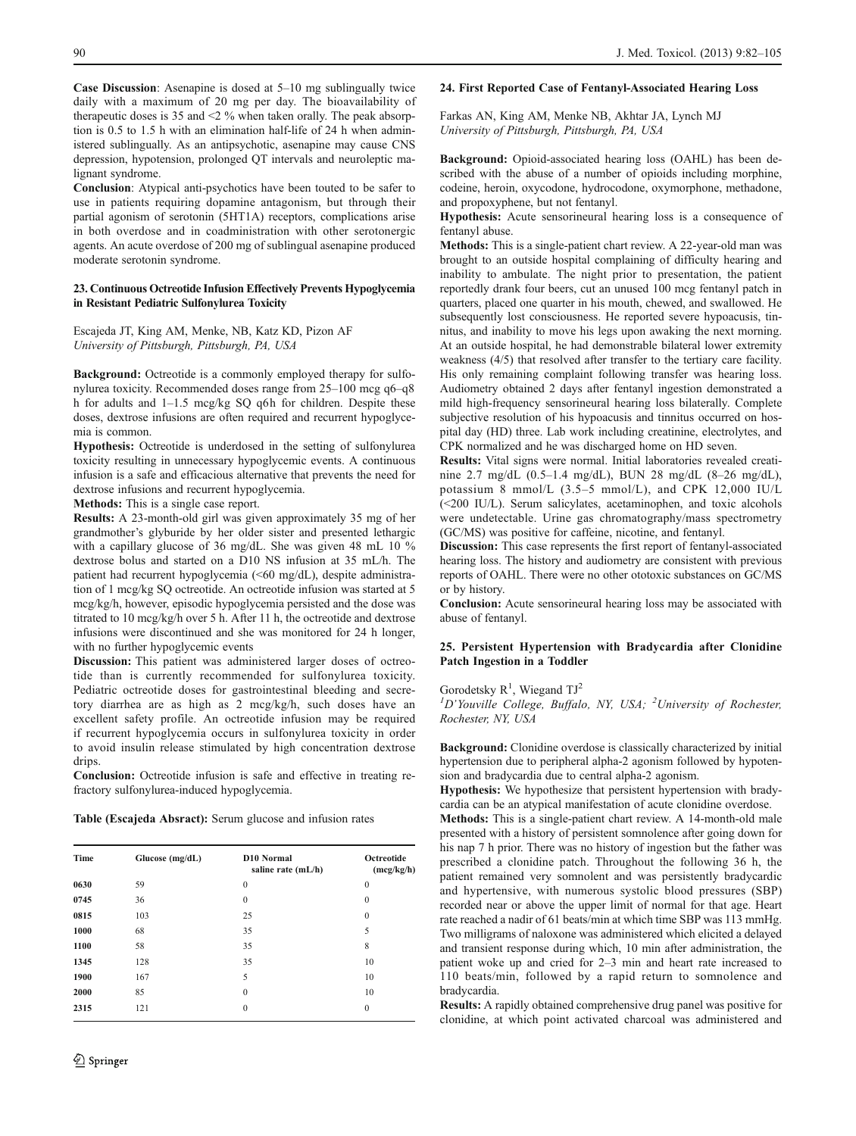Case Discussion: Asenapine is dosed at 5–10 mg sublingually twice daily with a maximum of 20 mg per day. The bioavailability of therapeutic doses is 35 and <2 % when taken orally. The peak absorption is 0.5 to 1.5 h with an elimination half-life of 24 h when administered sublingually. As an antipsychotic, asenapine may cause CNS depression, hypotension, prolonged QT intervals and neuroleptic malignant syndrome.

Conclusion: Atypical anti-psychotics have been touted to be safer to use in patients requiring dopamine antagonism, but through their partial agonism of serotonin (5HT1A) receptors, complications arise in both overdose and in coadministration with other serotonergic agents. An acute overdose of 200 mg of sublingual asenapine produced moderate serotonin syndrome.

## 23. Continuous Octreotide Infusion Effectively Prevents Hypoglycemia in Resistant Pediatric Sulfonylurea Toxicity

Escajeda JT, King AM, Menke, NB, Katz KD, Pizon AF University of Pittsburgh, Pittsburgh, PA, USA

Background: Octreotide is a commonly employed therapy for sulfonylurea toxicity. Recommended doses range from 25–100 mcg q6–q8 h for adults and 1–1.5 mcg/kg SQ q6h for children. Despite these doses, dextrose infusions are often required and recurrent hypoglycemia is common.

Hypothesis: Octreotide is underdosed in the setting of sulfonylurea toxicity resulting in unnecessary hypoglycemic events. A continuous infusion is a safe and efficacious alternative that prevents the need for dextrose infusions and recurrent hypoglycemia.

Methods: This is a single case report.

Results: A 23-month-old girl was given approximately 35 mg of her grandmother's glyburide by her older sister and presented lethargic with a capillary glucose of 36 mg/dL. She was given 48 mL 10 % dextrose bolus and started on a D10 NS infusion at 35 mL/h. The patient had recurrent hypoglycemia (<60 mg/dL), despite administration of 1 mcg/kg SQ octreotide. An octreotide infusion was started at 5 mcg/kg/h, however, episodic hypoglycemia persisted and the dose was titrated to 10 mcg/kg/h over 5 h. After 11 h, the octreotide and dextrose infusions were discontinued and she was monitored for 24 h longer, with no further hypoglycemic events

Discussion: This patient was administered larger doses of octreotide than is currently recommended for sulfonylurea toxicity. Pediatric octreotide doses for gastrointestinal bleeding and secretory diarrhea are as high as 2 mcg/kg/h, such doses have an excellent safety profile. An octreotide infusion may be required if recurrent hypoglycemia occurs in sulfonylurea toxicity in order to avoid insulin release stimulated by high concentration dextrose drips.

Conclusion: Octreotide infusion is safe and effective in treating refractory sulfonylurea-induced hypoglycemia.

Table (Escajeda Absract): Serum glucose and infusion rates

| Time | Glucose (mg/dL) | D10 Normal<br>saline rate (mL/h) | Octreotide<br>(mcg/kg/h) |  |
|------|-----------------|----------------------------------|--------------------------|--|
| 0630 | 59              | $\mathbf{0}$                     | $\mathbf{0}$             |  |
| 0745 | 36              | $\theta$                         | $\theta$                 |  |
| 0815 | 103             | 25                               | $\mathbf{0}$             |  |
| 1000 | 68              | 35                               | 5                        |  |
| 1100 | 58              | 35                               | 8                        |  |
| 1345 | 128             | 35                               | 10                       |  |
| 1900 | 167             | 5                                | 10                       |  |
| 2000 | 85              | $\mathbf{0}$                     | 10                       |  |
| 2315 | 121             | $\theta$                         | $\mathbf{0}$             |  |

#### 24. First Reported Case of Fentanyl-Associated Hearing Loss

Farkas AN, King AM, Menke NB, Akhtar JA, Lynch MJ University of Pittsburgh, Pittsburgh, PA, USA

Background: Opioid-associated hearing loss (OAHL) has been described with the abuse of a number of opioids including morphine, codeine, heroin, oxycodone, hydrocodone, oxymorphone, methadone, and propoxyphene, but not fentanyl.

Hypothesis: Acute sensorineural hearing loss is a consequence of fentanyl abuse.

Methods: This is a single-patient chart review. A 22-year-old man was brought to an outside hospital complaining of difficulty hearing and inability to ambulate. The night prior to presentation, the patient reportedly drank four beers, cut an unused 100 mcg fentanyl patch in quarters, placed one quarter in his mouth, chewed, and swallowed. He subsequently lost consciousness. He reported severe hypoacusis, tinnitus, and inability to move his legs upon awaking the next morning. At an outside hospital, he had demonstrable bilateral lower extremity weakness (4/5) that resolved after transfer to the tertiary care facility. His only remaining complaint following transfer was hearing loss. Audiometry obtained 2 days after fentanyl ingestion demonstrated a mild high-frequency sensorineural hearing loss bilaterally. Complete subjective resolution of his hypoacusis and tinnitus occurred on hospital day (HD) three. Lab work including creatinine, electrolytes, and CPK normalized and he was discharged home on HD seven.

Results: Vital signs were normal. Initial laboratories revealed creatinine 2.7 mg/dL (0.5–1.4 mg/dL), BUN 28 mg/dL (8–26 mg/dL), potassium 8 mmol/L (3.5–5 mmol/L), and CPK 12,000 IU/L (<200 IU/L). Serum salicylates, acetaminophen, and toxic alcohols were undetectable. Urine gas chromatography/mass spectrometry (GC/MS) was positive for caffeine, nicotine, and fentanyl.

Discussion: This case represents the first report of fentanyl-associated hearing loss. The history and audiometry are consistent with previous reports of OAHL. There were no other ototoxic substances on GC/MS or by history.

Conclusion: Acute sensorineural hearing loss may be associated with abuse of fentanyl.

#### 25. Persistent Hypertension with Bradycardia after Clonidine Patch Ingestion in a Toddler

# Gorodetsky  $R^1$ , Wiegand  $TJ^2$

<sup>1</sup>D'Youville College, Buffalo, NY, USA; <sup>2</sup>University of Rochester, Rochester, NY, USA

Background: Clonidine overdose is classically characterized by initial hypertension due to peripheral alpha-2 agonism followed by hypotension and bradycardia due to central alpha-2 agonism.

Hypothesis: We hypothesize that persistent hypertension with bradycardia can be an atypical manifestation of acute clonidine overdose.

Methods: This is a single-patient chart review. A 14-month-old male presented with a history of persistent somnolence after going down for his nap 7 h prior. There was no history of ingestion but the father was prescribed a clonidine patch. Throughout the following 36 h, the patient remained very somnolent and was persistently bradycardic and hypertensive, with numerous systolic blood pressures (SBP) recorded near or above the upper limit of normal for that age. Heart rate reached a nadir of 61 beats/min at which time SBP was 113 mmHg. Two milligrams of naloxone was administered which elicited a delayed and transient response during which, 10 min after administration, the patient woke up and cried for 2–3 min and heart rate increased to 110 beats/min, followed by a rapid return to somnolence and bradycardia.

Results: A rapidly obtained comprehensive drug panel was positive for clonidine, at which point activated charcoal was administered and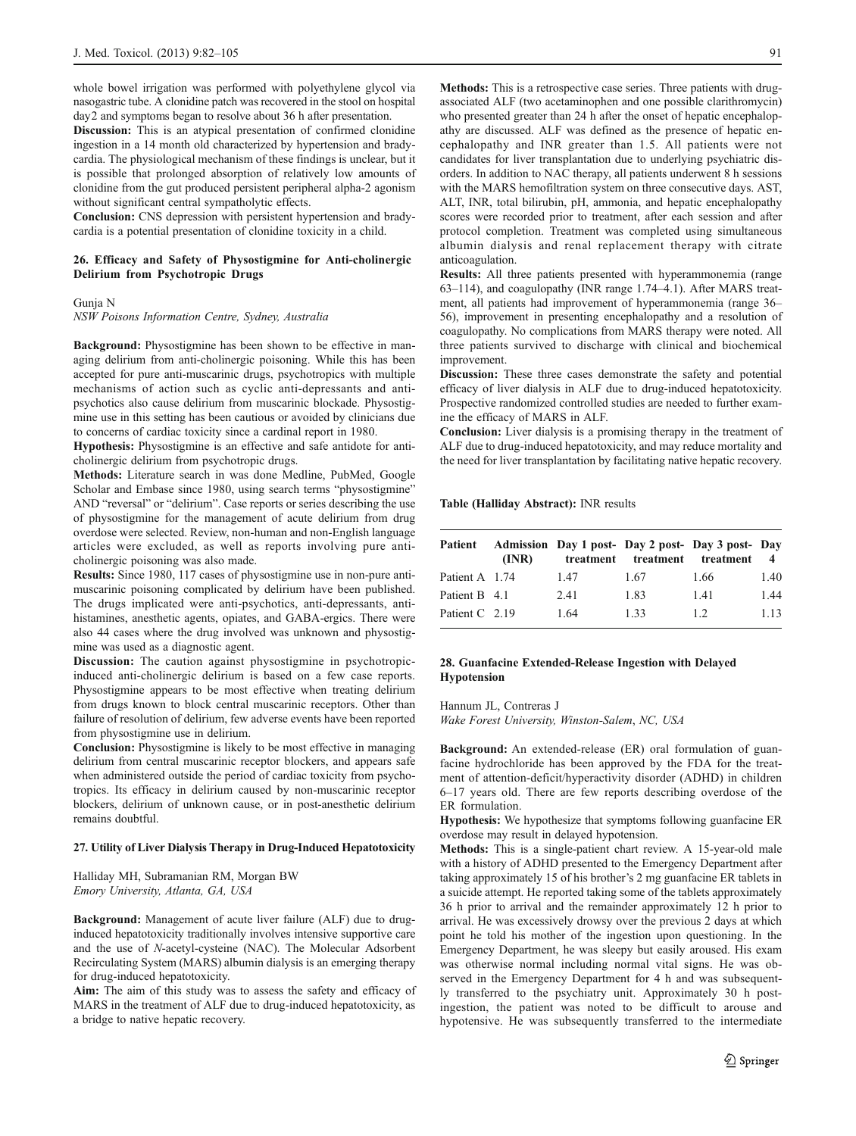whole bowel irrigation was performed with polyethylene glycol via nasogastric tube. A clonidine patch was recovered in the stool on hospital day2 and symptoms began to resolve about 36 h after presentation.

Discussion: This is an atypical presentation of confirmed clonidine ingestion in a 14 month old characterized by hypertension and bradycardia. The physiological mechanism of these findings is unclear, but it is possible that prolonged absorption of relatively low amounts of clonidine from the gut produced persistent peripheral alpha-2 agonism without significant central sympatholytic effects.

Conclusion: CNS depression with persistent hypertension and bradycardia is a potential presentation of clonidine toxicity in a child.

#### 26. Efficacy and Safety of Physostigmine for Anti-cholinergic Delirium from Psychotropic Drugs

#### Gunja N

NSW Poisons Information Centre, Sydney, Australia

Background: Physostigmine has been shown to be effective in managing delirium from anti-cholinergic poisoning. While this has been accepted for pure anti-muscarinic drugs, psychotropics with multiple mechanisms of action such as cyclic anti-depressants and antipsychotics also cause delirium from muscarinic blockade. Physostigmine use in this setting has been cautious or avoided by clinicians due to concerns of cardiac toxicity since a cardinal report in 1980.

Hypothesis: Physostigmine is an effective and safe antidote for anticholinergic delirium from psychotropic drugs.

Methods: Literature search in was done Medline, PubMed, Google Scholar and Embase since 1980, using search terms "physostigmine" AND "reversal" or "delirium". Case reports or series describing the use of physostigmine for the management of acute delirium from drug overdose were selected. Review, non-human and non-English language articles were excluded, as well as reports involving pure anticholinergic poisoning was also made.

Results: Since 1980, 117 cases of physostigmine use in non-pure antimuscarinic poisoning complicated by delirium have been published. The drugs implicated were anti-psychotics, anti-depressants, antihistamines, anesthetic agents, opiates, and GABA-ergics. There were also 44 cases where the drug involved was unknown and physostigmine was used as a diagnostic agent.

Discussion: The caution against physostigmine in psychotropicinduced anti-cholinergic delirium is based on a few case reports. Physostigmine appears to be most effective when treating delirium from drugs known to block central muscarinic receptors. Other than failure of resolution of delirium, few adverse events have been reported from physostigmine use in delirium.

Conclusion: Physostigmine is likely to be most effective in managing delirium from central muscarinic receptor blockers, and appears safe when administered outside the period of cardiac toxicity from psychotropics. Its efficacy in delirium caused by non-muscarinic receptor blockers, delirium of unknown cause, or in post-anesthetic delirium remains doubtful.

#### 27. Utility of Liver Dialysis Therapy in Drug-Induced Hepatotoxicity

Halliday MH, Subramanian RM, Morgan BW Emory University, Atlanta, GA, USA

Background: Management of acute liver failure (ALF) due to druginduced hepatotoxicity traditionally involves intensive supportive care and the use of N-acetyl-cysteine (NAC). The Molecular Adsorbent Recirculating System (MARS) albumin dialysis is an emerging therapy for drug-induced hepatotoxicity.

Aim: The aim of this study was to assess the safety and efficacy of MARS in the treatment of ALF due to drug-induced hepatotoxicity, as a bridge to native hepatic recovery.

Methods: This is a retrospective case series. Three patients with drugassociated ALF (two acetaminophen and one possible clarithromycin) who presented greater than 24 h after the onset of hepatic encephalopathy are discussed. ALF was defined as the presence of hepatic encephalopathy and INR greater than 1.5. All patients were not candidates for liver transplantation due to underlying psychiatric disorders. In addition to NAC therapy, all patients underwent 8 h sessions with the MARS hemofiltration system on three consecutive days. AST, ALT, INR, total bilirubin, pH, ammonia, and hepatic encephalopathy scores were recorded prior to treatment, after each session and after protocol completion. Treatment was completed using simultaneous albumin dialysis and renal replacement therapy with citrate anticoagulation.

Results: All three patients presented with hyperammonemia (range 63–114), and coagulopathy (INR range 1.74–4.1). After MARS treatment, all patients had improvement of hyperammonemia (range 36– 56), improvement in presenting encephalopathy and a resolution of coagulopathy. No complications from MARS therapy were noted. All three patients survived to discharge with clinical and biochemical improvement.

Discussion: These three cases demonstrate the safety and potential efficacy of liver dialysis in ALF due to drug-induced hepatotoxicity. Prospective randomized controlled studies are needed to further examine the efficacy of MARS in ALF.

Conclusion: Liver dialysis is a promising therapy in the treatment of ALF due to drug-induced hepatotoxicity, and may reduce mortality and the need for liver transplantation by facilitating native hepatic recovery.

Table (Halliday Abstract): INR results

| Patient        | (INR) |      | Admission Day 1 post-Day 2 post-Day 3 post-Day<br>treatment treatment treatment |      | 4    |
|----------------|-------|------|---------------------------------------------------------------------------------|------|------|
| Patient A 1.74 |       | 1.47 | 1.67                                                                            | 1.66 | 1.40 |
| Patient B 4.1  |       | 2.41 | 1.83                                                                            | 1.41 | 1.44 |
| Patient C 2.19 |       | 1.64 | 1.33                                                                            | 12   | 1.13 |

# 28. Guanfacine Extended-Release Ingestion with Delayed Hypotension

Hannum JL, Contreras J Wake Forest University, Winston-Salem, NC, USA

Background: An extended-release (ER) oral formulation of guanfacine hydrochloride has been approved by the FDA for the treatment of attention-deficit/hyperactivity disorder (ADHD) in children 6–17 years old. There are few reports describing overdose of the ER formulation.

Hypothesis: We hypothesize that symptoms following guanfacine ER overdose may result in delayed hypotension.

Methods: This is a single-patient chart review. A 15-year-old male with a history of ADHD presented to the Emergency Department after taking approximately 15 of his brother's 2 mg guanfacine ER tablets in a suicide attempt. He reported taking some of the tablets approximately 36 h prior to arrival and the remainder approximately 12 h prior to arrival. He was excessively drowsy over the previous 2 days at which point he told his mother of the ingestion upon questioning. In the Emergency Department, he was sleepy but easily aroused. His exam was otherwise normal including normal vital signs. He was observed in the Emergency Department for 4 h and was subsequently transferred to the psychiatry unit. Approximately 30 h postingestion, the patient was noted to be difficult to arouse and hypotensive. He was subsequently transferred to the intermediate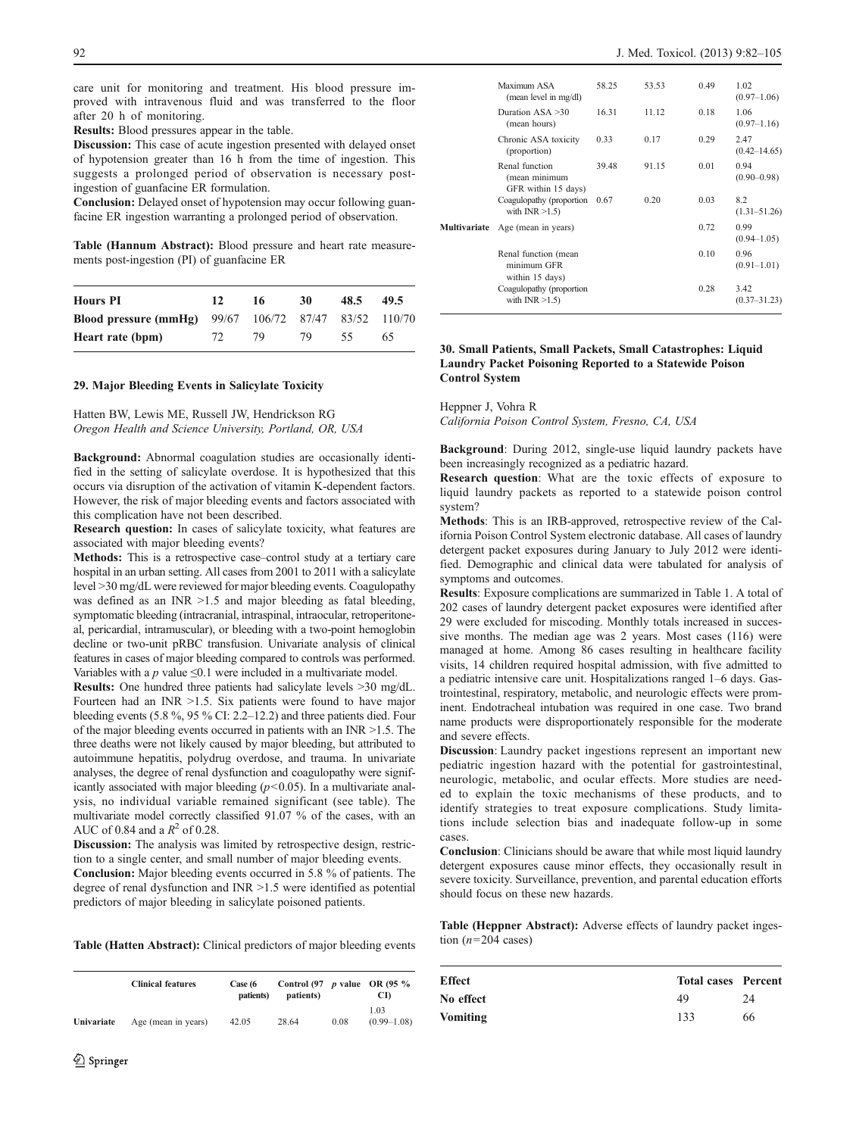92 J. Med. Toxicol. (2013) 9:82–105

care unit for monitoring and treatment. His blood pressure improved with intravenous fluid and was transferred to the floor after 20 h of monitoring.

Results: Blood pressures appear in the table.

Discussion: This case of acute ingestion presented with delayed onset of hypotension greater than 16 h from the time of ingestion. This suggests a prolonged period of observation is necessary postingestion of guanfacine ER formulation.

Conclusion: Delayed onset of hypotension may occur following guanfacine ER ingestion warranting a prolonged period of observation.

Table (Hannum Abstract): Blood pressure and heart rate measurements post-ingestion (PI) of guanfacine ER

| <b>Hours PI</b>                                                        | 12 | 16 | 30 | 48.5 | 49.5 |
|------------------------------------------------------------------------|----|----|----|------|------|
| <b>Blood pressure (mmHg)</b> $99/67$ $106/72$ $87/47$ $83/52$ $110/70$ |    |    |    |      |      |
| Heart rate (bpm)                                                       | 72 | 79 | 79 | 55   | 65.  |

# 29. Major Bleeding Events in Salicylate Toxicity

Hatten BW, Lewis ME, Russell JW, Hendrickson RG Oregon Health and Science University, Portland, OR, USA

Background: Abnormal coagulation studies are occasionally identified in the setting of salicylate overdose. It is hypothesized that this occurs via disruption of the activation of vitamin K-dependent factors. However, the risk of major bleeding events and factors associated with this complication have not been described.

Research question: In cases of salicylate toxicity, what features are associated with major bleeding events?

Methods: This is a retrospective case–control study at a tertiary care hospital in an urban setting. All cases from 2001 to 2011 with a salicylate level >30 mg/dL were reviewed for major bleeding events. Coagulopathy was defined as an INR >1.5 and major bleeding as fatal bleeding, symptomatic bleeding (intracranial, intraspinal, intraocular, retroperitoneal, pericardial, intramuscular), or bleeding with a two-point hemoglobin decline or two-unit pRBC transfusion. Univariate analysis of clinical features in cases of major bleeding compared to controls was performed. Variables with a  $p$  value  $\leq 0.1$  were included in a multivariate model.

Results: One hundred three patients had salicylate levels >30 mg/dL. Fourteen had an INR >1.5. Six patients were found to have major bleeding events  $(5.8\%, 95\% \text{ CI: } 2.2-12.2)$  and three patients died. Four of the major bleeding events occurred in patients with an INR >1.5. The three deaths were not likely caused by major bleeding, but attributed to autoimmune hepatitis, polydrug overdose, and trauma. In univariate analyses, the degree of renal dysfunction and coagulopathy were significantly associated with major bleeding  $(p<0.05)$ . In a multivariate analysis, no individual variable remained significant (see table). The multivariate model correctly classified 91.07 % of the cases, with an AUC of 0.84 and a  $R^2$  of 0.28.

Discussion: The analysis was limited by retrospective design, restriction to a single center, and small number of major bleeding events.

Conclusion: Major bleeding events occurred in 5.8 % of patients. The degree of renal dysfunction and INR >1.5 were identified as potential predictors of major bleeding in salicylate poisoned patients.

Table (Hatten Abstract): Clinical predictors of major bleeding events

|            | <b>Clinical features</b> | Case (6<br>patients) | Control (97 $p$ value OR (95 $\%$<br>patients) |      | CD.                   |
|------------|--------------------------|----------------------|------------------------------------------------|------|-----------------------|
| Univariate | Age (mean in years)      | 42.05                | 28.64                                          | 0.08 | 1.03<br>$(0.99-1.08)$ |

| Maximum ASA<br>(mean level in mg/dl)                   | 58.25 | 53.53 | 0.49 | 1.02<br>$(0.97-1.06)$    |
|--------------------------------------------------------|-------|-------|------|--------------------------|
| Duration $ASA > 30$<br>(mean hours)                    | 16.31 | 11.12 | 0.18 | 1.06<br>$(0.97 - 1.16)$  |
| Chronic ASA toxicity<br>(proportion)                   | 0.33  | 0.17  | 0.29 | 2.47<br>$(0.42 - 14.65)$ |
| Renal function<br>(mean minimum<br>GFR within 15 days) | 39.48 | 91.15 | 0.01 | 0.94<br>$(0.90 - 0.98)$  |
| Coagulopathy (proportion<br>with $INR > 1.5$ )         | 0.67  | 0.20  | 0.03 | 8.2<br>$(1.31 - 51.26)$  |
| <b>Multivariate</b> Age (mean in years)                |       |       | 0.72 | 0.99<br>$(0.94 - 1.05)$  |
| Renal function (mean<br>minimum GFR<br>within 15 days) |       |       | 0.10 | 0.96<br>$(0.91 - 1.01)$  |
| Coagulopathy (proportion<br>with $INR > 1.5$ )         |       |       | 0.28 | 3.42<br>$(0.37 - 31.23)$ |
|                                                        |       |       |      |                          |

## 30. Small Patients, Small Packets, Small Catastrophes: Liquid Laundry Packet Poisoning Reported to a Statewide Poison Control System

Heppner J, Vohra R

California Poison Control System, Fresno, CA, USA

Background: During 2012, single-use liquid laundry packets have been increasingly recognized as a pediatric hazard.

Research question: What are the toxic effects of exposure to liquid laundry packets as reported to a statewide poison control system?

Methods: This is an IRB-approved, retrospective review of the California Poison Control System electronic database. All cases of laundry detergent packet exposures during January to July 2012 were identified. Demographic and clinical data were tabulated for analysis of symptoms and outcomes.

Results: Exposure complications are summarized in Table 1. A total of 202 cases of laundry detergent packet exposures were identified after 29 were excluded for miscoding. Monthly totals increased in successive months. The median age was 2 years. Most cases (116) were managed at home. Among 86 cases resulting in healthcare facility visits, 14 children required hospital admission, with five admitted to a pediatric intensive care unit. Hospitalizations ranged 1–6 days. Gastrointestinal, respiratory, metabolic, and neurologic effects were prominent. Endotracheal intubation was required in one case. Two brand name products were disproportionately responsible for the moderate and severe effects.

Discussion: Laundry packet ingestions represent an important new pediatric ingestion hazard with the potential for gastrointestinal, neurologic, metabolic, and ocular effects. More studies are needed to explain the toxic mechanisms of these products, and to identify strategies to treat exposure complications. Study limitations include selection bias and inadequate follow-up in some cases.

Conclusion: Clinicians should be aware that while most liquid laundry detergent exposures cause minor effects, they occasionally result in severe toxicity. Surveillance, prevention, and parental education efforts should focus on these new hazards.

Table (Heppner Abstract): Adverse effects of laundry packet ingestion  $(n=204 \text{ cases})$ 

| Effect          | <b>Total cases Percent</b> |    |
|-----------------|----------------------------|----|
| No effect       | 49                         | 24 |
| <b>Vomiting</b> | 133                        | 66 |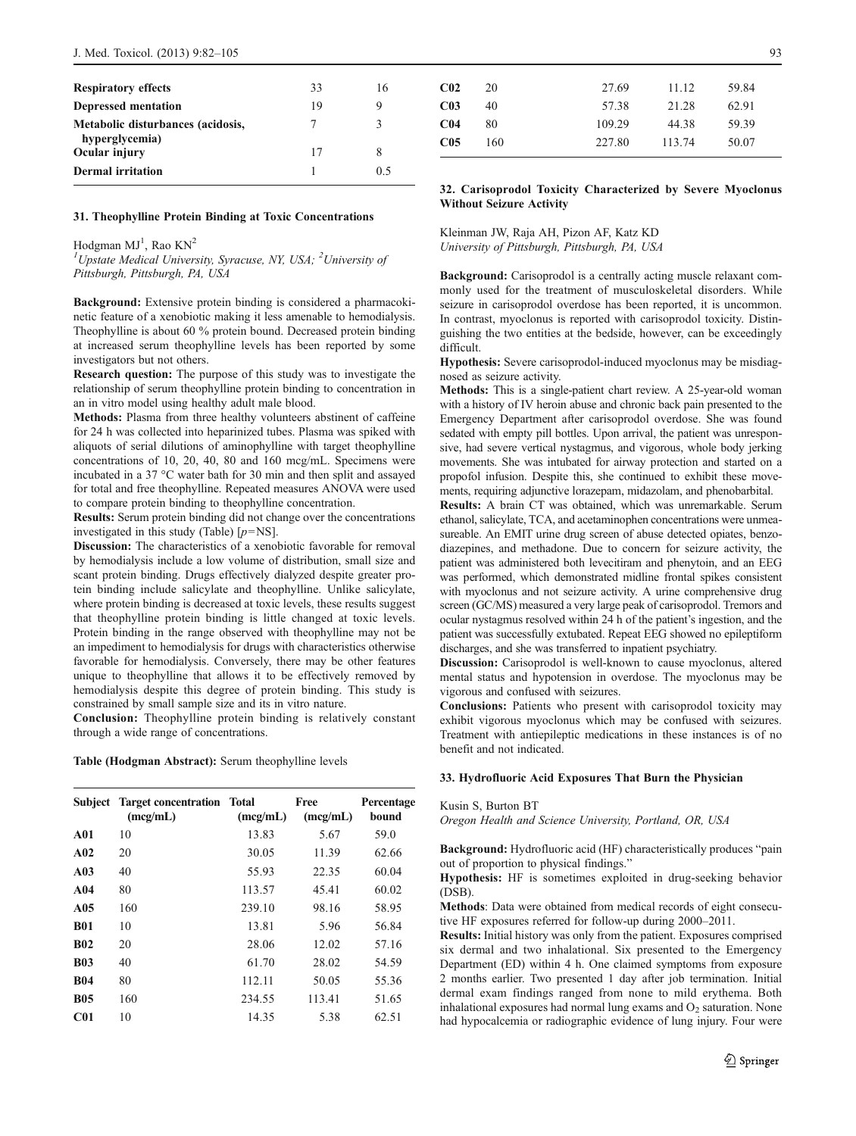| <b>Respiratory effects</b>                          | 33 | 16  |
|-----------------------------------------------------|----|-----|
| Depressed mentation                                 | 19 | Q   |
| Metabolic disturbances (acidosis,<br>hyperglycemia) |    | 3   |
| Ocular injury                                       | 17 | 8   |
| <b>Dermal</b> irritation                            |    | 0.5 |

#### 31. Theophylline Protein Binding at Toxic Concentrations

Hodgman MJ<sup>1</sup>, Rao KN<sup>2</sup>

<sup>1</sup>Upstate Medical University, Syracuse, NY, USA; <sup>2</sup>University of Pittsburgh, Pittsburgh, PA, USA

Background: Extensive protein binding is considered a pharmacokinetic feature of a xenobiotic making it less amenable to hemodialysis. Theophylline is about 60 % protein bound. Decreased protein binding at increased serum theophylline levels has been reported by some investigators but not others.

Research question: The purpose of this study was to investigate the relationship of serum theophylline protein binding to concentration in an in vitro model using healthy adult male blood.

Methods: Plasma from three healthy volunteers abstinent of caffeine for 24 h was collected into heparinized tubes. Plasma was spiked with aliquots of serial dilutions of aminophylline with target theophylline concentrations of 10, 20, 40, 80 and 160 mcg/mL. Specimens were incubated in a 37 °C water bath for 30 min and then split and assayed for total and free theophylline. Repeated measures ANOVA were used to compare protein binding to theophylline concentration.

Results: Serum protein binding did not change over the concentrations investigated in this study (Table)  $[p=NS]$ .

Discussion: The characteristics of a xenobiotic favorable for removal by hemodialysis include a low volume of distribution, small size and scant protein binding. Drugs effectively dialyzed despite greater protein binding include salicylate and theophylline. Unlike salicylate, where protein binding is decreased at toxic levels, these results suggest that theophylline protein binding is little changed at toxic levels. Protein binding in the range observed with theophylline may not be an impediment to hemodialysis for drugs with characteristics otherwise favorable for hemodialysis. Conversely, there may be other features unique to theophylline that allows it to be effectively removed by hemodialysis despite this degree of protein binding. This study is constrained by small sample size and its in vitro nature.

Conclusion: Theophylline protein binding is relatively constant through a wide range of concentrations.

Table (Hodgman Abstract): Serum theophylline levels

|                  | <b>Subject</b> Target concentration Total<br>(mcg/mL) | (mcg/mL) | Free<br>(mcg/mL) | Percentage<br>bound |
|------------------|-------------------------------------------------------|----------|------------------|---------------------|
| A <sub>01</sub>  | 10                                                    | 13.83    | 5.67             | 59.0                |
| A <sub>02</sub>  | 20                                                    | 30.05    | 11.39            | 62.66               |
| A <sub>0.3</sub> | 40                                                    | 55.93    | 22.35            | 60.04               |
| A <sub>04</sub>  | 80                                                    | 113.57   | 45.41            | 60.02               |
| A05              | 160                                                   | 239.10   | 98.16            | 58.95               |
| <b>B01</b>       | 10                                                    | 13.81    | 5.96             | 56.84               |
| <b>B02</b>       | 20                                                    | 28.06    | 12.02            | 57.16               |
| <b>B03</b>       | 40                                                    | 61.70    | 28.02            | 54.59               |
| <b>B04</b>       | 80                                                    | 112.11   | 50.05            | 55.36               |
| <b>B05</b>       | 160                                                   | 234.55   | 113.41           | 51.65               |
| C <sub>01</sub>  | 10                                                    | 14.35    | 5.38             | 62.51               |

| C <sub>02</sub> | 20  | 27.69  | 11.12  | 59.84 |  |
|-----------------|-----|--------|--------|-------|--|
| C <sub>03</sub> | 40  | 57.38  | 21.28  | 62.91 |  |
| C <sub>04</sub> | 80  | 109.29 | 44.38  | 59.39 |  |
| C <sub>05</sub> | 160 | 227.80 | 113.74 | 50.07 |  |
|                 |     |        |        |       |  |

## 32. Carisoprodol Toxicity Characterized by Severe Myoclonus Without Seizure Activity

Kleinman JW, Raja AH, Pizon AF, Katz KD University of Pittsburgh, Pittsburgh, PA, USA

Background: Carisoprodol is a centrally acting muscle relaxant commonly used for the treatment of musculoskeletal disorders. While seizure in carisoprodol overdose has been reported, it is uncommon. In contrast, myoclonus is reported with carisoprodol toxicity. Distinguishing the two entities at the bedside, however, can be exceedingly difficult.

Hypothesis: Severe carisoprodol-induced myoclonus may be misdiagnosed as seizure activity.

Methods: This is a single-patient chart review. A 25-year-old woman with a history of IV heroin abuse and chronic back pain presented to the Emergency Department after carisoprodol overdose. She was found sedated with empty pill bottles. Upon arrival, the patient was unresponsive, had severe vertical nystagmus, and vigorous, whole body jerking movements. She was intubated for airway protection and started on a propofol infusion. Despite this, she continued to exhibit these movements, requiring adjunctive lorazepam, midazolam, and phenobarbital.

Results: A brain CT was obtained, which was unremarkable. Serum ethanol, salicylate, TCA, and acetaminophen concentrations were unmeasureable. An EMIT urine drug screen of abuse detected opiates, benzodiazepines, and methadone. Due to concern for seizure activity, the patient was administered both levecitiram and phenytoin, and an EEG was performed, which demonstrated midline frontal spikes consistent with myoclonus and not seizure activity. A urine comprehensive drug screen (GC/MS) measured a very large peak of carisoprodol. Tremors and ocular nystagmus resolved within 24 h of the patient's ingestion, and the patient was successfully extubated. Repeat EEG showed no epileptiform discharges, and she was transferred to inpatient psychiatry.

Discussion: Carisoprodol is well-known to cause myoclonus, altered mental status and hypotension in overdose. The myoclonus may be vigorous and confused with seizures.

Conclusions: Patients who present with carisoprodol toxicity may exhibit vigorous myoclonus which may be confused with seizures. Treatment with antiepileptic medications in these instances is of no benefit and not indicated.

# 33. Hydrofluoric Acid Exposures That Burn the Physician

Kusin S, Burton BT

Oregon Health and Science University, Portland, OR, USA

Background: Hydrofluoric acid (HF) characteristically produces "pain out of proportion to physical findings."

Hypothesis: HF is sometimes exploited in drug-seeking behavior (DSB).

Methods: Data were obtained from medical records of eight consecutive HF exposures referred for follow-up during 2000–2011.

Results: Initial history was only from the patient. Exposures comprised six dermal and two inhalational. Six presented to the Emergency Department (ED) within 4 h. One claimed symptoms from exposure 2 months earlier. Two presented 1 day after job termination. Initial dermal exam findings ranged from none to mild erythema. Both inhalational exposures had normal lung exams and  $O<sub>2</sub>$  saturation. None had hypocalcemia or radiographic evidence of lung injury. Four were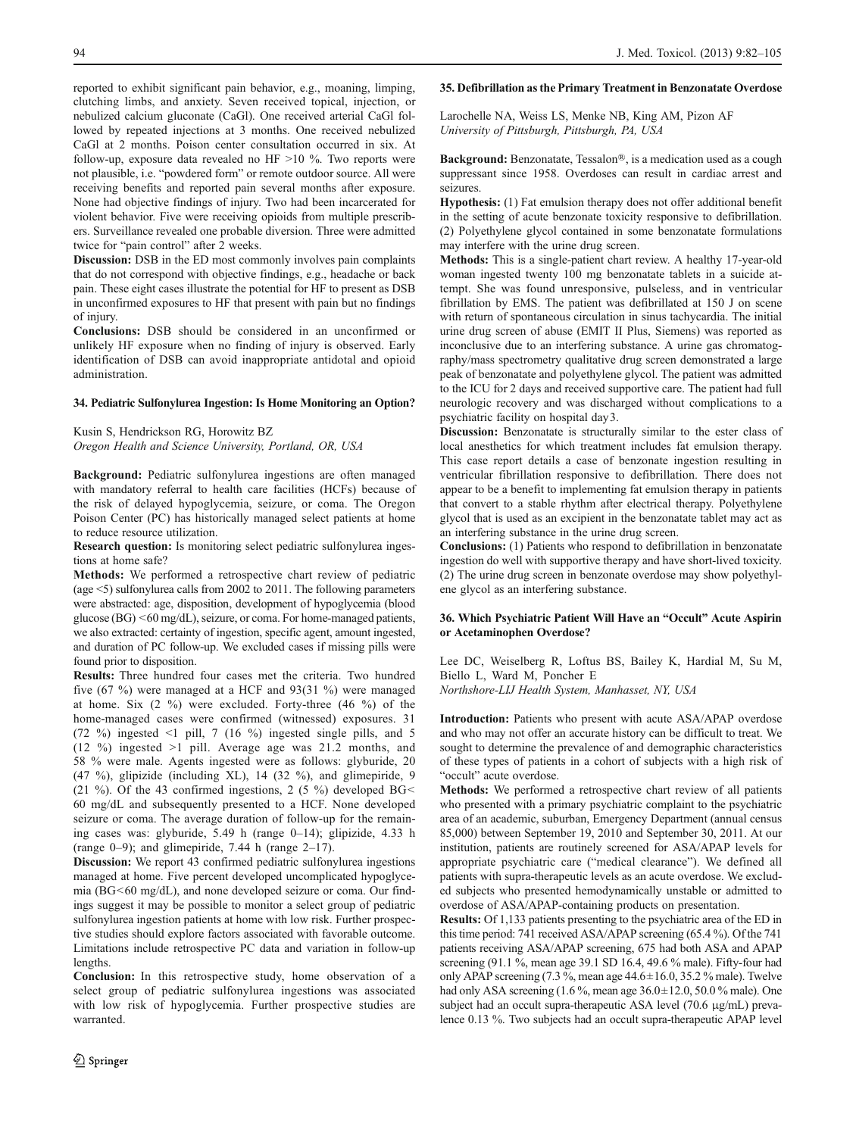reported to exhibit significant pain behavior, e.g., moaning, limping, clutching limbs, and anxiety. Seven received topical, injection, or nebulized calcium gluconate (CaGl). One received arterial CaGl followed by repeated injections at 3 months. One received nebulized CaGl at 2 months. Poison center consultation occurred in six. At follow-up, exposure data revealed no HF >10 %. Two reports were not plausible, i.e. "powdered form" or remote outdoor source. All were receiving benefits and reported pain several months after exposure. None had objective findings of injury. Two had been incarcerated for violent behavior. Five were receiving opioids from multiple prescribers. Surveillance revealed one probable diversion. Three were admitted twice for "pain control" after 2 weeks.

Discussion: DSB in the ED most commonly involves pain complaints that do not correspond with objective findings, e.g., headache or back pain. These eight cases illustrate the potential for HF to present as DSB in unconfirmed exposures to HF that present with pain but no findings of injury.

Conclusions: DSB should be considered in an unconfirmed or unlikely HF exposure when no finding of injury is observed. Early identification of DSB can avoid inappropriate antidotal and opioid administration.

#### 34. Pediatric Sulfonylurea Ingestion: Is Home Monitoring an Option?

#### Kusin S, Hendrickson RG, Horowitz BZ

Oregon Health and Science University, Portland, OR, USA

Background: Pediatric sulfonylurea ingestions are often managed with mandatory referral to health care facilities (HCFs) because of the risk of delayed hypoglycemia, seizure, or coma. The Oregon Poison Center (PC) has historically managed select patients at home to reduce resource utilization.

Research question: Is monitoring select pediatric sulfonylurea ingestions at home safe?

Methods: We performed a retrospective chart review of pediatric (age <5) sulfonylurea calls from 2002 to 2011. The following parameters were abstracted: age, disposition, development of hypoglycemia (blood glucose (BG) <60 mg/dL), seizure, or coma. For home-managed patients, we also extracted: certainty of ingestion, specific agent, amount ingested, and duration of PC follow-up. We excluded cases if missing pills were found prior to disposition.

Results: Three hundred four cases met the criteria. Two hundred five (67 %) were managed at a HCF and 93(31 %) were managed at home. Six  $(2 \%)$  were excluded. Forty-three  $(46 \%)$  of the home-managed cases were confirmed (witnessed) exposures. 31 (72 %) ingested <1 pill, 7 (16 %) ingested single pills, and 5 (12 %) ingested >1 pill. Average age was 21.2 months, and 58 % were male. Agents ingested were as follows: glyburide, 20 (47 %), glipizide (including XL), 14 (32 %), and glimepiride, 9 (21 %). Of the 43 confirmed ingestions, 2 (5 %) developed BG< 60 mg/dL and subsequently presented to a HCF. None developed seizure or coma. The average duration of follow-up for the remaining cases was: glyburide, 5.49 h (range 0–14); glipizide, 4.33 h (range  $0-9$ ); and glimepiride, 7.44 h (range  $2-17$ ).

Discussion: We report 43 confirmed pediatric sulfonylurea ingestions managed at home. Five percent developed uncomplicated hypoglycemia (BG<60 mg/dL), and none developed seizure or coma. Our findings suggest it may be possible to monitor a select group of pediatric sulfonylurea ingestion patients at home with low risk. Further prospective studies should explore factors associated with favorable outcome. Limitations include retrospective PC data and variation in follow-up lengths.

Conclusion: In this retrospective study, home observation of a select group of pediatric sulfonylurea ingestions was associated with low risk of hypoglycemia. Further prospective studies are warranted.

#### 35. Defibrillation as the Primary Treatment in Benzonatate Overdose

Larochelle NA, Weiss LS, Menke NB, King AM, Pizon AF University of Pittsburgh, Pittsburgh, PA, USA

Background: Benzonatate, Tessalon®, is a medication used as a cough suppressant since 1958. Overdoses can result in cardiac arrest and seizures.

Hypothesis: (1) Fat emulsion therapy does not offer additional benefit in the setting of acute benzonate toxicity responsive to defibrillation. (2) Polyethylene glycol contained in some benzonatate formulations may interfere with the urine drug screen.

Methods: This is a single-patient chart review. A healthy 17-year-old woman ingested twenty 100 mg benzonatate tablets in a suicide attempt. She was found unresponsive, pulseless, and in ventricular fibrillation by EMS. The patient was defibrillated at 150 J on scene with return of spontaneous circulation in sinus tachycardia. The initial urine drug screen of abuse (EMIT II Plus, Siemens) was reported as inconclusive due to an interfering substance. A urine gas chromatography/mass spectrometry qualitative drug screen demonstrated a large peak of benzonatate and polyethylene glycol. The patient was admitted to the ICU for 2 days and received supportive care. The patient had full neurologic recovery and was discharged without complications to a psychiatric facility on hospital day3.

Discussion: Benzonatate is structurally similar to the ester class of local anesthetics for which treatment includes fat emulsion therapy. This case report details a case of benzonate ingestion resulting in ventricular fibrillation responsive to defibrillation. There does not appear to be a benefit to implementing fat emulsion therapy in patients that convert to a stable rhythm after electrical therapy. Polyethylene glycol that is used as an excipient in the benzonatate tablet may act as an interfering substance in the urine drug screen.

Conclusions: (1) Patients who respond to defibrillation in benzonatate ingestion do well with supportive therapy and have short-lived toxicity. (2) The urine drug screen in benzonate overdose may show polyethylene glycol as an interfering substance.

#### 36. Which Psychiatric Patient Will Have an "Occult" Acute Aspirin or Acetaminophen Overdose?

Lee DC, Weiselberg R, Loftus BS, Bailey K, Hardial M, Su M, Biello L, Ward M, Poncher E Northshore-LIJ Health System, Manhasset, NY, USA

Introduction: Patients who present with acute ASA/APAP overdose and who may not offer an accurate history can be difficult to treat. We sought to determine the prevalence of and demographic characteristics of these types of patients in a cohort of subjects with a high risk of

"occult" acute overdose. Methods: We performed a retrospective chart review of all patients who presented with a primary psychiatric complaint to the psychiatric area of an academic, suburban, Emergency Department (annual census 85,000) between September 19, 2010 and September 30, 2011. At our institution, patients are routinely screened for ASA/APAP levels for appropriate psychiatric care ("medical clearance"). We defined all patients with supra-therapeutic levels as an acute overdose. We excluded subjects who presented hemodynamically unstable or admitted to overdose of ASA/APAP-containing products on presentation.

Results: Of 1,133 patients presenting to the psychiatric area of the ED in this time period: 741 received ASA/APAP screening (65.4 %). Of the 741 patients receiving ASA/APAP screening, 675 had both ASA and APAP screening (91.1 %, mean age 39.1 SD 16.4, 49.6 % male). Fifty-four had only APAP screening (7.3 %, mean age 44.6±16.0, 35.2 % male). Twelve had only ASA screening (1.6 %, mean age 36.0 $\pm$ 12.0, 50.0 % male). One subject had an occult supra-therapeutic ASA level (70.6 μg/mL) prevalence 0.13 %. Two subjects had an occult supra-therapeutic APAP level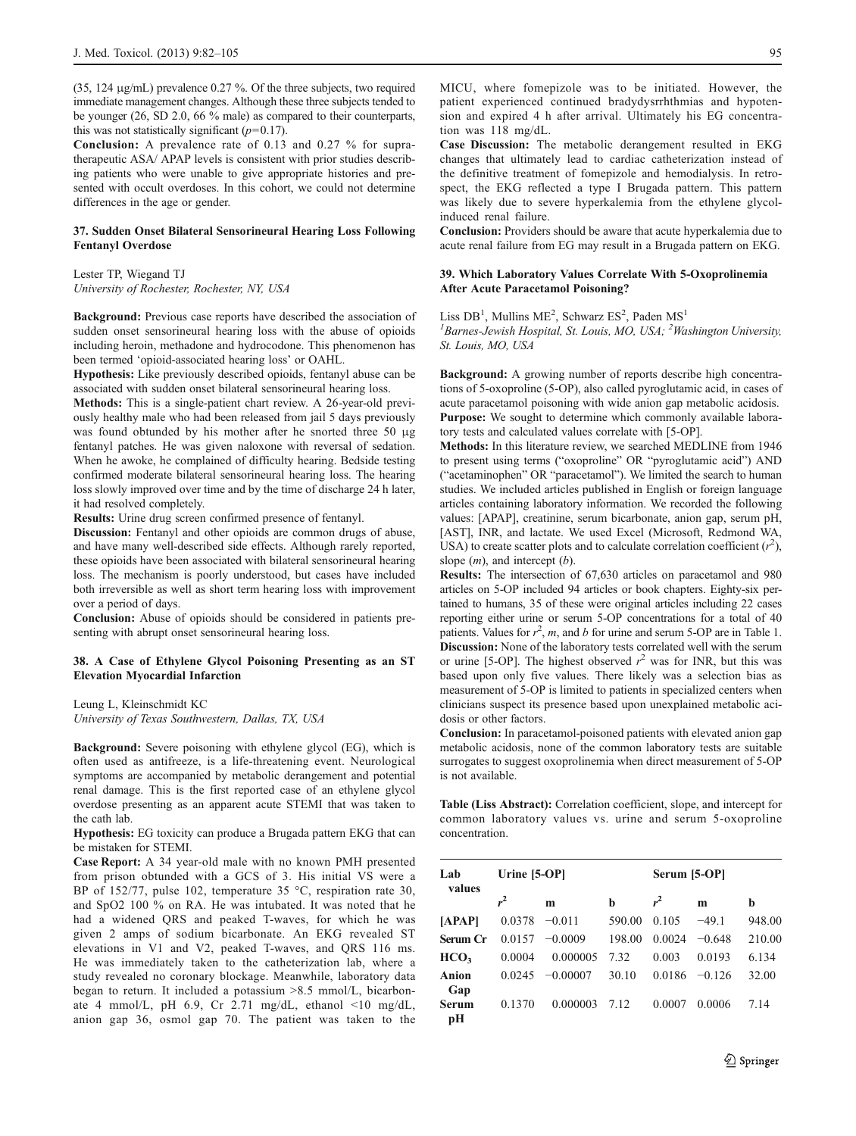(35, 124 μg/mL) prevalence 0.27 %. Of the three subjects, two required immediate management changes. Although these three subjects tended to be younger (26, SD 2.0, 66 % male) as compared to their counterparts, this was not statistically significant  $(p=0.17)$ .

Conclusion: A prevalence rate of 0.13 and 0.27 % for supratherapeutic ASA/ APAP levels is consistent with prior studies describing patients who were unable to give appropriate histories and presented with occult overdoses. In this cohort, we could not determine differences in the age or gender.

# 37. Sudden Onset Bilateral Sensorineural Hearing Loss Following Fentanyl Overdose

Lester TP, Wiegand TJ University of Rochester, Rochester, NY, USA

Background: Previous case reports have described the association of sudden onset sensorineural hearing loss with the abuse of opioids including heroin, methadone and hydrocodone. This phenomenon has been termed 'opioid-associated hearing loss' or OAHL.

Hypothesis: Like previously described opioids, fentanyl abuse can be associated with sudden onset bilateral sensorineural hearing loss.

Methods: This is a single-patient chart review. A 26-year-old previously healthy male who had been released from jail 5 days previously was found obtunded by his mother after he snorted three 50 μg fentanyl patches. He was given naloxone with reversal of sedation. When he awoke, he complained of difficulty hearing. Bedside testing confirmed moderate bilateral sensorineural hearing loss. The hearing loss slowly improved over time and by the time of discharge 24 h later, it had resolved completely.

Results: Urine drug screen confirmed presence of fentanyl.

Discussion: Fentanyl and other opioids are common drugs of abuse, and have many well-described side effects. Although rarely reported, these opioids have been associated with bilateral sensorineural hearing loss. The mechanism is poorly understood, but cases have included both irreversible as well as short term hearing loss with improvement over a period of days.

Conclusion: Abuse of opioids should be considered in patients presenting with abrupt onset sensorineural hearing loss.

#### 38. A Case of Ethylene Glycol Poisoning Presenting as an ST Elevation Myocardial Infarction

Leung L, Kleinschmidt KC University of Texas Southwestern, Dallas, TX, USA

Background: Severe poisoning with ethylene glycol (EG), which is often used as antifreeze, is a life-threatening event. Neurological symptoms are accompanied by metabolic derangement and potential renal damage. This is the first reported case of an ethylene glycol overdose presenting as an apparent acute STEMI that was taken to the cath lab.

Hypothesis: EG toxicity can produce a Brugada pattern EKG that can be mistaken for STEMI.

Case Report: A 34 year-old male with no known PMH presented from prison obtunded with a GCS of 3. His initial VS were a BP of 152/77, pulse 102, temperature 35 °C, respiration rate 30, and SpO2 100 % on RA. He was intubated. It was noted that he had a widened QRS and peaked T-waves, for which he was given 2 amps of sodium bicarbonate. An EKG revealed ST elevations in V1 and V2, peaked T-waves, and QRS 116 ms. He was immediately taken to the catheterization lab, where a study revealed no coronary blockage. Meanwhile, laboratory data began to return. It included a potassium >8.5 mmol/L, bicarbonate 4 mmol/L, pH 6.9, Cr 2.71 mg/dL, ethanol <10 mg/dL, anion gap 36, osmol gap 70. The patient was taken to the MICU, where fomepizole was to be initiated. However, the patient experienced continued bradydysrrhthmias and hypotension and expired 4 h after arrival. Ultimately his EG concentration was 118 mg/dL.

Case Discussion: The metabolic derangement resulted in EKG changes that ultimately lead to cardiac catheterization instead of the definitive treatment of fomepizole and hemodialysis. In retrospect, the EKG reflected a type I Brugada pattern. This pattern was likely due to severe hyperkalemia from the ethylene glycolinduced renal failure.

Conclusion: Providers should be aware that acute hyperkalemia due to acute renal failure from EG may result in a Brugada pattern on EKG.

# 39. Which Laboratory Values Correlate With 5-Oxoprolinemia After Acute Paracetamol Poisoning?

Liss  $DB<sup>1</sup>$ , Mullins ME<sup>2</sup>, Schwarz ES<sup>2</sup>, Paden MS<sup>1</sup>

<sup>1</sup> Barnes-Jewish Hospital, St. Louis, MO, USA; <sup>2</sup> Washington University, St. Louis, MO, USA

Background: A growing number of reports describe high concentrations of 5-oxoproline (5-OP), also called pyroglutamic acid, in cases of acute paracetamol poisoning with wide anion gap metabolic acidosis. Purpose: We sought to determine which commonly available laboratory tests and calculated values correlate with [5-OP].

Methods: In this literature review, we searched MEDLINE from 1946 to present using terms ("oxoproline" OR "pyroglutamic acid") AND ("acetaminophen" OR "paracetamol"). We limited the search to human studies. We included articles published in English or foreign language articles containing laboratory information. We recorded the following values: [APAP], creatinine, serum bicarbonate, anion gap, serum pH, [AST], INR, and lactate. We used Excel (Microsoft, Redmond WA, USA) to create scatter plots and to calculate correlation coefficient  $(r^2)$ , slope  $(m)$ , and intercept  $(b)$ .

Results: The intersection of 67,630 articles on paracetamol and 980 articles on 5-OP included 94 articles or book chapters. Eighty-six pertained to humans, 35 of these were original articles including 22 cases reporting either urine or serum 5-OP concentrations for a total of 40 patients. Values for  $r^2$ , m, and b for urine and serum 5-OP are in Table 1. Discussion: None of the laboratory tests correlated well with the serum or urine [5-OP]. The highest observed  $r^2$  was for INR, but this was based upon only five values. There likely was a selection bias as measurement of 5-OP is limited to patients in specialized centers when clinicians suspect its presence based upon unexplained metabolic acidosis or other factors.

Conclusion: In paracetamol-poisoned patients with elevated anion gap metabolic acidosis, none of the common laboratory tests are suitable surrogates to suggest oxoprolinemia when direct measurement of 5-OP is not available.

Table (Liss Abstract): Correlation coefficient, slope, and intercept for common laboratory values vs. urine and serum 5-oxoproline concentration.

| Lab<br>values    | Urine [5-OP] |            |        | Serum [5-OP] |          |        |
|------------------|--------------|------------|--------|--------------|----------|--------|
|                  | $r^2$        | m          | b      | $r^2$        | m        | b      |
| [APAP]           | 0.0378       | $-0.011$   | 590.00 | 0.105        | $-49.1$  | 948.00 |
| Serum Cr         | 0.0157       | $-0.0009$  | 198.00 | 0.0024       | $-0.648$ | 210.00 |
| HCO <sub>3</sub> | 0.0004       | 0.000005   | 7.32   | 0.003        | 0.0193   | 6.134  |
| Anion            | 0.0245       | $-0.00007$ | 30.10  | 0.0186       | $-0.126$ | 32.00  |
| Gap              |              |            |        |              |          |        |
| <b>Serum</b>     | 0.1370       | 0.000003   | 7.12   | 0.0007       | 0.0006   | 7.14   |
| рH               |              |            |        |              |          |        |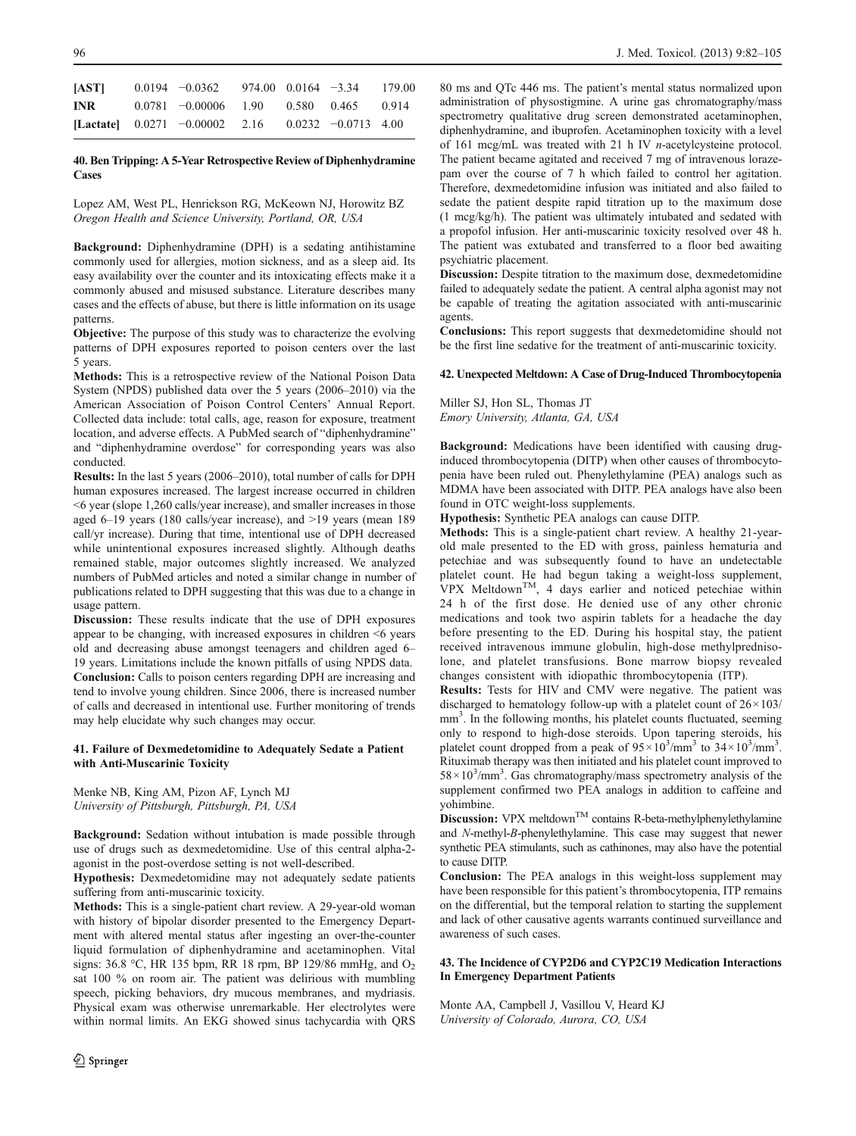| [AST]      | $0.0194 -0.0362$ 974.00 0.0164 -3.34                   |  | 179.00 |
|------------|--------------------------------------------------------|--|--------|
| <b>INR</b> | $0.0781 - 0.00006$ 1.90 0.580 0.465                    |  | 0.914  |
|            | [Lactate] $0.0271 -0.00002$ 2.16 $0.0232 -0.0713$ 4.00 |  |        |

#### 40. Ben Tripping: A 5-Year Retrospective Review of Diphenhydramine **Cases**

Lopez AM, West PL, Henrickson RG, McKeown NJ, Horowitz BZ Oregon Health and Science University, Portland, OR, USA

Background: Diphenhydramine (DPH) is a sedating antihistamine commonly used for allergies, motion sickness, and as a sleep aid. Its easy availability over the counter and its intoxicating effects make it a commonly abused and misused substance. Literature describes many cases and the effects of abuse, but there is little information on its usage patterns.

Objective: The purpose of this study was to characterize the evolving patterns of DPH exposures reported to poison centers over the last 5 years.

Methods: This is a retrospective review of the National Poison Data System (NPDS) published data over the 5 years (2006–2010) via the American Association of Poison Control Centers' Annual Report. Collected data include: total calls, age, reason for exposure, treatment location, and adverse effects. A PubMed search of "diphenhydramine" and "diphenhydramine overdose" for corresponding years was also conducted.

Results: In the last 5 years (2006–2010), total number of calls for DPH human exposures increased. The largest increase occurred in children <6 year (slope 1,260 calls/year increase), and smaller increases in those aged 6–19 years (180 calls/year increase), and >19 years (mean 189 call/yr increase). During that time, intentional use of DPH decreased while unintentional exposures increased slightly. Although deaths remained stable, major outcomes slightly increased. We analyzed numbers of PubMed articles and noted a similar change in number of publications related to DPH suggesting that this was due to a change in usage pattern.

Discussion: These results indicate that the use of DPH exposures appear to be changing, with increased exposures in children <6 years old and decreasing abuse amongst teenagers and children aged 6– 19 years. Limitations include the known pitfalls of using NPDS data. Conclusion: Calls to poison centers regarding DPH are increasing and tend to involve young children. Since 2006, there is increased number of calls and decreased in intentional use. Further monitoring of trends may help elucidate why such changes may occur.

#### 41. Failure of Dexmedetomidine to Adequately Sedate a Patient with Anti-Muscarinic Toxicity

Menke NB, King AM, Pizon AF, Lynch MJ University of Pittsburgh, Pittsburgh, PA, USA

Background: Sedation without intubation is made possible through use of drugs such as dexmedetomidine. Use of this central alpha-2 agonist in the post-overdose setting is not well-described.

Hypothesis: Dexmedetomidine may not adequately sedate patients suffering from anti-muscarinic toxicity.

Methods: This is a single-patient chart review. A 29-year-old woman with history of bipolar disorder presented to the Emergency Department with altered mental status after ingesting an over-the-counter liquid formulation of diphenhydramine and acetaminophen. Vital signs: 36.8 °C, HR 135 bpm, RR 18 rpm, BP 129/86 mmHg, and O<sub>2</sub> sat 100 % on room air. The patient was delirious with mumbling speech, picking behaviors, dry mucous membranes, and mydriasis. Physical exam was otherwise unremarkable. Her electrolytes were within normal limits. An EKG showed sinus tachycardia with QRS

80 ms and QTc 446 ms. The patient's mental status normalized upon administration of physostigmine. A urine gas chromatography/mass spectrometry qualitative drug screen demonstrated acetaminophen, diphenhydramine, and ibuprofen. Acetaminophen toxicity with a level of 161 mcg/mL was treated with 21 h IV n-acetylcysteine protocol. The patient became agitated and received 7 mg of intravenous lorazepam over the course of 7 h which failed to control her agitation. Therefore, dexmedetomidine infusion was initiated and also failed to sedate the patient despite rapid titration up to the maximum dose (1 mcg/kg/h). The patient was ultimately intubated and sedated with a propofol infusion. Her anti-muscarinic toxicity resolved over 48 h. The patient was extubated and transferred to a floor bed awaiting psychiatric placement.

Discussion: Despite titration to the maximum dose, dexmedetomidine failed to adequately sedate the patient. A central alpha agonist may not be capable of treating the agitation associated with anti-muscarinic agents.

Conclusions: This report suggests that dexmedetomidine should not be the first line sedative for the treatment of anti-muscarinic toxicity.

# 42. Unexpected Meltdown: A Case of Drug-Induced Thrombocytopenia

Miller SJ, Hon SL, Thomas JT Emory University, Atlanta, GA, USA

Background: Medications have been identified with causing druginduced thrombocytopenia (DITP) when other causes of thrombocytopenia have been ruled out. Phenylethylamine (PEA) analogs such as MDMA have been associated with DITP. PEA analogs have also been found in OTC weight-loss supplements.

Hypothesis: Synthetic PEA analogs can cause DITP.

Methods: This is a single-patient chart review. A healthy 21-yearold male presented to the ED with gross, painless hematuria and petechiae and was subsequently found to have an undetectable platelet count. He had begun taking a weight-loss supplement,  $VPX$  Meltdown<sup>TM</sup>, 4 days earlier and noticed petechiae within 24 h of the first dose. He denied use of any other chronic medications and took two aspirin tablets for a headache the day before presenting to the ED. During his hospital stay, the patient received intravenous immune globulin, high-dose methylprednisolone, and platelet transfusions. Bone marrow biopsy revealed changes consistent with idiopathic thrombocytopenia (ITP).

Results: Tests for HIV and CMV were negative. The patient was discharged to hematology follow-up with a platelet count of  $26 \times 103$ / mm<sup>3</sup>. In the following months, his platelet counts fluctuated, seeming only to respond to high-dose steroids. Upon tapering steroids, his platelet count dropped from a peak of  $95 \times 10^3/\text{mm}^3$  to  $34 \times 10^3/\text{mm}^3$ . Rituximab therapy was then initiated and his platelet count improved to  $58 \times 10^3/\text{mm}^3$ . Gas chromatography/mass spectrometry analysis of the supplement confirmed two PEA analogs in addition to caffeine and yohimbine.

**Discussion:** VPX meltdown<sup>TM</sup> contains R-beta-methylphenylethylamine and N-methyl-B-phenylethylamine. This case may suggest that newer synthetic PEA stimulants, such as cathinones, may also have the potential to cause DITP.

Conclusion: The PEA analogs in this weight-loss supplement may have been responsible for this patient's thrombocytopenia, ITP remains on the differential, but the temporal relation to starting the supplement and lack of other causative agents warrants continued surveillance and awareness of such cases.

# 43. The Incidence of CYP2D6 and CYP2C19 Medication Interactions In Emergency Department Patients

Monte AA, Campbell J, Vasillou V, Heard KJ University of Colorado, Aurora, CO, USA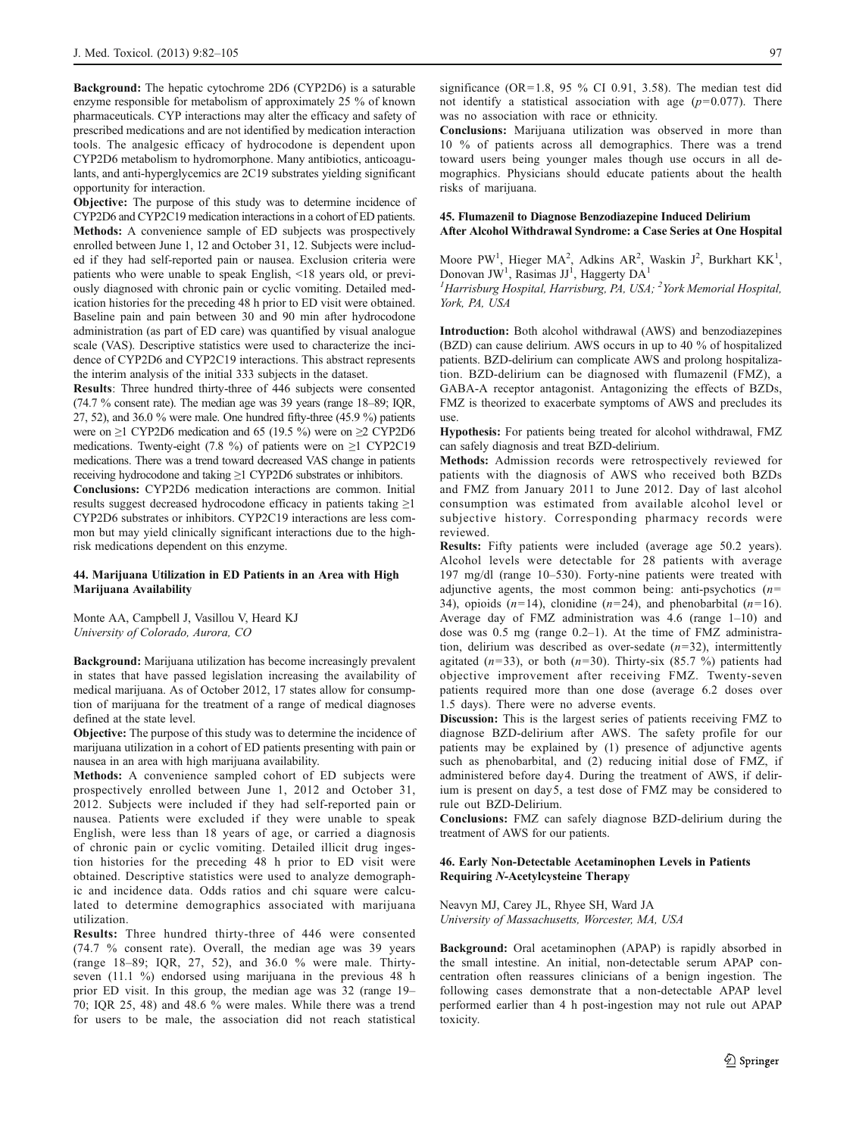Background: The hepatic cytochrome 2D6 (CYP2D6) is a saturable enzyme responsible for metabolism of approximately 25 % of known pharmaceuticals. CYP interactions may alter the efficacy and safety of prescribed medications and are not identified by medication interaction tools. The analgesic efficacy of hydrocodone is dependent upon CYP2D6 metabolism to hydromorphone. Many antibiotics, anticoagulants, and anti-hyperglycemics are 2C19 substrates yielding significant opportunity for interaction.

Objective: The purpose of this study was to determine incidence of CYP2D6 and CYP2C19 medication interactions in a cohort of ED patients. Methods: A convenience sample of ED subjects was prospectively enrolled between June 1, 12 and October 31, 12. Subjects were included if they had self-reported pain or nausea. Exclusion criteria were patients who were unable to speak English, <18 years old, or previously diagnosed with chronic pain or cyclic vomiting. Detailed medication histories for the preceding 48 h prior to ED visit were obtained. Baseline pain and pain between 30 and 90 min after hydrocodone administration (as part of ED care) was quantified by visual analogue scale (VAS). Descriptive statistics were used to characterize the incidence of CYP2D6 and CYP2C19 interactions. This abstract represents the interim analysis of the initial 333 subjects in the dataset.

Results: Three hundred thirty-three of 446 subjects were consented (74.7 % consent rate). The median age was 39 years (range 18–89; IQR, 27, 52), and 36.0  $\%$  were male. One hundred fifty-three (45.9  $\%$ ) patients were on  $\geq$ 1 CYP2D6 medication and 65 (19.5 %) were on  $\geq$ 2 CYP2D6 medications. Twenty-eight (7.8 %) of patients were on  $\geq$ 1 CYP2C19 medications. There was a trend toward decreased VAS change in patients receiving hydrocodone and taking ≥1 CYP2D6 substrates or inhibitors.

Conclusions: CYP2D6 medication interactions are common. Initial results suggest decreased hydrocodone efficacy in patients taking ≥1 CYP2D6 substrates or inhibitors. CYP2C19 interactions are less common but may yield clinically significant interactions due to the highrisk medications dependent on this enzyme.

#### 44. Marijuana Utilization in ED Patients in an Area with High Marijuana Availability

Monte AA, Campbell J, Vasillou V, Heard KJ University of Colorado, Aurora, CO

Background: Marijuana utilization has become increasingly prevalent in states that have passed legislation increasing the availability of medical marijuana. As of October 2012, 17 states allow for consumption of marijuana for the treatment of a range of medical diagnoses defined at the state level.

Objective: The purpose of this study was to determine the incidence of marijuana utilization in a cohort of ED patients presenting with pain or nausea in an area with high marijuana availability.

Methods: A convenience sampled cohort of ED subjects were prospectively enrolled between June 1, 2012 and October 31, 2012. Subjects were included if they had self-reported pain or nausea. Patients were excluded if they were unable to speak English, were less than 18 years of age, or carried a diagnosis of chronic pain or cyclic vomiting. Detailed illicit drug ingestion histories for the preceding 48 h prior to ED visit were obtained. Descriptive statistics were used to analyze demographic and incidence data. Odds ratios and chi square were calculated to determine demographics associated with marijuana utilization.

Results: Three hundred thirty-three of 446 were consented (74.7 % consent rate). Overall, the median age was 39 years (range 18–89; IQR, 27, 52), and 36.0 % were male. Thirtyseven (11.1 %) endorsed using marijuana in the previous 48 h prior ED visit. In this group, the median age was 32 (range 19– 70; IQR 25, 48) and 48.6 % were males. While there was a trend for users to be male, the association did not reach statistical significance (OR=1.8, 95 % CI 0.91, 3.58). The median test did not identify a statistical association with age  $(p=0.077)$ . There was no association with race or ethnicity.

Conclusions: Marijuana utilization was observed in more than 10 % of patients across all demographics. There was a trend toward users being younger males though use occurs in all demographics. Physicians should educate patients about the health risks of marijuana.

#### 45. Flumazenil to Diagnose Benzodiazepine Induced Delirium After Alcohol Withdrawal Syndrome: a Case Series at One Hospital

Moore PW<sup>1</sup>, Hieger MA<sup>2</sup>, Adkins AR<sup>2</sup>, Waskin J<sup>2</sup>, Burkhart KK<sup>1</sup>, Donovan JW<sup>1</sup>, Rasimas JJ<sup>1</sup>, Haggerty DA<sup>1</sup>

<sup>1</sup>Harrisburg Hospital, Harrisburg, PA, USA; <sup>2</sup>York Memorial Hospital, York, PA, USA

Introduction: Both alcohol withdrawal (AWS) and benzodiazepines (BZD) can cause delirium. AWS occurs in up to 40 % of hospitalized patients. BZD-delirium can complicate AWS and prolong hospitalization. BZD-delirium can be diagnosed with flumazenil (FMZ), a GABA-A receptor antagonist. Antagonizing the effects of BZDs, FMZ is theorized to exacerbate symptoms of AWS and precludes its use.

Hypothesis: For patients being treated for alcohol withdrawal, FMZ can safely diagnosis and treat BZD-delirium.

Methods: Admission records were retrospectively reviewed for patients with the diagnosis of AWS who received both BZDs and FMZ from January 2011 to June 2012. Day of last alcohol consumption was estimated from available alcohol level or subjective history. Corresponding pharmacy records were reviewed.

Results: Fifty patients were included (average age 50.2 years). Alcohol levels were detectable for 28 patients with average 197 mg/dl (range 10–530). Forty-nine patients were treated with adjunctive agents, the most common being: anti-psychotics  $(n=$ 34), opioids ( $n=14$ ), clonidine ( $n=24$ ), and phenobarbital ( $n=16$ ). Average day of FMZ administration was 4.6 (range 1–10) and dose was 0.5 mg (range 0.2–1). At the time of FMZ administration, delirium was described as over-sedate  $(n=32)$ , intermittently agitated ( $n=33$ ), or both ( $n=30$ ). Thirty-six (85.7 %) patients had objective improvement after receiving FMZ. Twenty-seven patients required more than one dose (average 6.2 doses over 1.5 days). There were no adverse events.

Discussion: This is the largest series of patients receiving FMZ to diagnose BZD-delirium after AWS. The safety profile for our patients may be explained by (1) presence of adjunctive agents such as phenobarbital, and (2) reducing initial dose of FMZ, if administered before day4. During the treatment of AWS, if delirium is present on day5, a test dose of FMZ may be considered to rule out BZD-Delirium.

Conclusions: FMZ can safely diagnose BZD-delirium during the treatment of AWS for our patients.

## 46. Early Non-Detectable Acetaminophen Levels in Patients Requiring N-Acetylcysteine Therapy

Neavyn MJ, Carey JL, Rhyee SH, Ward JA University of Massachusetts, Worcester, MA, USA

Background: Oral acetaminophen (APAP) is rapidly absorbed in the small intestine. An initial, non-detectable serum APAP concentration often reassures clinicians of a benign ingestion. The following cases demonstrate that a non-detectable APAP level performed earlier than 4 h post-ingestion may not rule out APAP toxicity.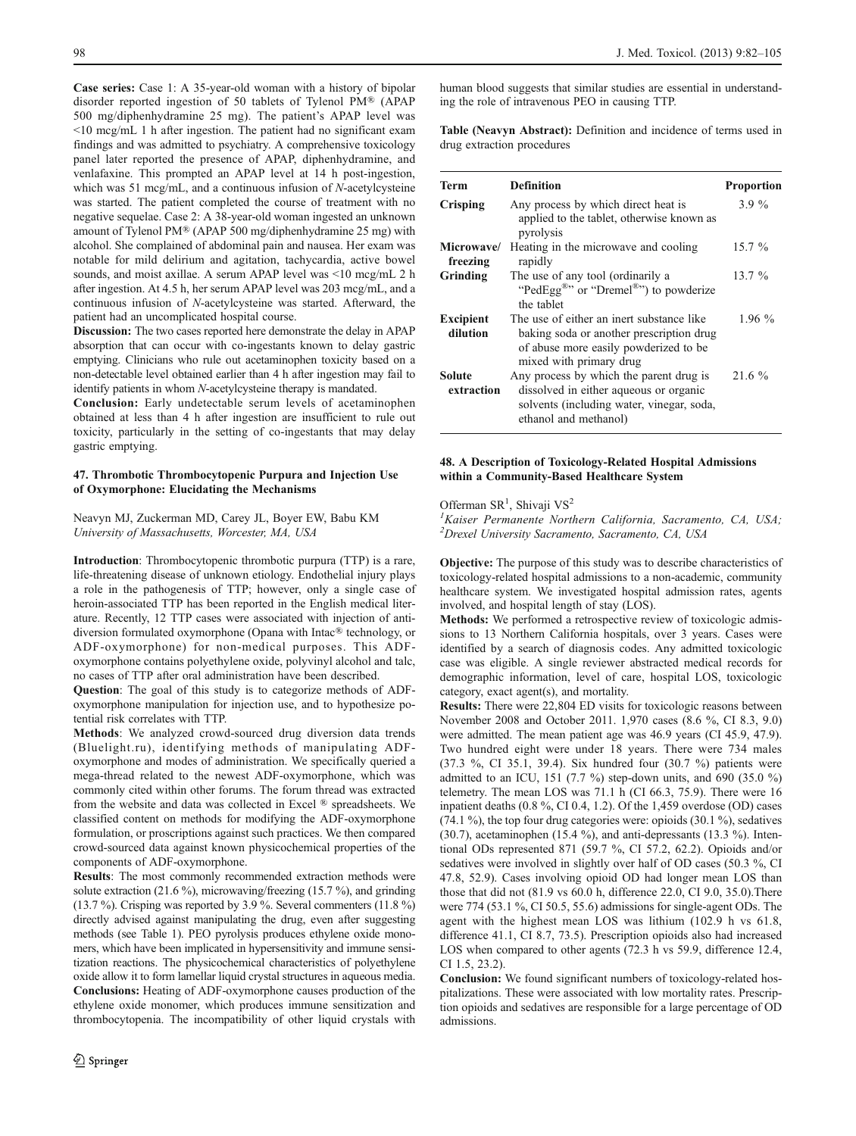Case series: Case 1: A 35-year-old woman with a history of bipolar disorder reported ingestion of 50 tablets of Tylenol PM® (APAP 500 mg/diphenhydramine 25 mg). The patient's APAP level was <10 mcg/mL 1 h after ingestion. The patient had no significant exam findings and was admitted to psychiatry. A comprehensive toxicology panel later reported the presence of APAP, diphenhydramine, and venlafaxine. This prompted an APAP level at 14 h post-ingestion, which was 51 mcg/mL, and a continuous infusion of N-acetylcysteine was started. The patient completed the course of treatment with no negative sequelae. Case 2: A 38-year-old woman ingested an unknown amount of Tylenol PM® (APAP 500 mg/diphenhydramine 25 mg) with alcohol. She complained of abdominal pain and nausea. Her exam was notable for mild delirium and agitation, tachycardia, active bowel sounds, and moist axillae. A serum APAP level was <10 mcg/mL 2 h after ingestion. At 4.5 h, her serum APAP level was 203 mcg/mL, and a continuous infusion of N-acetylcysteine was started. Afterward, the patient had an uncomplicated hospital course.

Discussion: The two cases reported here demonstrate the delay in APAP absorption that can occur with co-ingestants known to delay gastric emptying. Clinicians who rule out acetaminophen toxicity based on a non-detectable level obtained earlier than 4 h after ingestion may fail to identify patients in whom N-acetylcysteine therapy is mandated.

Conclusion: Early undetectable serum levels of acetaminophen obtained at less than 4 h after ingestion are insufficient to rule out toxicity, particularly in the setting of co-ingestants that may delay gastric emptying.

#### 47. Thrombotic Thrombocytopenic Purpura and Injection Use of Oxymorphone: Elucidating the Mechanisms

Neavyn MJ, Zuckerman MD, Carey JL, Boyer EW, Babu KM University of Massachusetts, Worcester, MA, USA

Introduction: Thrombocytopenic thrombotic purpura (TTP) is a rare, life-threatening disease of unknown etiology. Endothelial injury plays a role in the pathogenesis of TTP; however, only a single case of heroin-associated TTP has been reported in the English medical literature. Recently, 12 TTP cases were associated with injection of antidiversion formulated oxymorphone (Opana with Intac® technology, or ADF-oxymorphone) for non-medical purposes. This ADFoxymorphone contains polyethylene oxide, polyvinyl alcohol and talc, no cases of TTP after oral administration have been described.

Question: The goal of this study is to categorize methods of ADFoxymorphone manipulation for injection use, and to hypothesize potential risk correlates with TTP.

Methods: We analyzed crowd-sourced drug diversion data trends (Bluelight.ru), identifying methods of manipulating ADFoxymorphone and modes of administration. We specifically queried a mega-thread related to the newest ADF-oxymorphone, which was commonly cited within other forums. The forum thread was extracted from the website and data was collected in Excel ® spreadsheets. We classified content on methods for modifying the ADF-oxymorphone formulation, or proscriptions against such practices. We then compared crowd-sourced data against known physicochemical properties of the components of ADF-oxymorphone.

Results: The most commonly recommended extraction methods were solute extraction (21.6 %), microwaving/freezing (15.7 %), and grinding (13.7 %). Crisping was reported by 3.9 %. Several commenters (11.8 %) directly advised against manipulating the drug, even after suggesting methods (see Table 1). PEO pyrolysis produces ethylene oxide monomers, which have been implicated in hypersensitivity and immune sensitization reactions. The physicochemical characteristics of polyethylene oxide allow it to form lamellar liquid crystal structures in aqueous media. Conclusions: Heating of ADF-oxymorphone causes production of the ethylene oxide monomer, which produces immune sensitization and thrombocytopenia. The incompatibility of other liquid crystals with human blood suggests that similar studies are essential in understanding the role of intravenous PEO in causing TTP.

Table (Neavyn Abstract): Definition and incidence of terms used in drug extraction procedures

| <b>Term</b>                  | <b>Definition</b>                                                                                                                                         | <b>Proportion</b> |
|------------------------------|-----------------------------------------------------------------------------------------------------------------------------------------------------------|-------------------|
| Crisping                     | Any process by which direct heat is<br>applied to the tablet, otherwise known as<br>pyrolysis                                                             | $3.9\%$           |
| Microwave/<br>freezing       | Heating in the microwave and cooling<br>rapidly                                                                                                           | $15.7\%$          |
| Grinding                     | The use of any tool (ordinarily a<br>"PedEgg <sup>®</sup> " or "Dremel <sup>®</sup> ") to powderize<br>the tablet                                         | $13.7\%$          |
| <b>Excipient</b><br>dilution | The use of either an inert substance like<br>baking soda or another prescription drug<br>of abuse more easily powderized to be<br>mixed with primary drug | $1.96\%$          |
| Solute<br>extraction         | Any process by which the parent drug is<br>dissolved in either aqueous or organic<br>solvents (including water, vinegar, soda,<br>ethanol and methanol)   | 21.6%             |

# 48. A Description of Toxicology-Related Hospital Admissions within a Community-Based Healthcare System

Offerman SR<sup>1</sup>, Shivaji VS<sup>2</sup>

<sup>1</sup>Kaiser Permanente Northern California, Sacramento, CA, USA; 2 Drexel University Sacramento, Sacramento, CA, USA

Objective: The purpose of this study was to describe characteristics of toxicology-related hospital admissions to a non-academic, community healthcare system. We investigated hospital admission rates, agents involved, and hospital length of stay (LOS).

Methods: We performed a retrospective review of toxicologic admissions to 13 Northern California hospitals, over 3 years. Cases were identified by a search of diagnosis codes. Any admitted toxicologic case was eligible. A single reviewer abstracted medical records for demographic information, level of care, hospital LOS, toxicologic category, exact agent(s), and mortality.

Results: There were 22,804 ED visits for toxicologic reasons between November 2008 and October 2011. 1,970 cases (8.6 %, CI 8.3, 9.0) were admitted. The mean patient age was 46.9 years (CI 45.9, 47.9). Two hundred eight were under 18 years. There were 734 males (37.3 %, CI 35.1, 39.4). Six hundred four (30.7 %) patients were admitted to an ICU, 151 (7.7 %) step-down units, and 690 (35.0 %) telemetry. The mean LOS was 71.1 h (CI 66.3, 75.9). There were 16 inpatient deaths (0.8 %, CI 0.4, 1.2). Of the 1,459 overdose (OD) cases (74.1 %), the top four drug categories were: opioids (30.1 %), sedatives (30.7), acetaminophen (15.4 %), and anti-depressants (13.3 %). Intentional ODs represented 871 (59.7 %, CI 57.2, 62.2). Opioids and/or sedatives were involved in slightly over half of OD cases (50.3 %, CI 47.8, 52.9). Cases involving opioid OD had longer mean LOS than those that did not (81.9 vs 60.0 h, difference 22.0, CI 9.0, 35.0).There were 774 (53.1 %, CI 50.5, 55.6) admissions for single-agent ODs. The agent with the highest mean LOS was lithium (102.9 h vs 61.8, difference 41.1, CI 8.7, 73.5). Prescription opioids also had increased LOS when compared to other agents (72.3 h vs 59.9, difference 12.4, CI 1.5, 23.2).

Conclusion: We found significant numbers of toxicology-related hospitalizations. These were associated with low mortality rates. Prescription opioids and sedatives are responsible for a large percentage of OD admissions.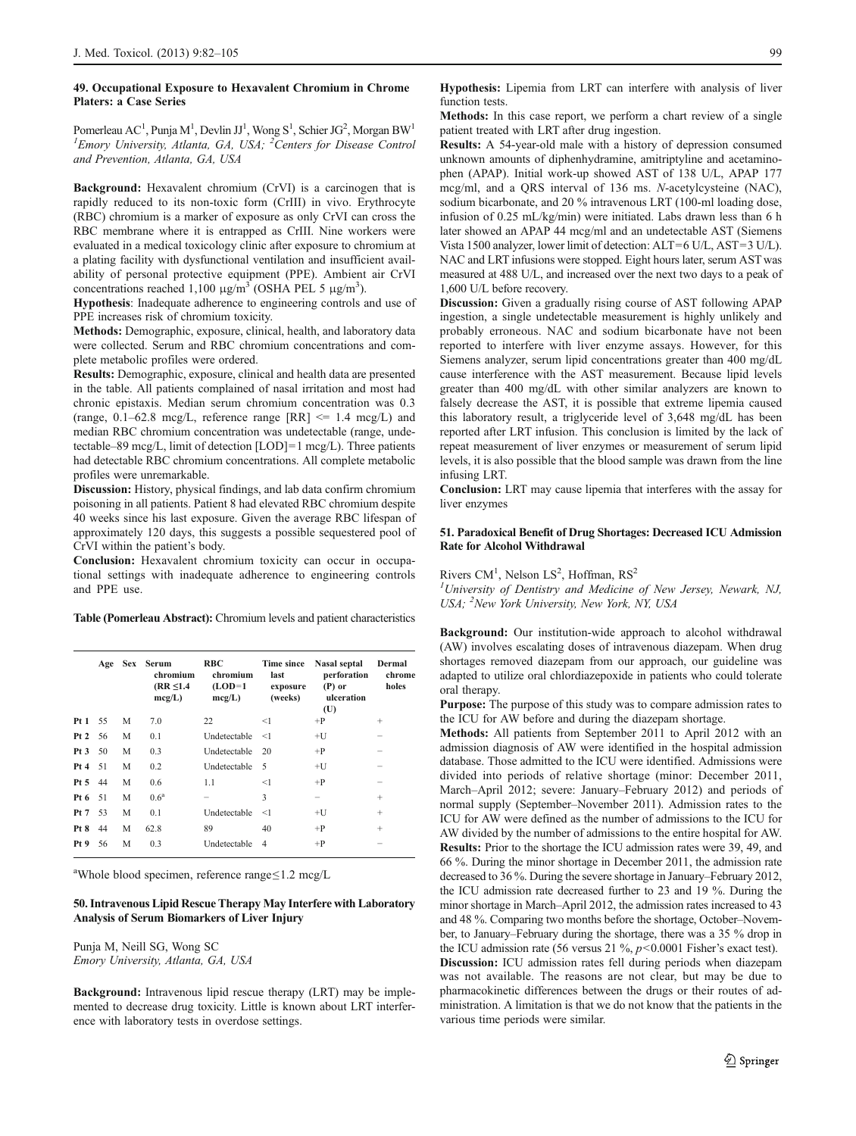#### 49. Occupational Exposure to Hexavalent Chromium in Chrome Platers: a Case Series

Pomerleau AC<sup>1</sup>, Punja M<sup>1</sup>, Devlin JJ<sup>1</sup>, Wong S<sup>1</sup>, Schier JG<sup>2</sup>, Morgan BW<sup>1</sup> <sup>1</sup> Emory University, Atlanta, GA, USA; <sup>2</sup> Centers for Disease Control and Prevention, Atlanta, GA, USA

Background: Hexavalent chromium (CrVI) is a carcinogen that is rapidly reduced to its non-toxic form (CrIII) in vivo. Erythrocyte (RBC) chromium is a marker of exposure as only CrVI can cross the RBC membrane where it is entrapped as CrIII. Nine workers were evaluated in a medical toxicology clinic after exposure to chromium at a plating facility with dysfunctional ventilation and insufficient availability of personal protective equipment (PPE). Ambient air CrVI concentrations reached 1,100 μg/m<sup>3</sup> (OSHA PEL 5 μg/m<sup>3</sup>).

Hypothesis: Inadequate adherence to engineering controls and use of PPE increases risk of chromium toxicity.

Methods: Demographic, exposure, clinical, health, and laboratory data were collected. Serum and RBC chromium concentrations and complete metabolic profiles were ordered.

Results: Demographic, exposure, clinical and health data are presented in the table. All patients complained of nasal irritation and most had chronic epistaxis. Median serum chromium concentration was 0.3 (range,  $0.1-62.8$  mcg/L, reference range  $[RR] \le 1.4$  mcg/L) and median RBC chromium concentration was undetectable (range, undetectable–89 mcg/L, limit of detection  $[LOD]=1$  mcg/L). Three patients had detectable RBC chromium concentrations. All complete metabolic profiles were unremarkable.

Discussion: History, physical findings, and lab data confirm chromium poisoning in all patients. Patient 8 had elevated RBC chromium despite 40 weeks since his last exposure. Given the average RBC lifespan of approximately 120 days, this suggests a possible sequestered pool of CrVI within the patient's body.

Conclusion: Hexavalent chromium toxicity can occur in occupational settings with inadequate adherence to engineering controls and PPE use.

Table (Pomerleau Abstract): Chromium levels and patient characteristics

|                 | Age  |   | Sex Serum<br>chromium<br>$(RR \leq 1.4$<br>mcg/L) | <b>RBC</b><br>chromium<br>$(LOD=1)$<br>$mcg/L$ ) | Time since<br>last<br>exposure<br>(weeks) | Nasal septal<br>perforation<br>$(P)$ or<br>ulceration<br>(U) | Dermal<br>chrome<br>holes |
|-----------------|------|---|---------------------------------------------------|--------------------------------------------------|-------------------------------------------|--------------------------------------------------------------|---------------------------|
| Pt 1 55         |      | M | 7.0                                               | 22                                               | $<$ 1                                     | $+P$                                                         | $^{+}$                    |
| Pt 2 56         |      | M | 0.1                                               | Undetectable                                     | <1                                        | $+U$                                                         |                           |
| Pt3             | 50   | M | 0.3                                               | Undetectable                                     | 20                                        | $+P$                                                         |                           |
| Pt 4 51         |      | M | 0.2                                               | Undetectable                                     | 5                                         | $+U$                                                         |                           |
| Pt <sub>5</sub> | -44  | M | 0.6                                               | 1.1                                              | $<$ 1                                     | $+P$                                                         |                           |
| Pt 6 51         |      | M | 0.6 <sup>a</sup>                                  |                                                  | 3                                         | -                                                            | $^{+}$                    |
| Pt 7            | - 53 | M | 0.1                                               | Undetectable                                     | <1                                        | $+U$                                                         | $^{+}$                    |
| Pt 8            | 44   | M | 62.8                                              | 89                                               | 40                                        | $+P$                                                         | $^{+}$                    |
| Pt 9            | 56   | M | 0.3                                               | Undetectable                                     | $\overline{4}$                            | $+P$                                                         |                           |

a Whole blood specimen, reference range≤1.2 mcg/L

#### 50. Intravenous Lipid Rescue Therapy May Interfere with Laboratory Analysis of Serum Biomarkers of Liver Injury

Punja M, Neill SG, Wong SC Emory University, Atlanta, GA, USA

Background: Intravenous lipid rescue therapy (LRT) may be implemented to decrease drug toxicity. Little is known about LRT interference with laboratory tests in overdose settings.

Hypothesis: Lipemia from LRT can interfere with analysis of liver function tests.

Methods: In this case report, we perform a chart review of a single patient treated with LRT after drug ingestion.

Results: A 54-year-old male with a history of depression consumed unknown amounts of diphenhydramine, amitriptyline and acetaminophen (APAP). Initial work-up showed AST of 138 U/L, APAP 177 mcg/ml, and a QRS interval of 136 ms. N-acetylcysteine (NAC), sodium bicarbonate, and 20 % intravenous LRT (100-ml loading dose, infusion of 0.25 mL/kg/min) were initiated. Labs drawn less than 6 h later showed an APAP 44 mcg/ml and an undetectable AST (Siemens Vista 1500 analyzer, lower limit of detection:  $ALT=6$  U/L,  $AST=3$  U/L). NAC and LRT infusions were stopped. Eight hours later, serum AST was measured at 488 U/L, and increased over the next two days to a peak of 1,600 U/L before recovery.

Discussion: Given a gradually rising course of AST following APAP ingestion, a single undetectable measurement is highly unlikely and probably erroneous. NAC and sodium bicarbonate have not been reported to interfere with liver enzyme assays. However, for this Siemens analyzer, serum lipid concentrations greater than 400 mg/dL cause interference with the AST measurement. Because lipid levels greater than 400 mg/dL with other similar analyzers are known to falsely decrease the AST, it is possible that extreme lipemia caused this laboratory result, a triglyceride level of 3,648 mg/dL has been reported after LRT infusion. This conclusion is limited by the lack of repeat measurement of liver enzymes or measurement of serum lipid levels, it is also possible that the blood sample was drawn from the line infusing LRT.

Conclusion: LRT may cause lipemia that interferes with the assay for liver enzymes

#### 51. Paradoxical Benefit of Drug Shortages: Decreased ICU Admission Rate for Alcohol Withdrawal

Rivers CM<sup>1</sup>, Nelson LS<sup>2</sup>, Hoffman, RS<sup>2</sup>

<sup>1</sup>University of Dentistry and Medicine of New Jersey, Newark, NJ, USA; <sup>2</sup>New York University, New York, NY, USA

Background: Our institution-wide approach to alcohol withdrawal (AW) involves escalating doses of intravenous diazepam. When drug shortages removed diazepam from our approach, our guideline was adapted to utilize oral chlordiazepoxide in patients who could tolerate oral therapy.

Purpose: The purpose of this study was to compare admission rates to the ICU for AW before and during the diazepam shortage.

Methods: All patients from September 2011 to April 2012 with an admission diagnosis of AW were identified in the hospital admission database. Those admitted to the ICU were identified. Admissions were divided into periods of relative shortage (minor: December 2011, March–April 2012; severe: January–February 2012) and periods of normal supply (September–November 2011). Admission rates to the ICU for AW were defined as the number of admissions to the ICU for AW divided by the number of admissions to the entire hospital for AW. Results: Prior to the shortage the ICU admission rates were 39, 49, and 66 %. During the minor shortage in December 2011, the admission rate decreased to 36 %. During the severe shortage in January–February 2012, the ICU admission rate decreased further to 23 and 19 %. During the minor shortage in March–April 2012, the admission rates increased to 43 and 48 %. Comparing two months before the shortage, October–November, to January–February during the shortage, there was a 35 % drop in the ICU admission rate (56 versus 21 %,  $p<0.0001$  Fisher's exact test). Discussion: ICU admission rates fell during periods when diazepam was not available. The reasons are not clear, but may be due to pharmacokinetic differences between the drugs or their routes of administration. A limitation is that we do not know that the patients in the various time periods were similar.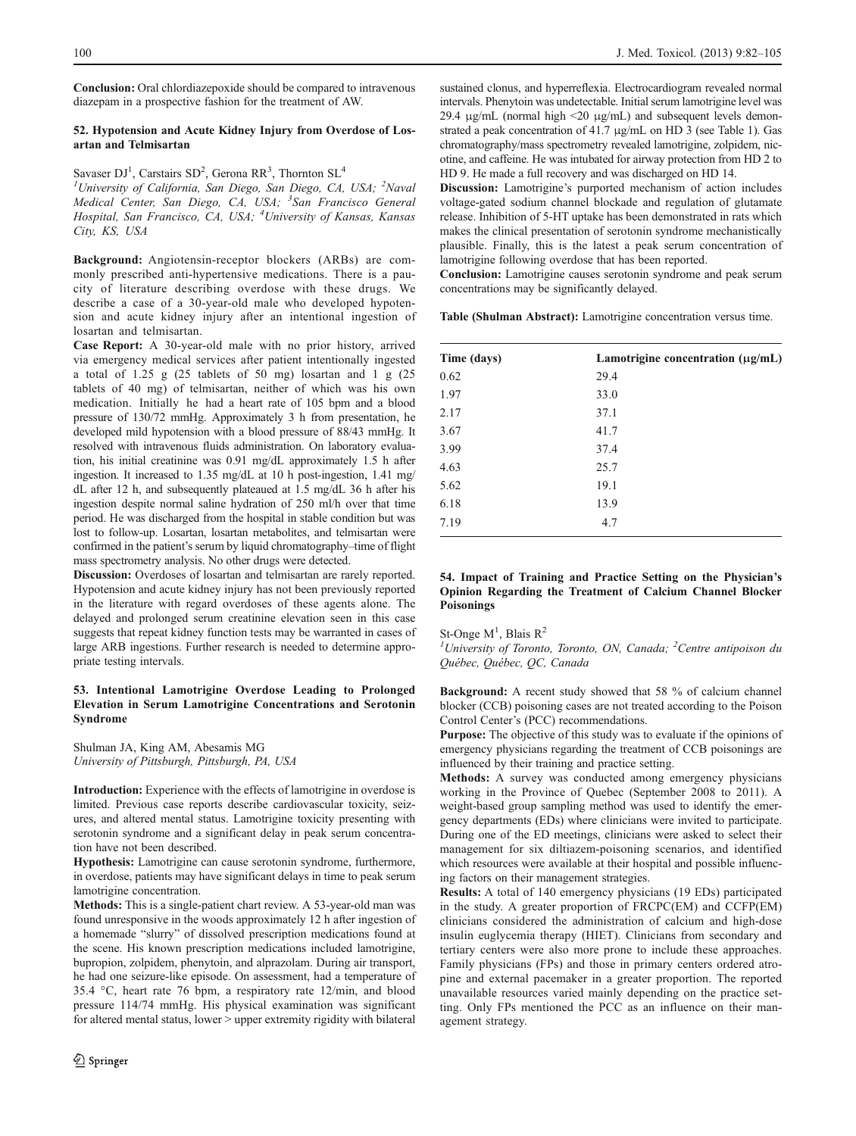Conclusion: Oral chlordiazepoxide should be compared to intravenous diazepam in a prospective fashion for the treatment of AW.

#### 52. Hypotension and Acute Kidney Injury from Overdose of Losartan and Telmisartan

Savaser  $DJ<sup>1</sup>$ , Carstairs SD<sup>2</sup>, Gerona RR<sup>3</sup>, Thornton SL<sup>4</sup>

<sup>1</sup>University of California, San Diego, San Diego, CA, USA; <sup>2</sup>Naval Medical Center, San Diego, CA, USA; <sup>3</sup>San Francisco General Hospital, San Francisco, CA, USA; <sup>4</sup>University of Kansas, Kansas City, KS, USA

Background: Angiotensin-receptor blockers (ARBs) are commonly prescribed anti-hypertensive medications. There is a paucity of literature describing overdose with these drugs. We describe a case of a 30-year-old male who developed hypotension and acute kidney injury after an intentional ingestion of losartan and telmisartan.

Case Report: A 30-year-old male with no prior history, arrived via emergency medical services after patient intentionally ingested a total of  $1.25$  g  $(25$  tablets of  $50$  mg) losartan and  $1$  g  $(25)$ tablets of 40 mg) of telmisartan, neither of which was his own medication. Initially he had a heart rate of 105 bpm and a blood pressure of 130/72 mmHg. Approximately 3 h from presentation, he developed mild hypotension with a blood pressure of 88/43 mmHg. It resolved with intravenous fluids administration. On laboratory evaluation, his initial creatinine was 0.91 mg/dL approximately 1.5 h after ingestion. It increased to 1.35 mg/dL at 10 h post-ingestion, 1.41 mg/ dL after 12 h, and subsequently plateaued at 1.5 mg/dL 36 h after his ingestion despite normal saline hydration of 250 ml/h over that time period. He was discharged from the hospital in stable condition but was lost to follow-up. Losartan, losartan metabolites, and telmisartan were confirmed in the patient's serum by liquid chromatography–time of flight mass spectrometry analysis. No other drugs were detected.

Discussion: Overdoses of losartan and telmisartan are rarely reported. Hypotension and acute kidney injury has not been previously reported in the literature with regard overdoses of these agents alone. The delayed and prolonged serum creatinine elevation seen in this case suggests that repeat kidney function tests may be warranted in cases of large ARB ingestions. Further research is needed to determine appropriate testing intervals.

# 53. Intentional Lamotrigine Overdose Leading to Prolonged Elevation in Serum Lamotrigine Concentrations and Serotonin Syndrome

Shulman JA, King AM, Abesamis MG University of Pittsburgh, Pittsburgh, PA, USA

Introduction: Experience with the effects of lamotrigine in overdose is limited. Previous case reports describe cardiovascular toxicity, seizures, and altered mental status. Lamotrigine toxicity presenting with serotonin syndrome and a significant delay in peak serum concentration have not been described.

Hypothesis: Lamotrigine can cause serotonin syndrome, furthermore, in overdose, patients may have significant delays in time to peak serum lamotrigine concentration.

Methods: This is a single-patient chart review. A 53-year-old man was found unresponsive in the woods approximately 12 h after ingestion of a homemade "slurry" of dissolved prescription medications found at the scene. His known prescription medications included lamotrigine, bupropion, zolpidem, phenytoin, and alprazolam. During air transport, he had one seizure-like episode. On assessment, had a temperature of 35.4 °C, heart rate 76 bpm, a respiratory rate 12/min, and blood pressure 114/74 mmHg. His physical examination was significant for altered mental status, lower > upper extremity rigidity with bilateral

sustained clonus, and hyperreflexia. Electrocardiogram revealed normal intervals. Phenytoin was undetectable. Initial serum lamotrigine level was 29.4 μg/mL (normal high <20 μg/mL) and subsequent levels demonstrated a peak concentration of 41.7 μg/mL on HD 3 (see Table 1). Gas chromatography/mass spectrometry revealed lamotrigine, zolpidem, nicotine, and caffeine. He was intubated for airway protection from HD 2 to HD 9. He made a full recovery and was discharged on HD 14.

Discussion: Lamotrigine's purported mechanism of action includes voltage-gated sodium channel blockade and regulation of glutamate release. Inhibition of 5-HT uptake has been demonstrated in rats which makes the clinical presentation of serotonin syndrome mechanistically plausible. Finally, this is the latest a peak serum concentration of lamotrigine following overdose that has been reported.

Conclusion: Lamotrigine causes serotonin syndrome and peak serum concentrations may be significantly delayed.

Table (Shulman Abstract): Lamotrigine concentration versus time.

| 0.62<br>29.4<br>1.97<br>33.0 |  |
|------------------------------|--|
|                              |  |
|                              |  |
| 2.17<br>37.1                 |  |
| 3.67<br>41.7                 |  |
| 3.99<br>37.4                 |  |
| 4.63<br>25.7                 |  |
| 19.1<br>5.62                 |  |
| 6.18<br>13.9                 |  |
| 7.19<br>4.7                  |  |

# 54. Impact of Training and Practice Setting on the Physician's Opinion Regarding the Treatment of Calcium Channel Blocker Poisonings

St-Onge M<sup>1</sup>, Blais R<sup>2</sup>

<sup>1</sup>University of Toronto, Toronto, ON, Canada;  ${}^{2}$ Centre antipoison du Québec, Québec, QC, Canada

Background: A recent study showed that 58 % of calcium channel blocker (CCB) poisoning cases are not treated according to the Poison Control Center's (PCC) recommendations.

Purpose: The objective of this study was to evaluate if the opinions of emergency physicians regarding the treatment of CCB poisonings are influenced by their training and practice setting.

Methods: A survey was conducted among emergency physicians working in the Province of Quebec (September 2008 to 2011). A weight-based group sampling method was used to identify the emergency departments (EDs) where clinicians were invited to participate. During one of the ED meetings, clinicians were asked to select their management for six diltiazem-poisoning scenarios, and identified which resources were available at their hospital and possible influencing factors on their management strategies.

Results: A total of 140 emergency physicians (19 EDs) participated in the study. A greater proportion of FRCPC(EM) and CCFP(EM) clinicians considered the administration of calcium and high-dose insulin euglycemia therapy (HIET). Clinicians from secondary and tertiary centers were also more prone to include these approaches. Family physicians (FPs) and those in primary centers ordered atropine and external pacemaker in a greater proportion. The reported unavailable resources varied mainly depending on the practice setting. Only FPs mentioned the PCC as an influence on their management strategy.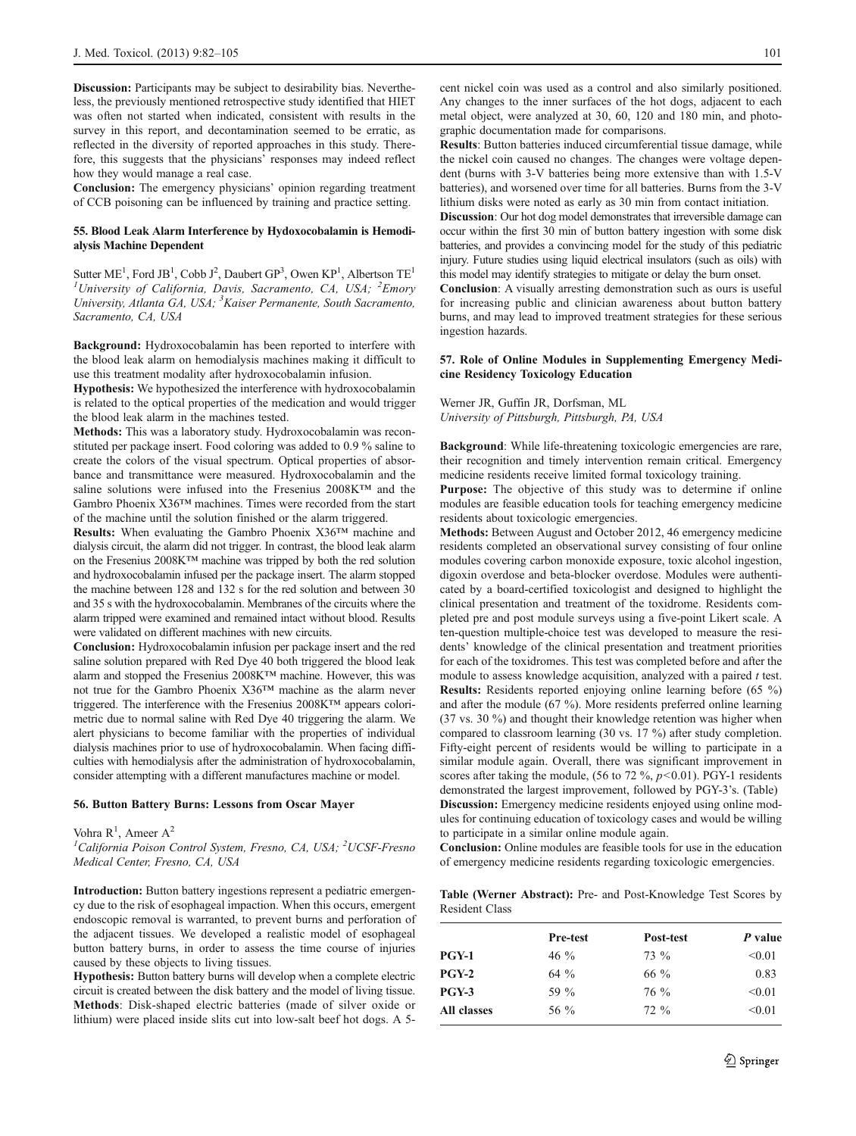Discussion: Participants may be subject to desirability bias. Nevertheless, the previously mentioned retrospective study identified that HIET was often not started when indicated, consistent with results in the survey in this report, and decontamination seemed to be erratic, as reflected in the diversity of reported approaches in this study. Therefore, this suggests that the physicians' responses may indeed reflect how they would manage a real case.

Conclusion: The emergency physicians' opinion regarding treatment of CCB poisoning can be influenced by training and practice setting.

## 55. Blood Leak Alarm Interference by Hydoxocobalamin is Hemodialysis Machine Dependent

Sutter ME<sup>1</sup>, Ford JB<sup>1</sup>, Cobb J<sup>2</sup>, Daubert GP<sup>3</sup>, Owen KP<sup>1</sup>, Albertson TE<sup>1</sup> <sup>1</sup>University of California, Davis, Sacramento, CA, USA;  ${}^{2}$ Emory University, Atlanta GA, USA; <sup>3</sup>Kaiser Permanente, South Sacramento, Sacramento, CA, USA

Background: Hydroxocobalamin has been reported to interfere with the blood leak alarm on hemodialysis machines making it difficult to use this treatment modality after hydroxocobalamin infusion.

Hypothesis: We hypothesized the interference with hydroxocobalamin is related to the optical properties of the medication and would trigger the blood leak alarm in the machines tested.

Methods: This was a laboratory study. Hydroxocobalamin was reconstituted per package insert. Food coloring was added to 0.9 % saline to create the colors of the visual spectrum. Optical properties of absorbance and transmittance were measured. Hydroxocobalamin and the saline solutions were infused into the Fresenius 2008K™ and the Gambro Phoenix X36™ machines. Times were recorded from the start of the machine until the solution finished or the alarm triggered.

Results: When evaluating the Gambro Phoenix X36™ machine and dialysis circuit, the alarm did not trigger. In contrast, the blood leak alarm on the Fresenius 2008K™ machine was tripped by both the red solution and hydroxocobalamin infused per the package insert. The alarm stopped the machine between 128 and 132 s for the red solution and between 30 and 35 s with the hydroxocobalamin. Membranes of the circuits where the alarm tripped were examined and remained intact without blood. Results were validated on different machines with new circuits.

Conclusion: Hydroxocobalamin infusion per package insert and the red saline solution prepared with Red Dye 40 both triggered the blood leak alarm and stopped the Fresenius 2008K™ machine. However, this was not true for the Gambro Phoenix X36™ machine as the alarm never triggered. The interference with the Fresenius 2008K™ appears colorimetric due to normal saline with Red Dye 40 triggering the alarm. We alert physicians to become familiar with the properties of individual dialysis machines prior to use of hydroxocobalamin. When facing difficulties with hemodialysis after the administration of hydroxocobalamin, consider attempting with a different manufactures machine or model.

#### 56. Button Battery Burns: Lessons from Oscar Mayer

Vohra  $R^1$ , Ameer  $A^2$ 

<sup>1</sup>California Poison Control System, Fresno, CA, USA; <sup>2</sup>UCSF-Fresno Medical Center, Fresno, CA, USA

Introduction: Button battery ingestions represent a pediatric emergency due to the risk of esophageal impaction. When this occurs, emergent endoscopic removal is warranted, to prevent burns and perforation of the adjacent tissues. We developed a realistic model of esophageal button battery burns, in order to assess the time course of injuries caused by these objects to living tissues.

Hypothesis: Button battery burns will develop when a complete electric circuit is created between the disk battery and the model of living tissue. Methods: Disk-shaped electric batteries (made of silver oxide or lithium) were placed inside slits cut into low-salt beef hot dogs. A 5cent nickel coin was used as a control and also similarly positioned. Any changes to the inner surfaces of the hot dogs, adjacent to each metal object, were analyzed at 30, 60, 120 and 180 min, and photographic documentation made for comparisons.

Results: Button batteries induced circumferential tissue damage, while the nickel coin caused no changes. The changes were voltage dependent (burns with 3-V batteries being more extensive than with 1.5-V batteries), and worsened over time for all batteries. Burns from the 3-V lithium disks were noted as early as 30 min from contact initiation.

Discussion: Our hot dog model demonstrates that irreversible damage can occur within the first 30 min of button battery ingestion with some disk batteries, and provides a convincing model for the study of this pediatric injury. Future studies using liquid electrical insulators (such as oils) with this model may identify strategies to mitigate or delay the burn onset.

Conclusion: A visually arresting demonstration such as ours is useful for increasing public and clinician awareness about button battery burns, and may lead to improved treatment strategies for these serious ingestion hazards.

#### 57. Role of Online Modules in Supplementing Emergency Medicine Residency Toxicology Education

Werner JR, Guffin JR, Dorfsman, ML University of Pittsburgh, Pittsburgh, PA, USA

Background: While life-threatening toxicologic emergencies are rare, their recognition and timely intervention remain critical. Emergency medicine residents receive limited formal toxicology training.

Purpose: The objective of this study was to determine if online modules are feasible education tools for teaching emergency medicine residents about toxicologic emergencies.

Methods: Between August and October 2012, 46 emergency medicine residents completed an observational survey consisting of four online modules covering carbon monoxide exposure, toxic alcohol ingestion, digoxin overdose and beta-blocker overdose. Modules were authenticated by a board-certified toxicologist and designed to highlight the clinical presentation and treatment of the toxidrome. Residents completed pre and post module surveys using a five-point Likert scale. A ten-question multiple-choice test was developed to measure the residents' knowledge of the clinical presentation and treatment priorities for each of the toxidromes. This test was completed before and after the module to assess knowledge acquisition, analyzed with a paired  $t$  test. Results: Residents reported enjoying online learning before (65 %) and after the module (67 %). More residents preferred online learning (37 vs. 30 %) and thought their knowledge retention was higher when compared to classroom learning (30 vs. 17 %) after study completion. Fifty-eight percent of residents would be willing to participate in a similar module again. Overall, there was significant improvement in scores after taking the module, (56 to 72 %,  $p<0.01$ ). PGY-1 residents demonstrated the largest improvement, followed by PGY-3's. (Table) Discussion: Emergency medicine residents enjoyed using online modules for continuing education of toxicology cases and would be willing to participate in a similar online module again.

Conclusion: Online modules are feasible tools for use in the education of emergency medicine residents regarding toxicologic emergencies.

Table (Werner Abstract): Pre- and Post-Knowledge Test Scores by Resident Class

|             | <b>Pre-test</b> | Post-test | P value |
|-------------|-----------------|-----------|---------|
| $PGY-1$     | 46 $\%$         | $73\%$    | < 0.01  |
| $PGY-2$     | 64 $\%$         | $66\%$    | 0.83    |
| $PGY-3$     | 59 %            | 76 %      | < 0.01  |
| All classes | 56 %            | $72\%$    | < 0.01  |
|             |                 |           |         |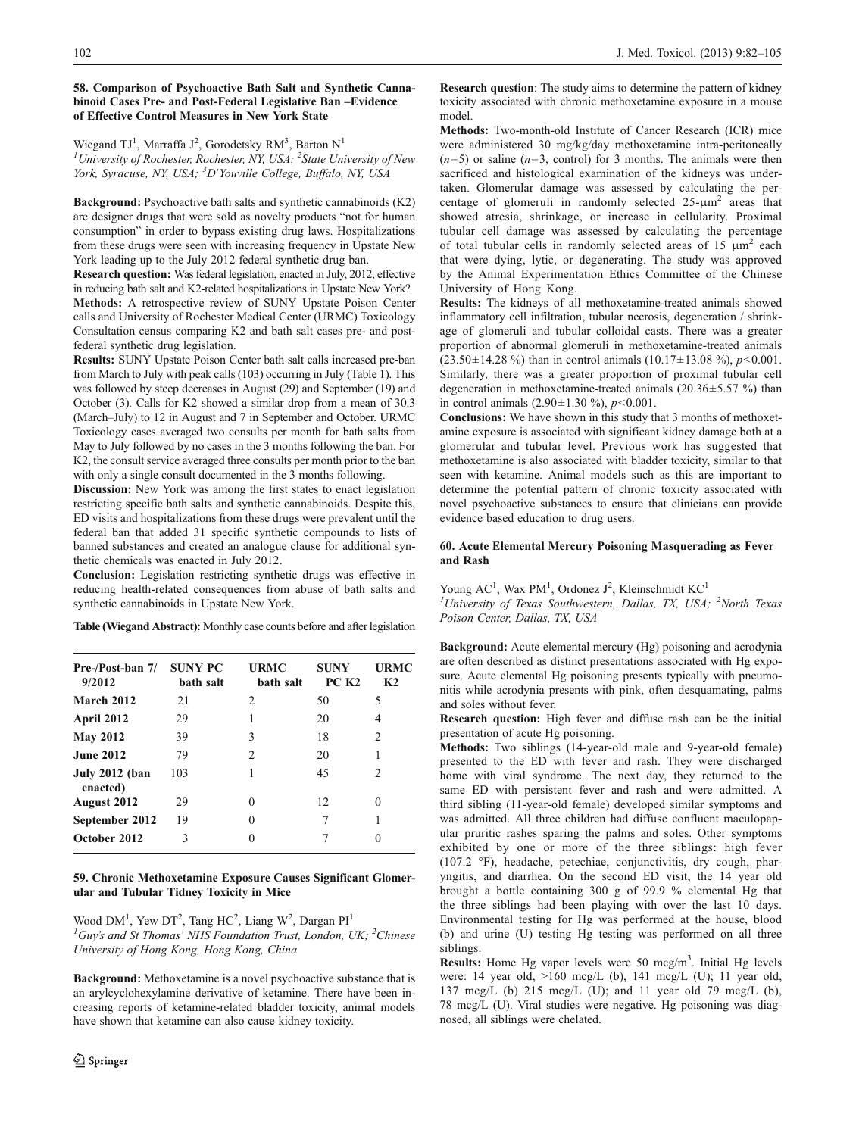## 58. Comparison of Psychoactive Bath Salt and Synthetic Cannabinoid Cases Pre- and Post-Federal Legislative Ban –Evidence of Effective Control Measures in New York State

Wiegand TJ<sup>1</sup>, Marraffa J<sup>2</sup>, Gorodetsky RM<sup>3</sup>, Barton N<sup>1</sup>

<sup>1</sup>University of Rochester, Rochester, NY, USA; <sup>2</sup>State University of New York, Syracuse, NY, USA; <sup>3</sup>D'Youville College, Buffalo, NY, USA

Background: Psychoactive bath salts and synthetic cannabinoids (K2) are designer drugs that were sold as novelty products "not for human consumption" in order to bypass existing drug laws. Hospitalizations from these drugs were seen with increasing frequency in Upstate New York leading up to the July 2012 federal synthetic drug ban.

Research question: Was federal legislation, enacted in July, 2012, effective in reducing bath salt and K2-related hospitalizations in Upstate New York? Methods: A retrospective review of SUNY Upstate Poison Center calls and University of Rochester Medical Center (URMC) Toxicology Consultation census comparing K2 and bath salt cases pre- and postfederal synthetic drug legislation.

Results: SUNY Upstate Poison Center bath salt calls increased pre-ban from March to July with peak calls (103) occurring in July (Table 1). This was followed by steep decreases in August (29) and September (19) and October (3). Calls for K2 showed a similar drop from a mean of 30.3 (March–July) to 12 in August and 7 in September and October. URMC Toxicology cases averaged two consults per month for bath salts from May to July followed by no cases in the 3 months following the ban. For K2, the consult service averaged three consults per month prior to the ban with only a single consult documented in the 3 months following.

Discussion: New York was among the first states to enact legislation restricting specific bath salts and synthetic cannabinoids. Despite this, ED visits and hospitalizations from these drugs were prevalent until the federal ban that added 31 specific synthetic compounds to lists of banned substances and created an analogue clause for additional synthetic chemicals was enacted in July 2012.

Conclusion: Legislation restricting synthetic drugs was effective in reducing health-related consequences from abuse of bath salts and synthetic cannabinoids in Upstate New York.

Table (Wiegand Abstract): Monthly case counts before and after legislation

| Pre-/Post-ban 7/<br>9/2012 | <b>SUNY PC</b><br>bath salt | URMC<br>bath salt | <b>SUNY</b><br>PCK2 | URMC<br>K <sub>2</sub> |
|----------------------------|-----------------------------|-------------------|---------------------|------------------------|
| March 2012                 | 21                          | 2                 | 50                  | 5                      |
| April 2012                 | 29                          |                   | 20                  | 4                      |
| <b>May 2012</b>            | 39                          | 3                 | 18                  | 2                      |
| <b>June 2012</b>           | 79                          | $\mathcal{L}$     | 20                  |                        |
| July 2012 (ban<br>enacted) | 103                         | 1                 | 45                  | 2                      |
| <b>August 2012</b>         | 29                          | 0                 | 12                  | 0                      |
| September 2012             | 19                          | 0                 | 7                   |                        |
| October 2012               | 3                           | 0                 |                     |                        |

#### 59. Chronic Methoxetamine Exposure Causes Significant Glomerular and Tubular Tidney Toxicity in Mice

Wood DM<sup>1</sup>, Yew DT<sup>2</sup>, Tang HC<sup>2</sup>, Liang W<sup>2</sup>, Dargan PI<sup>1</sup>  ${}^{1}$ Guy's and St Thomas' NHS Foundation Trust, London, UK;  ${}^{2}$ Chinese University of Hong Kong, Hong Kong, China

Background: Methoxetamine is a novel psychoactive substance that is an arylcyclohexylamine derivative of ketamine. There have been increasing reports of ketamine-related bladder toxicity, animal models have shown that ketamine can also cause kidney toxicity.

Research question: The study aims to determine the pattern of kidney toxicity associated with chronic methoxetamine exposure in a mouse model.

Methods: Two-month-old Institute of Cancer Research (ICR) mice were administered 30 mg/kg/day methoxetamine intra-peritoneally  $(n=5)$  or saline  $(n=3, \text{ control})$  for 3 months. The animals were then sacrificed and histological examination of the kidneys was undertaken. Glomerular damage was assessed by calculating the percentage of glomeruli in randomly selected  $25-\mu m^2$  areas that showed atresia, shrinkage, or increase in cellularity. Proximal tubular cell damage was assessed by calculating the percentage of total tubular cells in randomly selected areas of 15  $\mu$ m<sup>2</sup> each that were dying, lytic, or degenerating. The study was approved by the Animal Experimentation Ethics Committee of the Chinese University of Hong Kong.

Results: The kidneys of all methoxetamine-treated animals showed inflammatory cell infiltration, tubular necrosis, degeneration / shrinkage of glomeruli and tubular colloidal casts. There was a greater proportion of abnormal glomeruli in methoxetamine-treated animals  $(23.50 \pm 14.28 \%)$  than in control animals  $(10.17 \pm 13.08 \%)$ ,  $p < 0.001$ . Similarly, there was a greater proportion of proximal tubular cell degeneration in methoxetamine-treated animals (20.36±5.57 %) than in control animals  $(2.90 \pm 1.30 \%)$ ,  $p < 0.001$ .

Conclusions: We have shown in this study that 3 months of methoxetamine exposure is associated with significant kidney damage both at a glomerular and tubular level. Previous work has suggested that methoxetamine is also associated with bladder toxicity, similar to that seen with ketamine. Animal models such as this are important to determine the potential pattern of chronic toxicity associated with novel psychoactive substances to ensure that clinicians can provide evidence based education to drug users.

# 60. Acute Elemental Mercury Poisoning Masquerading as Fever and Rash

Young AC<sup>1</sup>, Wax PM<sup>1</sup>, Ordonez J<sup>2</sup>, Kleinschmidt KC<sup>1</sup>

<sup>1</sup>University of Texas Southwestern, Dallas, TX, USA; <sup>2</sup>North Texas Poison Center, Dallas, TX, USA

Background: Acute elemental mercury (Hg) poisoning and acrodynia are often described as distinct presentations associated with Hg exposure. Acute elemental Hg poisoning presents typically with pneumonitis while acrodynia presents with pink, often desquamating, palms and soles without fever.

Research question: High fever and diffuse rash can be the initial presentation of acute Hg poisoning.

Methods: Two siblings (14-year-old male and 9-year-old female) presented to the ED with fever and rash. They were discharged home with viral syndrome. The next day, they returned to the same ED with persistent fever and rash and were admitted. A third sibling (11-year-old female) developed similar symptoms and was admitted. All three children had diffuse confluent maculopapular pruritic rashes sparing the palms and soles. Other symptoms exhibited by one or more of the three siblings: high fever (107.2 °F), headache, petechiae, conjunctivitis, dry cough, pharyngitis, and diarrhea. On the second ED visit, the 14 year old brought a bottle containing 300 g of 99.9 % elemental Hg that the three siblings had been playing with over the last 10 days. Environmental testing for Hg was performed at the house, blood (b) and urine (U) testing Hg testing was performed on all three siblings.

Results: Home Hg vapor levels were 50 mcg/m<sup>3</sup>. Initial Hg levels were: 14 year old,  $>160$  mcg/L (b), 141 mcg/L (U); 11 year old, 137 mcg/L (b) 215 mcg/L (U); and 11 year old 79 mcg/L (b), 78 mcg/L (U). Viral studies were negative. Hg poisoning was diagnosed, all siblings were chelated.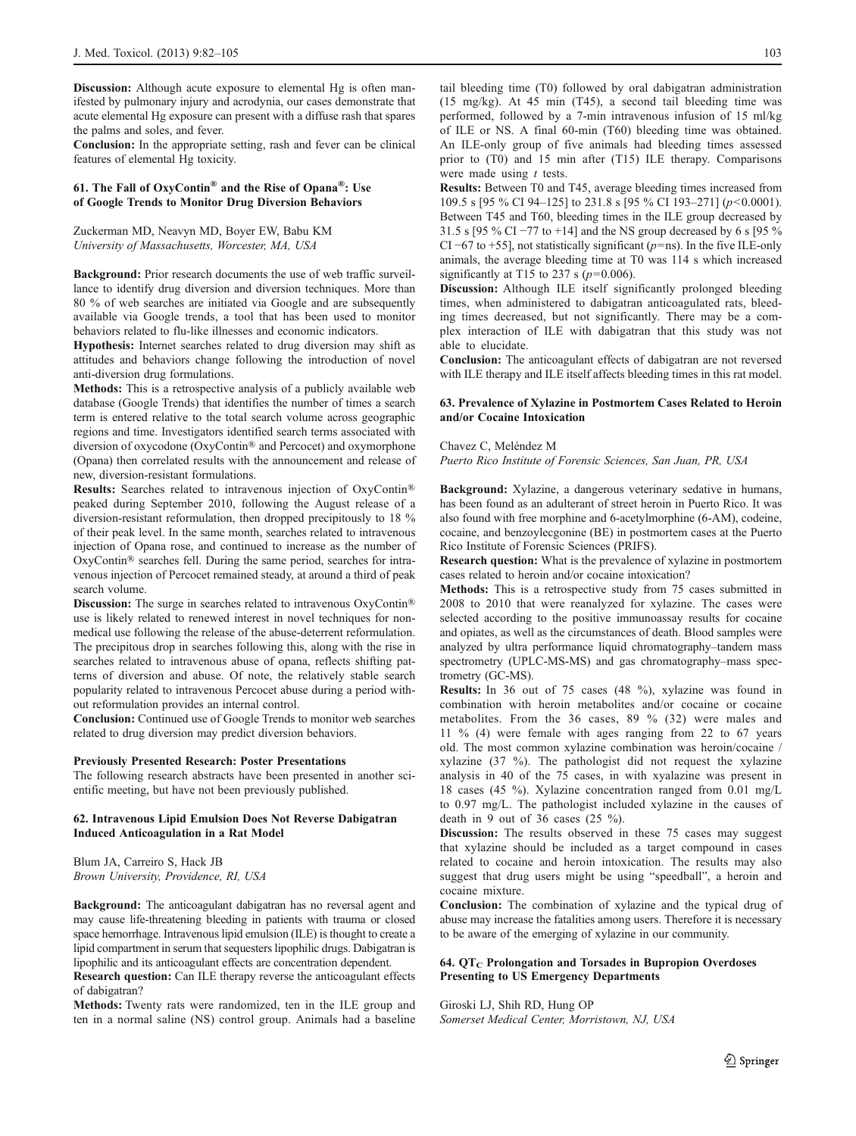Discussion: Although acute exposure to elemental Hg is often manifested by pulmonary injury and acrodynia, our cases demonstrate that acute elemental Hg exposure can present with a diffuse rash that spares the palms and soles, and fever.

Conclusion: In the appropriate setting, rash and fever can be clinical features of elemental Hg toxicity.

# 61. The Fall of OxyContin® and the Rise of Opana®: Use of Google Trends to Monitor Drug Diversion Behaviors

Zuckerman MD, Neavyn MD, Boyer EW, Babu KM University of Massachusetts, Worcester, MA, USA

Background: Prior research documents the use of web traffic surveillance to identify drug diversion and diversion techniques. More than 80 % of web searches are initiated via Google and are subsequently available via Google trends, a tool that has been used to monitor behaviors related to flu-like illnesses and economic indicators.

Hypothesis: Internet searches related to drug diversion may shift as attitudes and behaviors change following the introduction of novel anti-diversion drug formulations.

Methods: This is a retrospective analysis of a publicly available web database (Google Trends) that identifies the number of times a search term is entered relative to the total search volume across geographic regions and time. Investigators identified search terms associated with diversion of oxycodone (OxyContin® and Percocet) and oxymorphone (Opana) then correlated results with the announcement and release of new, diversion-resistant formulations.

Results: Searches related to intravenous injection of OxyContin® peaked during September 2010, following the August release of a diversion-resistant reformulation, then dropped precipitously to 18 % of their peak level. In the same month, searches related to intravenous injection of Opana rose, and continued to increase as the number of OxyContin® searches fell. During the same period, searches for intravenous injection of Percocet remained steady, at around a third of peak search volume.

Discussion: The surge in searches related to intravenous OxyContin® use is likely related to renewed interest in novel techniques for nonmedical use following the release of the abuse-deterrent reformulation. The precipitous drop in searches following this, along with the rise in searches related to intravenous abuse of opana, reflects shifting patterns of diversion and abuse. Of note, the relatively stable search popularity related to intravenous Percocet abuse during a period without reformulation provides an internal control.

Conclusion: Continued use of Google Trends to monitor web searches related to drug diversion may predict diversion behaviors.

#### Previously Presented Research: Poster Presentations

The following research abstracts have been presented in another scientific meeting, but have not been previously published.

#### 62. Intravenous Lipid Emulsion Does Not Reverse Dabigatran Induced Anticoagulation in a Rat Model

Blum JA, Carreiro S, Hack JB Brown University, Providence, RI, USA

Background: The anticoagulant dabigatran has no reversal agent and may cause life-threatening bleeding in patients with trauma or closed space hemorrhage. Intravenous lipid emulsion (ILE) is thought to create a lipid compartment in serum that sequesters lipophilic drugs. Dabigatran is lipophilic and its anticoagulant effects are concentration dependent.

Research question: Can ILE therapy reverse the anticoagulant effects of dabigatran?

Methods: Twenty rats were randomized, ten in the ILE group and ten in a normal saline (NS) control group. Animals had a baseline tail bleeding time (T0) followed by oral dabigatran administration (15 mg/kg). At 45 min (T45), a second tail bleeding time was performed, followed by a 7-min intravenous infusion of 15 ml/kg of ILE or NS. A final 60-min (T60) bleeding time was obtained. An ILE-only group of five animals had bleeding times assessed prior to (T0) and 15 min after (T15) ILE therapy. Comparisons were made using  $t$  tests.

Results: Between T0 and T45, average bleeding times increased from 109.5 s [95 % CI 94–125] to 231.8 s [95 % CI 193–271] (p<0.0001). Between T45 and T60, bleeding times in the ILE group decreased by 31.5 s [95 % CI −77 to +14] and the NS group decreased by 6 s [95 % CI –67 to +55], not statistically significant ( $p$ =ns). In the five ILE-only animals, the average bleeding time at T0 was 114 s which increased significantly at T15 to 237 s ( $p=0.006$ ).

Discussion: Although ILE itself significantly prolonged bleeding times, when administered to dabigatran anticoagulated rats, bleeding times decreased, but not significantly. There may be a complex interaction of ILE with dabigatran that this study was not able to elucidate.

Conclusion: The anticoagulant effects of dabigatran are not reversed with ILE therapy and ILE itself affects bleeding times in this rat model.

#### 63. Prevalence of Xylazine in Postmortem Cases Related to Heroin and/or Cocaine Intoxication

#### Chavez C, Meléndez M

Puerto Rico Institute of Forensic Sciences, San Juan, PR, USA

Background: Xylazine, a dangerous veterinary sedative in humans, has been found as an adulterant of street heroin in Puerto Rico. It was also found with free morphine and 6-acetylmorphine (6-AM), codeine, cocaine, and benzoylecgonine (BE) in postmortem cases at the Puerto Rico Institute of Forensic Sciences (PRIFS).

Research question: What is the prevalence of xylazine in postmortem cases related to heroin and/or cocaine intoxication?

Methods: This is a retrospective study from 75 cases submitted in 2008 to 2010 that were reanalyzed for xylazine. The cases were selected according to the positive immunoassay results for cocaine and opiates, as well as the circumstances of death. Blood samples were analyzed by ultra performance liquid chromatography–tandem mass spectrometry (UPLC-MS-MS) and gas chromatography–mass spectrometry (GC-MS).

Results: In 36 out of 75 cases (48 %), xylazine was found in combination with heroin metabolites and/or cocaine or cocaine metabolites. From the 36 cases, 89 % (32) were males and 11 % (4) were female with ages ranging from 22 to 67 years old. The most common xylazine combination was heroin/cocaine / xylazine (37 %). The pathologist did not request the xylazine analysis in 40 of the 75 cases, in with xyalazine was present in 18 cases (45 %). Xylazine concentration ranged from 0.01 mg/L to 0.97 mg/L. The pathologist included xylazine in the causes of death in 9 out of 36 cases (25 %).

Discussion: The results observed in these 75 cases may suggest that xylazine should be included as a target compound in cases related to cocaine and heroin intoxication. The results may also suggest that drug users might be using "speedball", a heroin and cocaine mixture.

Conclusion: The combination of xylazine and the typical drug of abuse may increase the fatalities among users. Therefore it is necessary to be aware of the emerging of xylazine in our community.

## 64.  $\overline{OT}_C$  Prolongation and Torsades in Bupropion Overdoses Presenting to US Emergency Departments

Giroski LJ, Shih RD, Hung OP Somerset Medical Center, Morristown, NJ, USA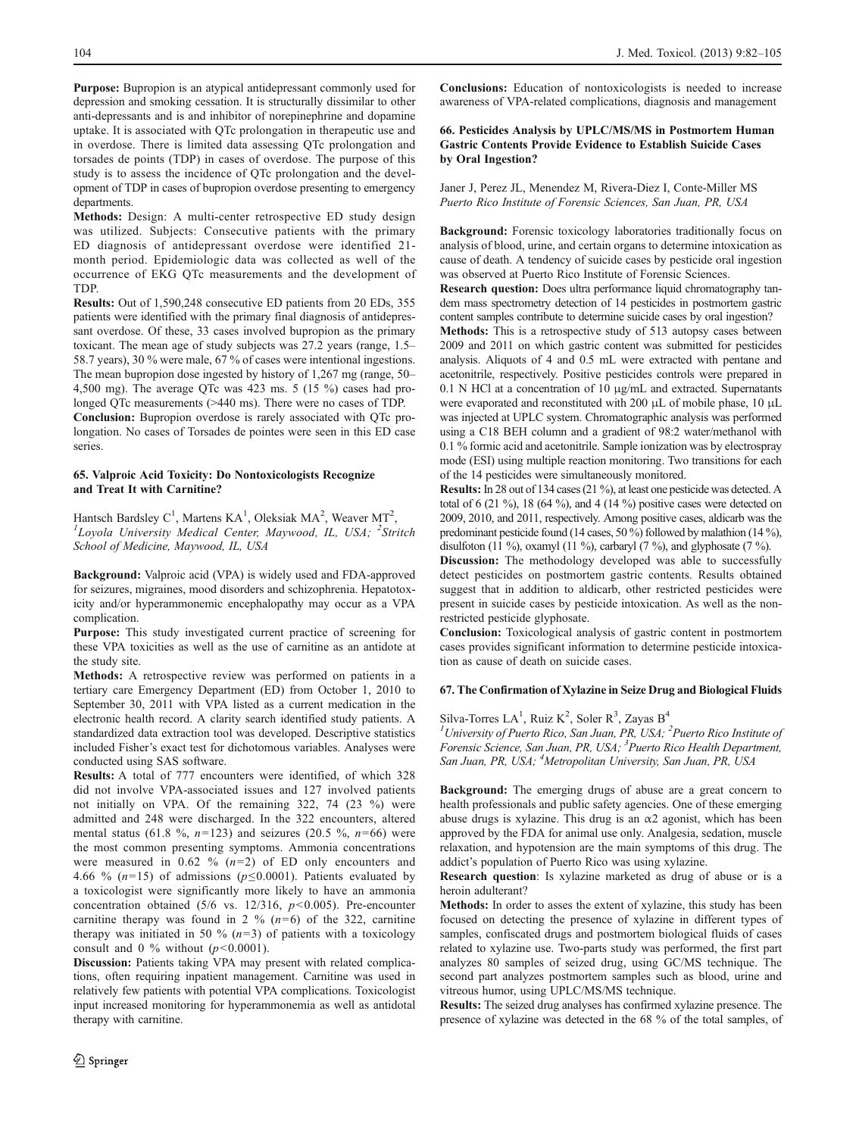Purpose: Bupropion is an atypical antidepressant commonly used for depression and smoking cessation. It is structurally dissimilar to other anti-depressants and is and inhibitor of norepinephrine and dopamine uptake. It is associated with QTc prolongation in therapeutic use and in overdose. There is limited data assessing QTc prolongation and torsades de points (TDP) in cases of overdose. The purpose of this study is to assess the incidence of QTc prolongation and the development of TDP in cases of bupropion overdose presenting to emergency departments.

Methods: Design: A multi-center retrospective ED study design was utilized. Subjects: Consecutive patients with the primary ED diagnosis of antidepressant overdose were identified 21 month period. Epidemiologic data was collected as well of the occurrence of EKG QTc measurements and the development of TDP.

Results: Out of 1,590,248 consecutive ED patients from 20 EDs, 355 patients were identified with the primary final diagnosis of antidepressant overdose. Of these, 33 cases involved bupropion as the primary toxicant. The mean age of study subjects was 27.2 years (range, 1.5– 58.7 years), 30 % were male, 67 % of cases were intentional ingestions. The mean bupropion dose ingested by history of 1,267 mg (range, 50– 4,500 mg). The average QTc was 423 ms. 5 (15 %) cases had prolonged QTc measurements (>440 ms). There were no cases of TDP. Conclusion: Bupropion overdose is rarely associated with QTc prolongation. No cases of Torsades de pointes were seen in this ED case series.

#### 65. Valproic Acid Toxicity: Do Nontoxicologists Recognize and Treat It with Carnitine?

Hantsch Bardsley C<sup>1</sup>, Martens KA<sup>1</sup>, Oleksiak MA<sup>2</sup>, Weaver MT<sup>2</sup>,  $\frac{1}{2}I_{\text{d}}$  and a University Mediaal Center Manuaged H USA; <sup>2</sup>Str Loyola University Medical Center, Maywood, IL, USA; <sup>2</sup>Stritch School of Medicine, Maywood, IL, USA

Background: Valproic acid (VPA) is widely used and FDA-approved for seizures, migraines, mood disorders and schizophrenia. Hepatotoxicity and/or hyperammonemic encephalopathy may occur as a VPA complication.

Purpose: This study investigated current practice of screening for these VPA toxicities as well as the use of carnitine as an antidote at the study site.

Methods: A retrospective review was performed on patients in a tertiary care Emergency Department (ED) from October 1, 2010 to September 30, 2011 with VPA listed as a current medication in the electronic health record. A clarity search identified study patients. A standardized data extraction tool was developed. Descriptive statistics included Fisher's exact test for dichotomous variables. Analyses were conducted using SAS software.

Results: A total of 777 encounters were identified, of which 328 did not involve VPA-associated issues and 127 involved patients not initially on VPA. Of the remaining 322, 74 (23 %) were admitted and 248 were discharged. In the 322 encounters, altered mental status (61.8 %,  $n=123$ ) and seizures (20.5 %,  $n=66$ ) were the most common presenting symptoms. Ammonia concentrations were measured in 0.62 %  $(n=2)$  of ED only encounters and 4.66 % ( $n=15$ ) of admissions ( $p \le 0.0001$ ). Patients evaluated by a toxicologist were significantly more likely to have an ammonia concentration obtained (5/6 vs. 12/316,  $p$ <0.005). Pre-encounter carnitine therapy was found in 2 %  $(n=6)$  of the 322, carnitine therapy was initiated in 50 % ( $n=3$ ) of patients with a toxicology consult and 0 % without  $(p<0.0001)$ .

Discussion: Patients taking VPA may present with related complications, often requiring inpatient management. Carnitine was used in relatively few patients with potential VPA complications. Toxicologist input increased monitoring for hyperammonemia as well as antidotal therapy with carnitine.

Conclusions: Education of nontoxicologists is needed to increase awareness of VPA-related complications, diagnosis and management

# 66. Pesticides Analysis by UPLC/MS/MS in Postmortem Human Gastric Contents Provide Evidence to Establish Suicide Cases by Oral Ingestion?

Janer J, Perez JL, Menendez M, Rivera-Diez I, Conte-Miller MS Puerto Rico Institute of Forensic Sciences, San Juan, PR, USA

Background: Forensic toxicology laboratories traditionally focus on analysis of blood, urine, and certain organs to determine intoxication as cause of death. A tendency of suicide cases by pesticide oral ingestion was observed at Puerto Rico Institute of Forensic Sciences.

Research question: Does ultra performance liquid chromatography tandem mass spectrometry detection of 14 pesticides in postmortem gastric content samples contribute to determine suicide cases by oral ingestion?

Methods: This is a retrospective study of 513 autopsy cases between 2009 and 2011 on which gastric content was submitted for pesticides analysis. Aliquots of 4 and 0.5 mL were extracted with pentane and acetonitrile, respectively. Positive pesticides controls were prepared in 0.1 N HCl at a concentration of 10 μg/mL and extracted. Supernatants were evaporated and reconstituted with 200 μL of mobile phase, 10 μL was injected at UPLC system. Chromatographic analysis was performed using a C18 BEH column and a gradient of 98:2 water/methanol with 0.1 % formic acid and acetonitrile. Sample ionization was by electrospray mode (ESI) using multiple reaction monitoring. Two transitions for each of the 14 pesticides were simultaneously monitored.

Results: In 28 out of 134 cases (21 %), at least one pesticide was detected. A total of 6 (21 %), 18 (64 %), and 4 (14 %) positive cases were detected on 2009, 2010, and 2011, respectively. Among positive cases, aldicarb was the predominant pesticide found (14 cases, 50 %) followed by malathion (14 %), disulfoton (11 %), oxamyl (11 %), carbaryl (7 %), and glyphosate (7 %).

Discussion: The methodology developed was able to successfully detect pesticides on postmortem gastric contents. Results obtained suggest that in addition to aldicarb, other restricted pesticides were present in suicide cases by pesticide intoxication. As well as the nonrestricted pesticide glyphosate.

Conclusion: Toxicological analysis of gastric content in postmortem cases provides significant information to determine pesticide intoxication as cause of death on suicide cases.

# 67. The Confirmation of Xylazine in Seize Drug and Biological Fluids

Silva-Torres LA<sup>1</sup>, Ruiz K<sup>2</sup>, Soler R<sup>3</sup>, Zayas B<sup>4</sup>

<sup>1</sup> University of Puerto Rico, San Juan, PR, USA; <sup>2</sup> Puerto Rico Institute of Forensic Science, San Juan, PR, USA; <sup>3</sup> Puerto Rico Health Department, San Juan, PR, USA; <sup>4</sup>Metropolitan University, San Juan, PR, USA

Background: The emerging drugs of abuse are a great concern to health professionals and public safety agencies. One of these emerging abuse drugs is xylazine. This drug is an  $\alpha$ 2 agonist, which has been approved by the FDA for animal use only. Analgesia, sedation, muscle relaxation, and hypotension are the main symptoms of this drug. The addict's population of Puerto Rico was using xylazine.

Research question: Is xylazine marketed as drug of abuse or is a heroin adulterant?

Methods: In order to asses the extent of xylazine, this study has been focused on detecting the presence of xylazine in different types of samples, confiscated drugs and postmortem biological fluids of cases related to xylazine use. Two-parts study was performed, the first part analyzes 80 samples of seized drug, using GC/MS technique. The second part analyzes postmortem samples such as blood, urine and vitreous humor, using UPLC/MS/MS technique.

Results: The seized drug analyses has confirmed xylazine presence. The presence of xylazine was detected in the 68 % of the total samples, of